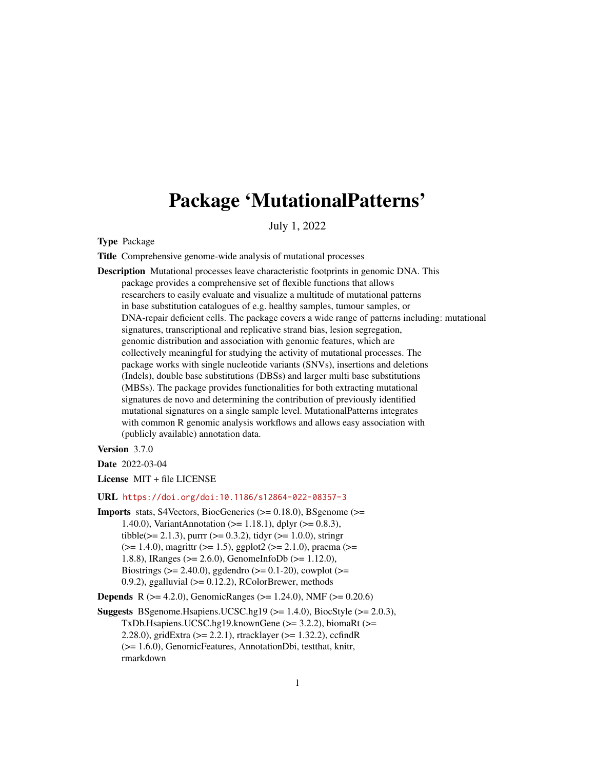# Package 'MutationalPatterns'

July 1, 2022

Type Package

Title Comprehensive genome-wide analysis of mutational processes

Description Mutational processes leave characteristic footprints in genomic DNA. This package provides a comprehensive set of flexible functions that allows researchers to easily evaluate and visualize a multitude of mutational patterns in base substitution catalogues of e.g. healthy samples, tumour samples, or DNA-repair deficient cells. The package covers a wide range of patterns including: mutational signatures, transcriptional and replicative strand bias, lesion segregation, genomic distribution and association with genomic features, which are collectively meaningful for studying the activity of mutational processes. The package works with single nucleotide variants (SNVs), insertions and deletions (Indels), double base substitutions (DBSs) and larger multi base substitutions (MBSs). The package provides functionalities for both extracting mutational signatures de novo and determining the contribution of previously identified mutational signatures on a single sample level. MutationalPatterns integrates with common R genomic analysis workflows and allows easy association with (publicly available) annotation data.

Version 3.7.0

Date 2022-03-04

License MIT + file LICENSE

#### URL <https://doi.org/doi:10.1186/s12864-022-08357-3>

Imports stats, S4Vectors, BiocGenerics (>= 0.18.0), BSgenome (>= 1.40.0), VariantAnnotation (>= 1.18.1), dplyr (>= 0.8.3), tibble( $>= 2.1.3$ ), purrr ( $>= 0.3.2$ ), tidyr ( $>= 1.0.0$ ), stringr (>= 1.4.0), magrittr (>= 1.5), ggplot2 (>= 2.1.0), pracma (>= 1.8.8), IRanges (>= 2.6.0), GenomeInfoDb (>= 1.12.0), Biostrings ( $>= 2.40.0$ ), ggdendro ( $>= 0.1-20$ ), cowplot ( $>=$ 0.9.2), ggalluvial  $(>= 0.12.2)$ , RColorBrewer, methods

**Depends** R ( $>= 4.2.0$ ), GenomicRanges ( $>= 1.24.0$ ), NMF ( $>= 0.20.6$ )

Suggests BSgenome.Hsapiens.UCSC.hg19 (>= 1.4.0), BiocStyle (>= 2.0.3), TxDb.Hsapiens.UCSC.hg19.knownGene (>= 3.2.2), biomaRt (>= 2.28.0), gridExtra (>= 2.2.1), rtracklayer (>= 1.32.2), ccfindR (>= 1.6.0), GenomicFeatures, AnnotationDbi, testthat, knitr, rmarkdown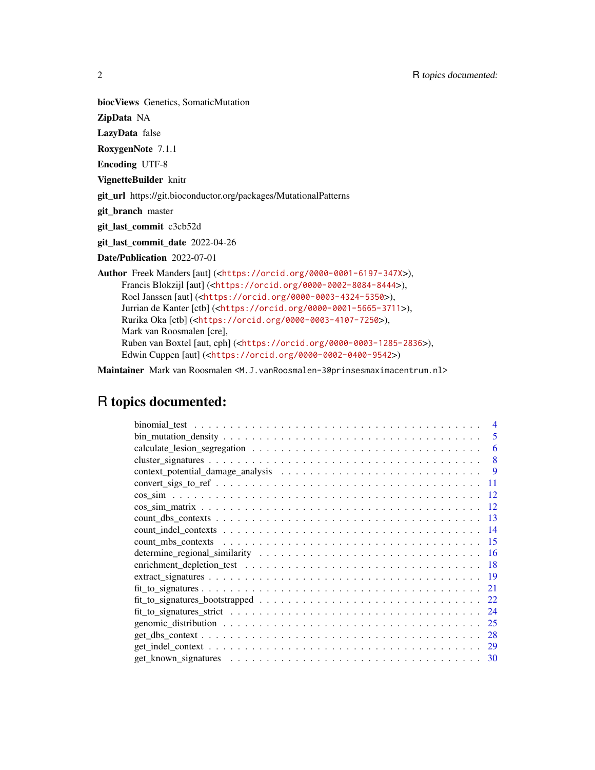biocViews Genetics, SomaticMutation

ZipData NA

LazyData false

RoxygenNote 7.1.1

Encoding UTF-8

VignetteBuilder knitr

git\_url https://git.bioconductor.org/packages/MutationalPatterns

git\_branch master

git\_last\_commit c3cb52d

git\_last\_commit\_date 2022-04-26

Date/Publication 2022-07-01

Author Freek Manders [aut] (<<https://orcid.org/0000-0001-6197-347X>>), Francis Blokzijl [aut] (<<https://orcid.org/0000-0002-8084-8444>>), Roel Janssen [aut] (<<https://orcid.org/0000-0003-4324-5350>>), Jurrian de Kanter [ctb] (<<https://orcid.org/0000-0001-5665-3711>>), Rurika Oka [ctb] (<<https://orcid.org/0000-0003-4107-7250>>), Mark van Roosmalen [cre], Ruben van Boxtel [aut, cph] (<<https://orcid.org/0000-0003-1285-2836>>), Edwin Cuppen [aut] (<<https://orcid.org/0000-0002-0400-9542>>)

Maintainer Mark van Roosmalen <M.J.vanRoosmalen-3@prinsesmaximacentrum.nl>

## R topics documented:

| 5<br>$bin\_mutation\_density \dots \dots \dots \dots \dots \dots \dots \dots \dots \dots \dots \dots \dots \dots$      |
|------------------------------------------------------------------------------------------------------------------------|
| 6                                                                                                                      |
| 8                                                                                                                      |
| 9                                                                                                                      |
| $convert\_sign_to_ref \dots \dots \dots \dots \dots \dots \dots \dots \dots \dots \dots \dots \dots \dots \dots$<br>11 |
| 12                                                                                                                     |
| 12                                                                                                                     |
| -13                                                                                                                    |
| -14                                                                                                                    |
| -15                                                                                                                    |
|                                                                                                                        |
|                                                                                                                        |
|                                                                                                                        |
| 21                                                                                                                     |
| $fit\_to\_signatures\_bootstrapped \dots \dots \dots \dots \dots \dots \dots \dots \dots \dots \dots$<br>22            |
| 24                                                                                                                     |
| 25                                                                                                                     |
| 28                                                                                                                     |
| <sup>29</sup>                                                                                                          |
| 30                                                                                                                     |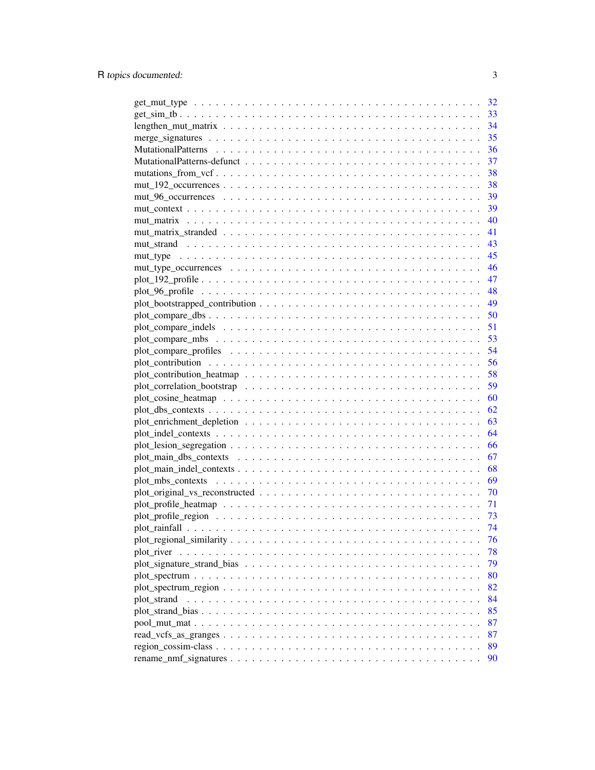|                                                                                                             | 32 |
|-------------------------------------------------------------------------------------------------------------|----|
|                                                                                                             | 33 |
| $lengthen\_mut\_matrix \ldots \ldots \ldots \ldots \ldots \ldots \ldots \ldots \ldots \ldots \ldots \ldots$ | 34 |
|                                                                                                             | 35 |
|                                                                                                             | 36 |
|                                                                                                             | 37 |
|                                                                                                             | 38 |
|                                                                                                             | 38 |
| $mut\_96\_occurrences \ldots \ldots \ldots \ldots \ldots \ldots \ldots \ldots \ldots \ldots \ldots \ldots$  | 39 |
|                                                                                                             | 39 |
|                                                                                                             | 40 |
|                                                                                                             | 41 |
|                                                                                                             |    |
|                                                                                                             |    |
|                                                                                                             |    |
|                                                                                                             |    |
|                                                                                                             |    |
|                                                                                                             |    |
|                                                                                                             |    |
|                                                                                                             |    |
|                                                                                                             |    |
|                                                                                                             |    |
|                                                                                                             | 56 |
|                                                                                                             | 58 |
|                                                                                                             | 59 |
|                                                                                                             | 60 |
|                                                                                                             | 62 |
|                                                                                                             | 63 |
|                                                                                                             | 64 |
|                                                                                                             | 66 |
|                                                                                                             | 67 |
|                                                                                                             | 68 |
|                                                                                                             | 69 |
|                                                                                                             | 70 |
|                                                                                                             | 71 |
|                                                                                                             | 73 |
|                                                                                                             | 74 |
|                                                                                                             |    |
|                                                                                                             | 76 |
|                                                                                                             | 78 |
|                                                                                                             | 79 |
|                                                                                                             | 80 |
|                                                                                                             | 82 |
| plot_strand                                                                                                 | 84 |
|                                                                                                             | 85 |
|                                                                                                             | 87 |
|                                                                                                             | 87 |
|                                                                                                             | 89 |
|                                                                                                             | 90 |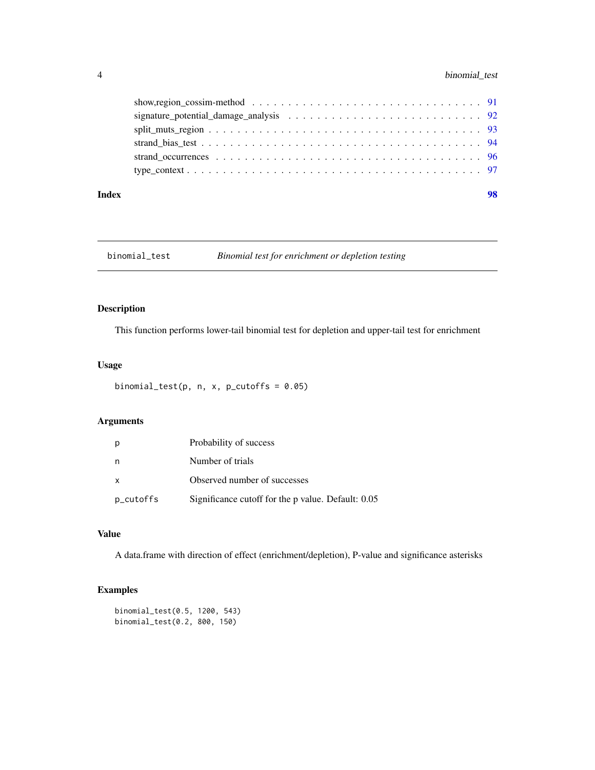## <span id="page-3-0"></span>4 binomial\_test

| show, region_cossim-method $\ldots \ldots \ldots \ldots \ldots \ldots \ldots \ldots \ldots \ldots \ldots \ldots \ldots$ 91 |  |
|----------------------------------------------------------------------------------------------------------------------------|--|
|                                                                                                                            |  |
|                                                                                                                            |  |
|                                                                                                                            |  |
|                                                                                                                            |  |
|                                                                                                                            |  |
|                                                                                                                            |  |

#### **Index** 2008 **Proposed by Except 2008 Proposed by Except 2008 Proposed by Except 2008**

## binomial\_test *Binomial test for enrichment or depletion testing*

## Description

This function performs lower-tail binomial test for depletion and upper-tail test for enrichment

## Usage

```
binomial_test(p, n, x, p_cutoffs = 0.05)
```
## Arguments

|              | Probability of success                             |
|--------------|----------------------------------------------------|
| n            | Number of trials                                   |
| $\mathsf{x}$ | Observed number of successes                       |
| p_cutoffs    | Significance cutoff for the p value. Default: 0.05 |

## Value

A data.frame with direction of effect (enrichment/depletion), P-value and significance asterisks

```
binomial_test(0.5, 1200, 543)
binomial_test(0.2, 800, 150)
```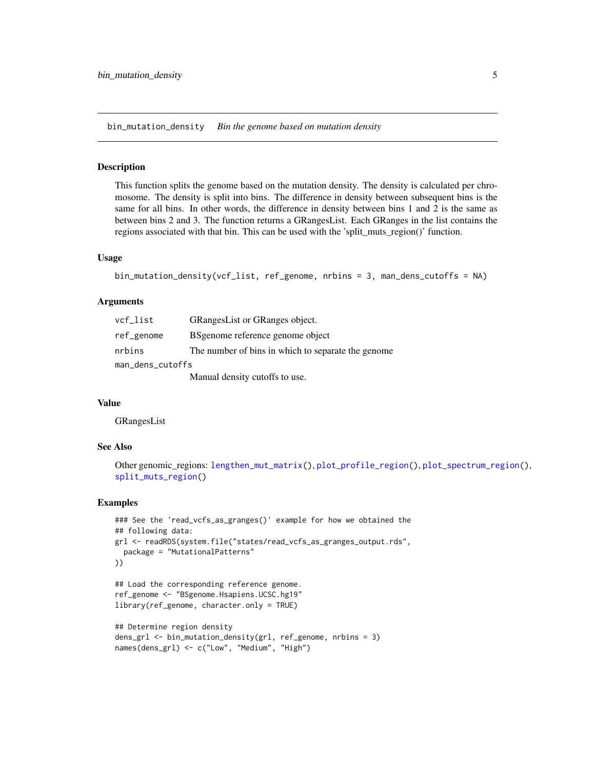<span id="page-4-1"></span><span id="page-4-0"></span>bin\_mutation\_density *Bin the genome based on mutation density*

#### Description

This function splits the genome based on the mutation density. The density is calculated per chromosome. The density is split into bins. The difference in density between subsequent bins is the same for all bins. In other words, the difference in density between bins 1 and 2 is the same as between bins 2 and 3. The function returns a GRangesList. Each GRanges in the list contains the regions associated with that bin. This can be used with the 'split\_muts\_region()' function.

#### Usage

```
bin_mutation_density(vcf_list, ref_genome, nrbins = 3, man_dens_cutoffs = NA)
```
#### Arguments

| vcf_list         | <b>GRangesList or GRanges object.</b>              |
|------------------|----------------------------------------------------|
| ref_genome       | BSgenome reference genome object                   |
| nrbins           | The number of bins in which to separate the genome |
| man_dens_cutoffs |                                                    |
|                  | Manual density cutoffs to use.                     |

#### Value

GRangesList

## See Also

```
Other genomic_regions: lengthen_mut_matrix(), plot_profile_region(), plot_spectrum_region(),
split_muts_region()
```

```
### See the 'read_vcfs_as_granges()' example for how we obtained the
## following data:
grl <- readRDS(system.file("states/read_vcfs_as_granges_output.rds",
 package = "MutationalPatterns"
))
## Load the corresponding reference genome.
ref_genome <- "BSgenome.Hsapiens.UCSC.hg19"
library(ref_genome, character.only = TRUE)
```

```
## Determine region density
dens_grl <- bin_mutation_density(grl, ref_genome, nrbins = 3)
names(dens_grl) <- c("Low", "Medium", "High")
```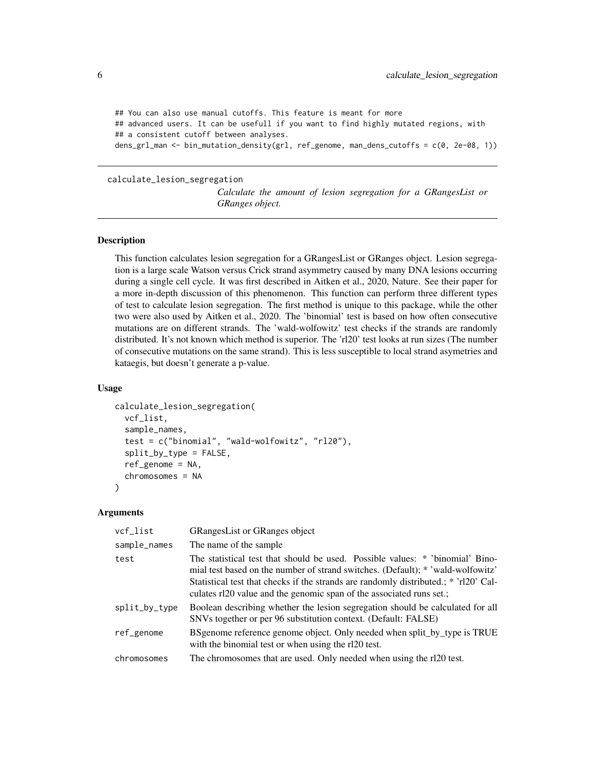```
## You can also use manual cutoffs. This feature is meant for more
## advanced users. It can be usefull if you want to find highly mutated regions, with
## a consistent cutoff between analyses.
dens_grl_man <- bin_mutation_density(grl, ref_genome, man_dens_cutoffs = c(0, 2e-08, 1))
```
#### calculate\_lesion\_segregation

*Calculate the amount of lesion segregation for a GRangesList or GRanges object.*

## **Description**

This function calculates lesion segregation for a GRangesList or GRanges object. Lesion segregation is a large scale Watson versus Crick strand asymmetry caused by many DNA lesions occurring during a single cell cycle. It was first described in Aitken et al., 2020, Nature. See their paper for a more in-depth discussion of this phenomenon. This function can perform three different types of test to calculate lesion segregation. The first method is unique to this package, while the other two were also used by Aitken et al., 2020. The 'binomial' test is based on how often consecutive mutations are on different strands. The 'wald-wolfowitz' test checks if the strands are randomly distributed. It's not known which method is superior. The 'rl20' test looks at run sizes (The number of consecutive mutations on the same strand). This is less susceptible to local strand asymetries and kataegis, but doesn't generate a p-value.

#### Usage

```
calculate_lesion_segregation(
  vcf_list,
  sample_names,
  test = c("binomial", "wald-wolfowitz", "rl20"),
  split_by_type = FALSE,
  ref\_genome = NA,
  chromosomes = NA
)
```
## **Arguments**

| vcf_list      | <b>GRangesList or GRanges object</b>                                                                                                                                                                                                                                                                                             |
|---------------|----------------------------------------------------------------------------------------------------------------------------------------------------------------------------------------------------------------------------------------------------------------------------------------------------------------------------------|
| sample_names  | The name of the sample                                                                                                                                                                                                                                                                                                           |
| test          | The statistical test that should be used. Possible values: * 'binomial' Bino-<br>mial test based on the number of strand switches. (Default): * 'wald-wolfowitz'<br>Statistical test that checks if the strands are randomly distributed.; * 'rl20' Cal-<br>culates rl20 value and the genomic span of the associated runs set.; |
| split_by_type | Boolean describing whether the lesion segregation should be calculated for all<br>SNVs together or per 96 substitution context. (Default: FALSE)                                                                                                                                                                                 |
| ref_genome    | BS genome reference genome object. Only needed when split_by_type is TRUE<br>with the binomial test or when using the rl20 test.                                                                                                                                                                                                 |
| chromosomes   | The chromosomes that are used. Only needed when using the rl20 test.                                                                                                                                                                                                                                                             |
|               |                                                                                                                                                                                                                                                                                                                                  |

<span id="page-5-0"></span>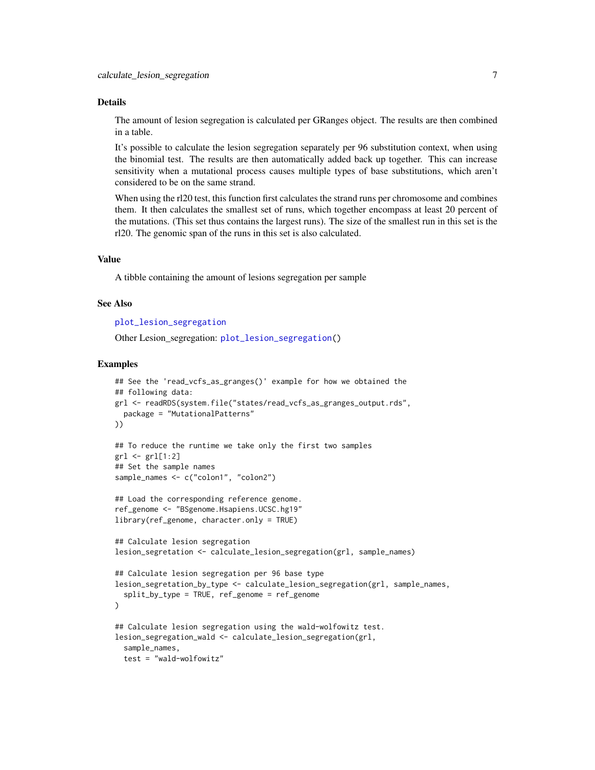#### Details

The amount of lesion segregation is calculated per GRanges object. The results are then combined in a table.

It's possible to calculate the lesion segregation separately per 96 substitution context, when using the binomial test. The results are then automatically added back up together. This can increase sensitivity when a mutational process causes multiple types of base substitutions, which aren't considered to be on the same strand.

When using the rl20 test, this function first calculates the strand runs per chromosome and combines them. It then calculates the smallest set of runs, which together encompass at least 20 percent of the mutations. (This set thus contains the largest runs). The size of the smallest run in this set is the rl20. The genomic span of the runs in this set is also calculated.

#### Value

A tibble containing the amount of lesions segregation per sample

#### See Also

```
plot_lesion_segregation
```
Other Lesion\_segregation: [plot\\_lesion\\_segregation\(](#page-65-1))

```
## See the 'read_vcfs_as_granges()' example for how we obtained the
## following data:
grl <- readRDS(system.file("states/read_vcfs_as_granges_output.rds",
  package = "MutationalPatterns"
))
## To reduce the runtime we take only the first two samples
gr1 \leftarrow gr1[1:2]## Set the sample names
sample_names <- c("colon1", "colon2")
## Load the corresponding reference genome.
ref_genome <- "BSgenome.Hsapiens.UCSC.hg19"
library(ref_genome, character.only = TRUE)
## Calculate lesion segregation
lesion_segretation <- calculate_lesion_segregation(grl, sample_names)
## Calculate lesion segregation per 96 base type
lesion_segretation_by_type <- calculate_lesion_segregation(grl, sample_names,
  split_by_type = TRUE, ref_genome = ref_genome
)
## Calculate lesion segregation using the wald-wolfowitz test.
lesion_segregation_wald <- calculate_lesion_segregation(grl,
  sample_names,
  test = "wald-wolfowitz"
```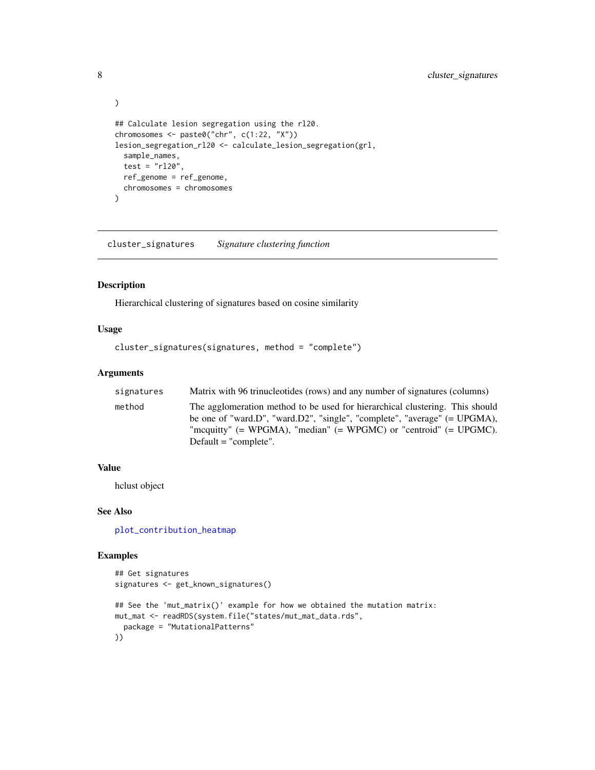```
)
## Calculate lesion segregation using the rl20.
chromosomes <- paste0("chr", c(1:22, "X"))
lesion_segregation_rl20 <- calculate_lesion_segregation(grl,
  sample_names,
  test = "r120",
  ref_genome = ref_genome,
  chromosomes = chromosomes
\overline{\phantom{a}}
```
cluster\_signatures *Signature clustering function*

#### Description

Hierarchical clustering of signatures based on cosine similarity

#### Usage

```
cluster_signatures(signatures, method = "complete")
```
#### Arguments

| signatures | Matrix with 96 trinucleotides (rows) and any number of signatures (columns)                                                                                                                                                                                          |
|------------|----------------------------------------------------------------------------------------------------------------------------------------------------------------------------------------------------------------------------------------------------------------------|
| method     | The agglomeration method to be used for hierarchical clustering. This should<br>be one of "ward.D", "ward.D2", "single", "complete", "average" $(= UPGMA)$ ,<br>"mcquitty" $(= WPGMA)$ , "median" $(= WPGMC)$ or "centroid" $(= UPGMC)$ .<br>Default $=$ "complete". |

## Value

hclust object

## See Also

[plot\\_contribution\\_heatmap](#page-57-1)

```
## Get signatures
signatures <- get_known_signatures()
## See the 'mut_matrix()' example for how we obtained the mutation matrix:
mut_mat <- readRDS(system.file("states/mut_mat_data.rds",
  package = "MutationalPatterns"
))
```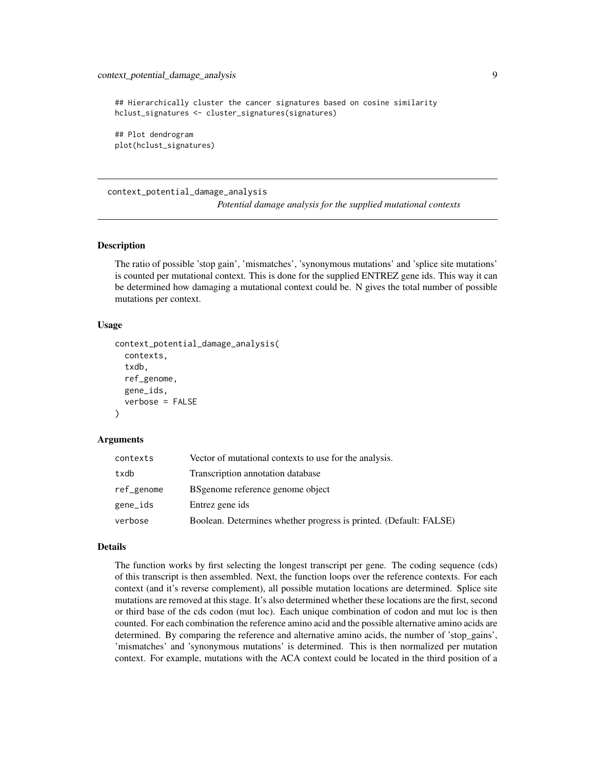<span id="page-8-0"></span>## Hierarchically cluster the cancer signatures based on cosine similarity hclust\_signatures <- cluster\_signatures(signatures) ## Plot dendrogram plot(hclust\_signatures)

context\_potential\_damage\_analysis

*Potential damage analysis for the supplied mutational contexts*

#### Description

The ratio of possible 'stop gain', 'mismatches', 'synonymous mutations' and 'splice site mutations' is counted per mutational context. This is done for the supplied ENTREZ gene ids. This way it can be determined how damaging a mutational context could be. N gives the total number of possible mutations per context.

#### Usage

```
context_potential_damage_analysis(
  contexts,
  txdb,
  ref_genome,
  gene_ids,
  verbose = FALSE
)
```
#### Arguments

| contexts   | Vector of mutational contexts to use for the analysis.            |
|------------|-------------------------------------------------------------------|
| txdb       | Transcription annotation database                                 |
| ref_genome | BS genome reference genome object                                 |
| gene_ids   | Entrez gene ids                                                   |
| verbose    | Boolean. Determines whether progress is printed. (Default: FALSE) |

#### Details

The function works by first selecting the longest transcript per gene. The coding sequence (cds) of this transcript is then assembled. Next, the function loops over the reference contexts. For each context (and it's reverse complement), all possible mutation locations are determined. Splice site mutations are removed at this stage. It's also determined whether these locations are the first, second or third base of the cds codon (mut loc). Each unique combination of codon and mut loc is then counted. For each combination the reference amino acid and the possible alternative amino acids are determined. By comparing the reference and alternative amino acids, the number of 'stop\_gains', 'mismatches' and 'synonymous mutations' is determined. This is then normalized per mutation context. For example, mutations with the ACA context could be located in the third position of a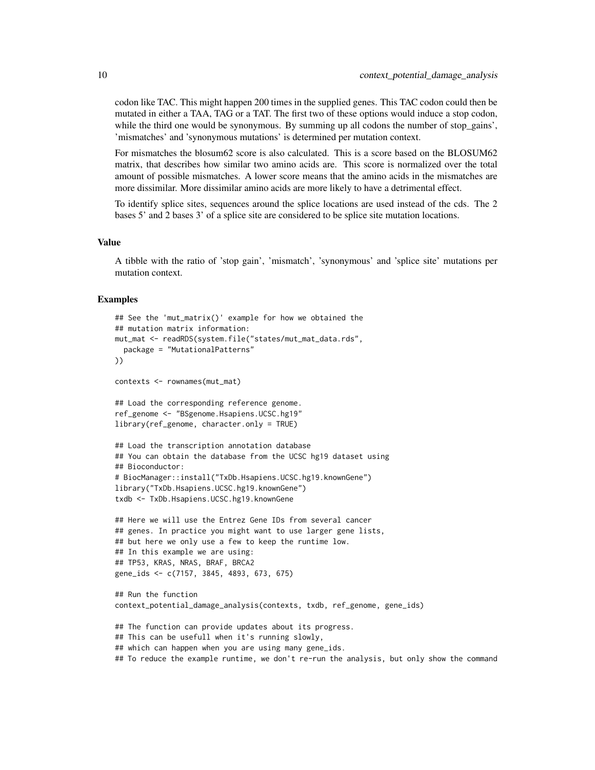codon like TAC. This might happen 200 times in the supplied genes. This TAC codon could then be mutated in either a TAA, TAG or a TAT. The first two of these options would induce a stop codon, while the third one would be synonymous. By summing up all codons the number of stop gains', 'mismatches' and 'synonymous mutations' is determined per mutation context.

For mismatches the blosum62 score is also calculated. This is a score based on the BLOSUM62 matrix, that describes how similar two amino acids are. This score is normalized over the total amount of possible mismatches. A lower score means that the amino acids in the mismatches are more dissimilar. More dissimilar amino acids are more likely to have a detrimental effect.

To identify splice sites, sequences around the splice locations are used instead of the cds. The 2 bases 5' and 2 bases 3' of a splice site are considered to be splice site mutation locations.

#### Value

A tibble with the ratio of 'stop gain', 'mismatch', 'synonymous' and 'splice site' mutations per mutation context.

```
## See the 'mut_matrix()' example for how we obtained the
## mutation matrix information:
mut_mat <- readRDS(system.file("states/mut_mat_data.rds",
 package = "MutationalPatterns"
))
contexts <- rownames(mut_mat)
## Load the corresponding reference genome.
ref_genome <- "BSgenome.Hsapiens.UCSC.hg19"
library(ref_genome, character.only = TRUE)
## Load the transcription annotation database
## You can obtain the database from the UCSC hg19 dataset using
## Bioconductor:
# BiocManager::install("TxDb.Hsapiens.UCSC.hg19.knownGene")
library("TxDb.Hsapiens.UCSC.hg19.knownGene")
txdb <- TxDb.Hsapiens.UCSC.hg19.knownGene
## Here we will use the Entrez Gene IDs from several cancer
## genes. In practice you might want to use larger gene lists,
## but here we only use a few to keep the runtime low.
## In this example we are using:
## TP53, KRAS, NRAS, BRAF, BRCA2
gene_ids <- c(7157, 3845, 4893, 673, 675)
## Run the function
context_potential_damage_analysis(contexts, txdb, ref_genome, gene_ids)
## The function can provide updates about its progress.
## This can be usefull when it's running slowly,
## which can happen when you are using many gene_ids.
## To reduce the example runtime, we don't re-run the analysis, but only show the command
```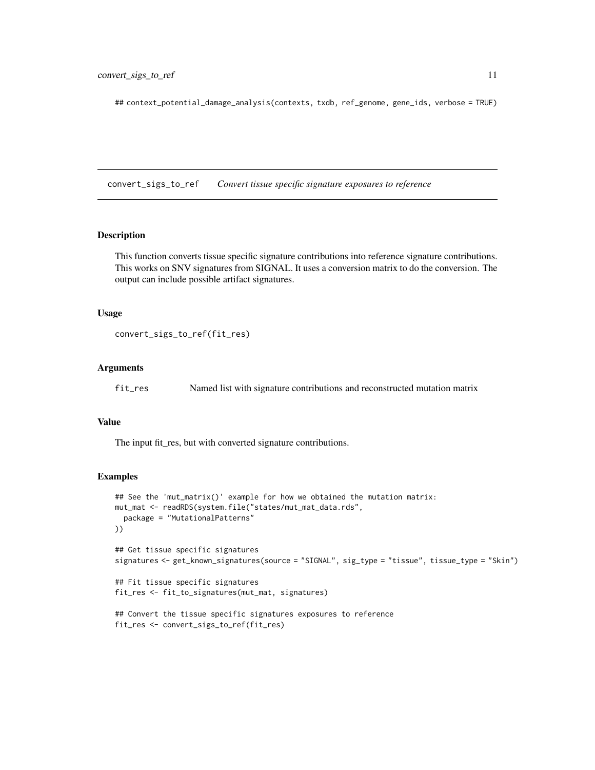<span id="page-10-0"></span>## context\_potential\_damage\_analysis(contexts, txdb, ref\_genome, gene\_ids, verbose = TRUE)

convert\_sigs\_to\_ref *Convert tissue specific signature exposures to reference*

#### **Description**

This function converts tissue specific signature contributions into reference signature contributions. This works on SNV signatures from SIGNAL. It uses a conversion matrix to do the conversion. The output can include possible artifact signatures.

#### Usage

```
convert_sigs_to_ref(fit_res)
```
#### **Arguments**

fit\_res Named list with signature contributions and reconstructed mutation matrix

#### Value

The input fit\_res, but with converted signature contributions.

```
## See the 'mut_matrix()' example for how we obtained the mutation matrix:
mut_mat <- readRDS(system.file("states/mut_mat_data.rds",
  package = "MutationalPatterns"
))
## Get tissue specific signatures
signatures <- get_known_signatures(source = "SIGNAL", sig_type = "tissue", tissue_type = "Skin")
## Fit tissue specific signatures
fit_res <- fit_to_signatures(mut_mat, signatures)
## Convert the tissue specific signatures exposures to reference
fit_res <- convert_sigs_to_ref(fit_res)
```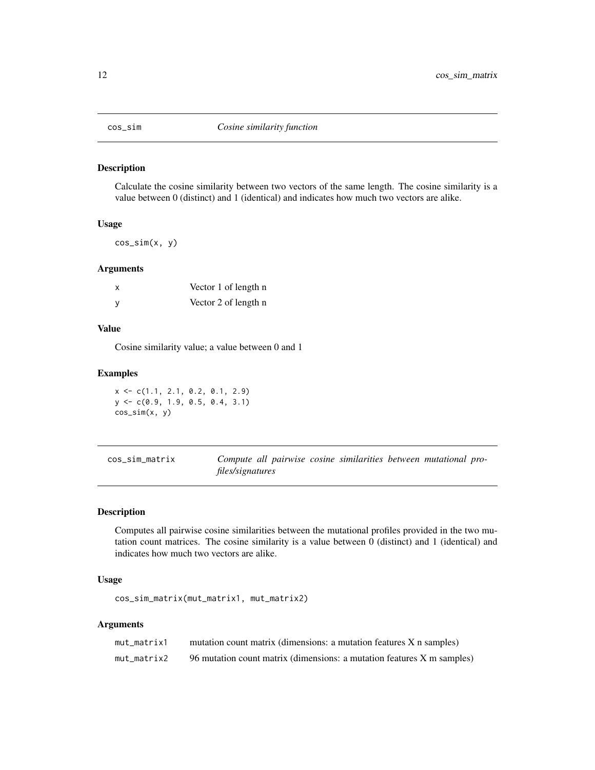<span id="page-11-0"></span>

## Description

Calculate the cosine similarity between two vectors of the same length. The cosine similarity is a value between 0 (distinct) and 1 (identical) and indicates how much two vectors are alike.

### Usage

 $cos\_sim(x, y)$ 

#### Arguments

| x | Vector 1 of length n |
|---|----------------------|
| ٧ | Vector 2 of length n |

#### Value

Cosine similarity value; a value between 0 and 1

#### Examples

 $x \leftarrow c(1.1, 2.1, 0.2, 0.1, 2.9)$ y <- c(0.9, 1.9, 0.5, 0.4, 3.1) cos\_sim(x, y)

| cos_sim_matrix |                  |  | Compute all pairwise cosine similarities between mutational pro- |  |  |
|----------------|------------------|--|------------------------------------------------------------------|--|--|
|                | files/signatures |  |                                                                  |  |  |

## Description

Computes all pairwise cosine similarities between the mutational profiles provided in the two mutation count matrices. The cosine similarity is a value between 0 (distinct) and 1 (identical) and indicates how much two vectors are alike.

#### Usage

```
cos_sim_matrix(mut_matrix1, mut_matrix2)
```
## Arguments

| mut_matrix1 | mutation count matrix (dimensions: a mutation features X n samples)    |
|-------------|------------------------------------------------------------------------|
| mut matrix2 | 96 mutation count matrix (dimensions: a mutation features X m samples) |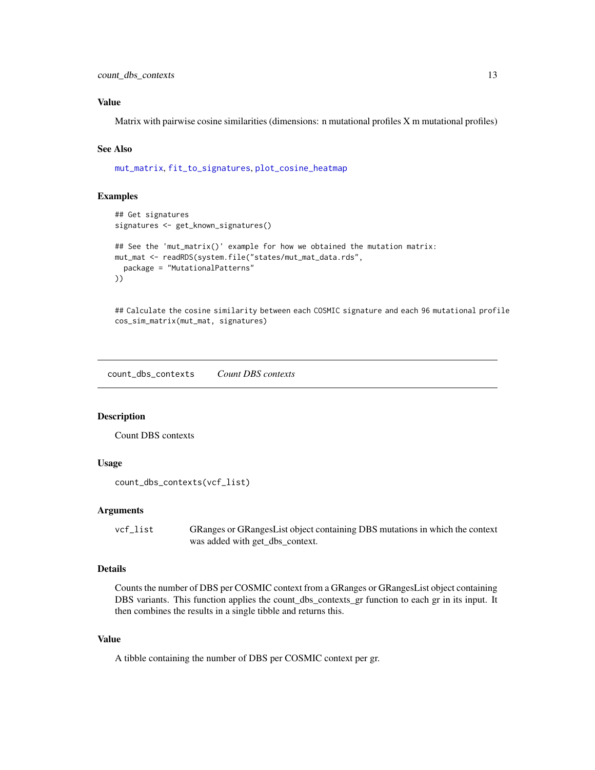## <span id="page-12-0"></span>Value

Matrix with pairwise cosine similarities (dimensions: n mutational profiles X m mutational profiles)

## See Also

[mut\\_matrix](#page-39-1), [fit\\_to\\_signatures](#page-20-1), [plot\\_cosine\\_heatmap](#page-59-1)

#### Examples

```
## Get signatures
signatures <- get_known_signatures()
## See the 'mut_matrix()' example for how we obtained the mutation matrix:
mut_mat <- readRDS(system.file("states/mut_mat_data.rds",
  package = "MutationalPatterns"
))
```
## Calculate the cosine similarity between each COSMIC signature and each 96 mutational profile cos\_sim\_matrix(mut\_mat, signatures)

<span id="page-12-1"></span>count\_dbs\_contexts *Count DBS contexts*

#### Description

Count DBS contexts

## Usage

```
count_dbs_contexts(vcf_list)
```
#### Arguments

vcf\_list GRanges or GRangesList object containing DBS mutations in which the context was added with get\_dbs\_context.

## Details

Counts the number of DBS per COSMIC context from a GRanges or GRangesList object containing DBS variants. This function applies the count\_dbs\_contexts\_gr function to each gr in its input. It then combines the results in a single tibble and returns this.

#### Value

A tibble containing the number of DBS per COSMIC context per gr.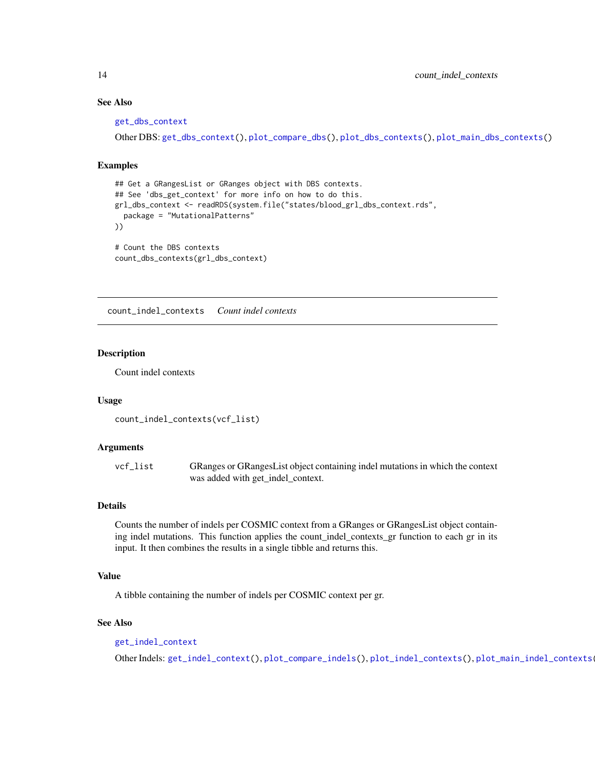#### See Also

```
get_dbs_context
```
Other DBS: [get\\_dbs\\_context\(](#page-27-1)), [plot\\_compare\\_dbs\(](#page-49-1)), [plot\\_dbs\\_contexts\(](#page-61-1)), [plot\\_main\\_dbs\\_contexts\(](#page-66-1))

#### Examples

```
## Get a GRangesList or GRanges object with DBS contexts.
## See 'dbs_get_context' for more info on how to do this.
grl_dbs_context <- readRDS(system.file("states/blood_grl_dbs_context.rds",
  package = "MutationalPatterns"
))
# Count the DBS contexts
count_dbs_contexts(grl_dbs_context)
```
<span id="page-13-1"></span>count\_indel\_contexts *Count indel contexts*

#### **Description**

Count indel contexts

#### Usage

```
count_indel_contexts(vcf_list)
```
#### Arguments

vcf\_list GRanges or GRangesList object containing indel mutations in which the context was added with get\_indel\_context.

#### Details

Counts the number of indels per COSMIC context from a GRanges or GRangesList object containing indel mutations. This function applies the count\_indel\_contexts\_gr function to each gr in its input. It then combines the results in a single tibble and returns this.

## Value

A tibble containing the number of indels per COSMIC context per gr.

#### See Also

[get\\_indel\\_context](#page-28-1)

Other Indels: [get\\_indel\\_context\(](#page-28-1)), [plot\\_compare\\_indels\(](#page-50-1)), [plot\\_indel\\_contexts\(](#page-63-1)), [plot\\_main\\_indel\\_contexts\(](#page-67-1))

<span id="page-13-0"></span>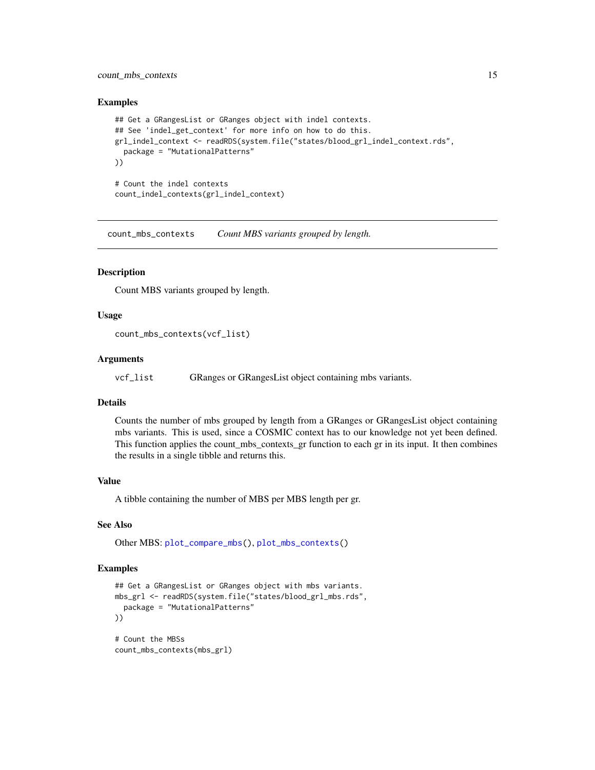## <span id="page-14-0"></span>count\_mbs\_contexts 15

#### Examples

```
## Get a GRangesList or GRanges object with indel contexts.
## See 'indel_get_context' for more info on how to do this.
grl_indel_context <- readRDS(system.file("states/blood_grl_indel_context.rds",
 package = "MutationalPatterns"
))
# Count the indel contexts
count_indel_contexts(grl_indel_context)
```
count\_mbs\_contexts *Count MBS variants grouped by length.*

#### Description

Count MBS variants grouped by length.

#### Usage

```
count_mbs_contexts(vcf_list)
```
#### Arguments

vcf\_list GRanges or GRangesList object containing mbs variants.

#### Details

Counts the number of mbs grouped by length from a GRanges or GRangesList object containing mbs variants. This is used, since a COSMIC context has to our knowledge not yet been defined. This function applies the count\_mbs\_contexts\_gr function to each gr in its input. It then combines the results in a single tibble and returns this.

#### Value

A tibble containing the number of MBS per MBS length per gr.

#### See Also

Other MBS: [plot\\_compare\\_mbs\(](#page-52-1)), [plot\\_mbs\\_contexts\(](#page-68-1))

```
## Get a GRangesList or GRanges object with mbs variants.
mbs_grl <- readRDS(system.file("states/blood_grl_mbs.rds",
  package = "MutationalPatterns"
))
# Count the MBSs
count_mbs_contexts(mbs_grl)
```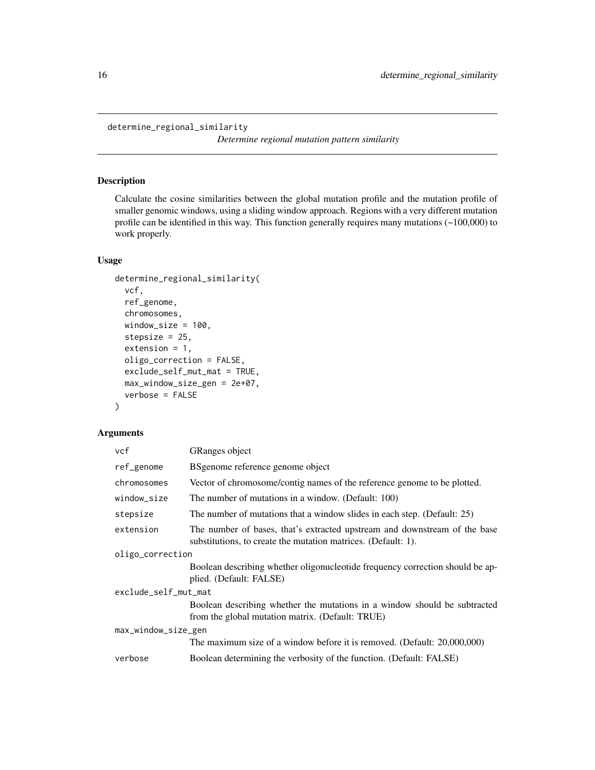<span id="page-15-0"></span>determine\_regional\_similarity

*Determine regional mutation pattern similarity*

## Description

Calculate the cosine similarities between the global mutation profile and the mutation profile of smaller genomic windows, using a sliding window approach. Regions with a very different mutation profile can be identified in this way. This function generally requires many mutations  $(\sim 100,000)$  to work properly.

## Usage

```
determine_regional_similarity(
 vcf,
  ref_genome,
  chromosomes,
 window_size = 100,
  stepsize = 25,
  extension = 1,
 oligo_correction = FALSE,
 exclude_self_mut_mat = TRUE,
 max_window_size_gen = 2e+07,
  verbose = FALSE
)
```
## Arguments

| vcf                  | <b>GRanges</b> object                                                                                                                      |  |  |
|----------------------|--------------------------------------------------------------------------------------------------------------------------------------------|--|--|
| ref_genome           | BSgenome reference genome object                                                                                                           |  |  |
| chromosomes          | Vector of chromosome/contig names of the reference genome to be plotted.                                                                   |  |  |
| window_size          | The number of mutations in a window. (Default: 100)                                                                                        |  |  |
| stepsize             | The number of mutations that a window slides in each step. (Default: 25)                                                                   |  |  |
| extension            | The number of bases, that's extracted upstream and downstream of the base<br>substitutions, to create the mutation matrices. (Default: 1). |  |  |
| oligo_correction     |                                                                                                                                            |  |  |
|                      | Boolean describing whether oligonucleotide frequency correction should be ap-<br>plied. (Default: FALSE)                                   |  |  |
| exclude_self_mut_mat |                                                                                                                                            |  |  |
|                      | Boolean describing whether the mutations in a window should be subtracted<br>from the global mutation matrix. (Default: TRUE)              |  |  |
| max_window_size_gen  |                                                                                                                                            |  |  |
|                      | The maximum size of a window before it is removed. (Default: 20,000,000)                                                                   |  |  |
| verbose              | Boolean determining the verbosity of the function. (Default: FALSE)                                                                        |  |  |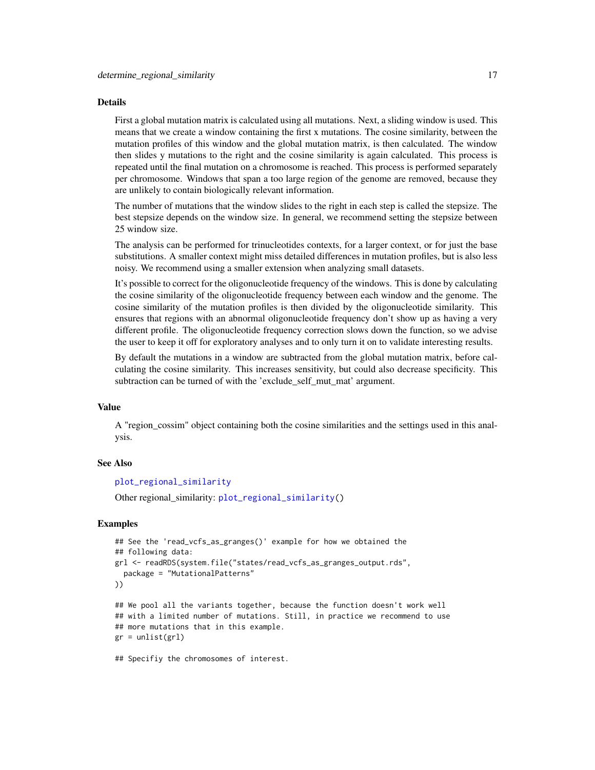#### Details

First a global mutation matrix is calculated using all mutations. Next, a sliding window is used. This means that we create a window containing the first x mutations. The cosine similarity, between the mutation profiles of this window and the global mutation matrix, is then calculated. The window then slides y mutations to the right and the cosine similarity is again calculated. This process is repeated until the final mutation on a chromosome is reached. This process is performed separately per chromosome. Windows that span a too large region of the genome are removed, because they are unlikely to contain biologically relevant information.

The number of mutations that the window slides to the right in each step is called the stepsize. The best stepsize depends on the window size. In general, we recommend setting the stepsize between 25 window size.

The analysis can be performed for trinucleotides contexts, for a larger context, or for just the base substitutions. A smaller context might miss detailed differences in mutation profiles, but is also less noisy. We recommend using a smaller extension when analyzing small datasets.

It's possible to correct for the oligonucleotide frequency of the windows. This is done by calculating the cosine similarity of the oligonucleotide frequency between each window and the genome. The cosine similarity of the mutation profiles is then divided by the oligonucleotide similarity. This ensures that regions with an abnormal oligonucleotide frequency don't show up as having a very different profile. The oligonucleotide frequency correction slows down the function, so we advise the user to keep it off for exploratory analyses and to only turn it on to validate interesting results.

By default the mutations in a window are subtracted from the global mutation matrix, before calculating the cosine similarity. This increases sensitivity, but could also decrease specificity. This subtraction can be turned of with the 'exclude\_self\_mut\_mat' argument.

#### Value

A "region cossim" object containing both the cosine similarities and the settings used in this analysis.

#### See Also

#### [plot\\_regional\\_similarity](#page-75-1)

Other regional\_similarity: [plot\\_regional\\_similarity\(](#page-75-1))

```
## See the 'read_vcfs_as_granges()' example for how we obtained the
## following data:
grl <- readRDS(system.file("states/read_vcfs_as_granges_output.rds",
 package = "MutationalPatterns"
))
## We pool all the variants together, because the function doesn't work well
## with a limited number of mutations. Still, in practice we recommend to use
## more mutations that in this example.
gr = unlist(grl)## Specifiy the chromosomes of interest.
```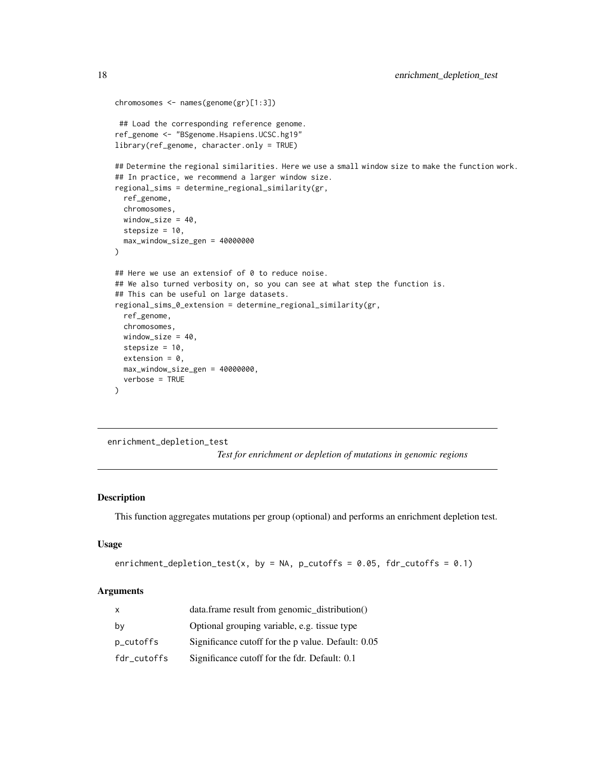```
chromosomes <- names(genome(gr)[1:3])
## Load the corresponding reference genome.
ref_genome <- "BSgenome.Hsapiens.UCSC.hg19"
library(ref_genome, character.only = TRUE)
## Determine the regional similarities. Here we use a small window size to make the function work.
## In practice, we recommend a larger window size.
regional_sims = determine_regional_similarity(gr,
 ref_genome,
 chromosomes,
 window_size = 40,
 stepsize = 10,
 max_window_size_gen = 40000000
)
## Here we use an extensiof of 0 to reduce noise.
## We also turned verbosity on, so you can see at what step the function is.
## This can be useful on large datasets.
regional_sims_0_extension = determine_regional_similarity(gr,
 ref_genome,
 chromosomes,
 window_size = 40,
 stepsize = 10,
 extension = 0,
 max_window_size_gen = 40000000,
 verbose = TRUE
)
```
enrichment\_depletion\_test

*Test for enrichment or depletion of mutations in genomic regions*

## **Description**

This function aggregates mutations per group (optional) and performs an enrichment depletion test.

## Usage

```
enrichment_depletion_test(x, by = NA, p_cutoffs = 0.05, fdr_cutoffs = 0.1)
```
#### Arguments

| x           | data.frame result from genomic distribution()      |
|-------------|----------------------------------------------------|
| bv          | Optional grouping variable, e.g. tissue type       |
| p_cutoffs   | Significance cutoff for the p value. Default: 0.05 |
| fdr_cutoffs | Significance cutoff for the fdr. Default: 0.1      |

<span id="page-17-0"></span>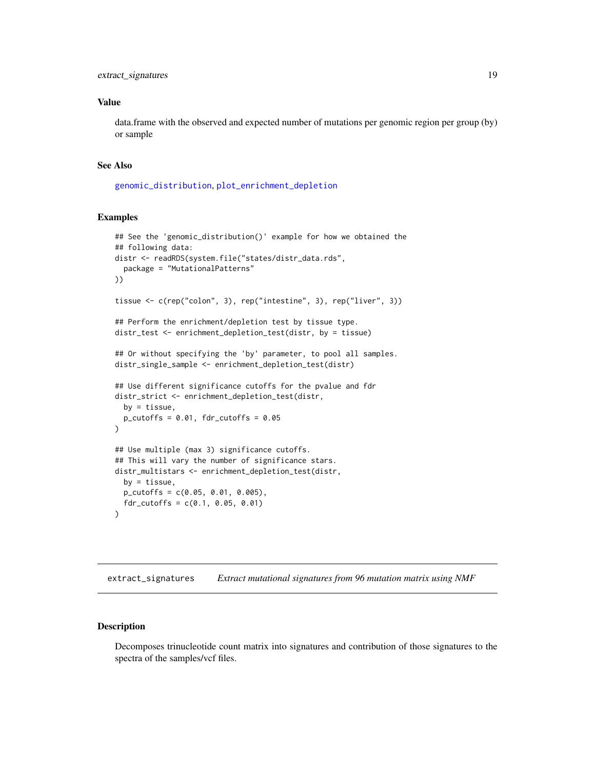## <span id="page-18-0"></span>Value

data.frame with the observed and expected number of mutations per genomic region per group (by) or sample

## See Also

[genomic\\_distribution](#page-24-1), [plot\\_enrichment\\_depletion](#page-62-1)

#### Examples

```
## See the 'genomic_distribution()' example for how we obtained the
## following data:
distr <- readRDS(system.file("states/distr_data.rds",
  package = "MutationalPatterns"
))
tissue <- c(rep("colon", 3), rep("intestine", 3), rep("liver", 3))
## Perform the enrichment/depletion test by tissue type.
distr_test <- enrichment_depletion_test(distr, by = tissue)
## Or without specifying the 'by' parameter, to pool all samples.
distr_single_sample <- enrichment_depletion_test(distr)
## Use different significance cutoffs for the pvalue and fdr
distr_strict <- enrichment_depletion_test(distr,
  by = tissue,
  p_{\text{cutoff}} = 0.01, fdr_{\text{cutoff}} = 0.05)
## Use multiple (max 3) significance cutoffs.
## This will vary the number of significance stars.
distr_multistars <- enrichment_depletion_test(distr,
  by = tissue,
  p_{\text{cutoff}} = c(0.05, 0.01, 0.005),
  fdr_cutoffs = c(0.1, 0.05, 0.01)\lambda
```
extract\_signatures *Extract mutational signatures from 96 mutation matrix using NMF*

## Description

Decomposes trinucleotide count matrix into signatures and contribution of those signatures to the spectra of the samples/vcf files.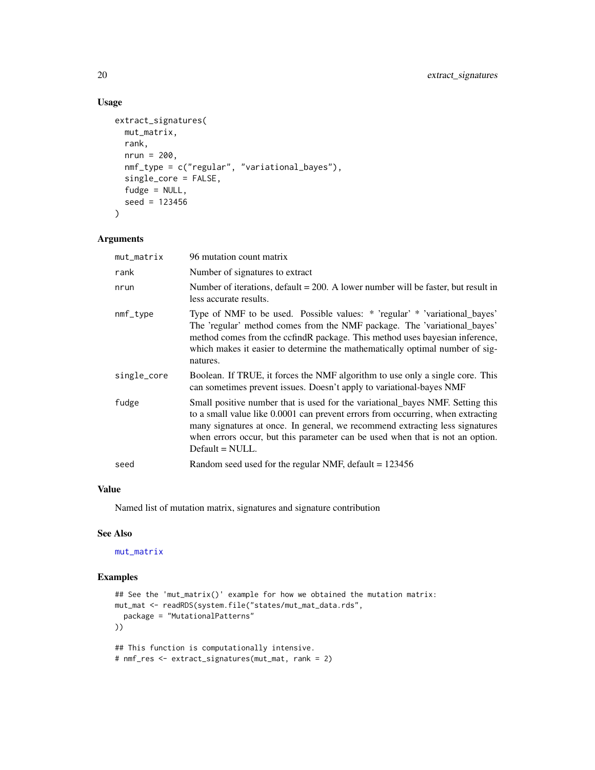## Usage

```
extract_signatures(
 mut_matrix,
  rank,
 nrun = 200,
 nmf_type = c("regular", "variational_bayes"),
  single_core = FALSE,
  fudge = NULL,
  seed = 123456
)
```
#### Arguments

| mut_matrix  | 96 mutation count matrix                                                                                                                                                                                                                                                                                                                                |
|-------------|---------------------------------------------------------------------------------------------------------------------------------------------------------------------------------------------------------------------------------------------------------------------------------------------------------------------------------------------------------|
| rank        | Number of signatures to extract                                                                                                                                                                                                                                                                                                                         |
| nrun        | Number of iterations, default $= 200$ . A lower number will be faster, but result in<br>less accurate results.                                                                                                                                                                                                                                          |
| $nmf_type$  | Type of NMF to be used. Possible values: * 'regular' * 'variational_bayes'<br>The 'regular' method comes from the NMF package. The 'variational_bayes'<br>method comes from the ccfindR package. This method uses bayesian inference,<br>which makes it easier to determine the mathematically optimal number of sig-<br>natures.                       |
| single_core | Boolean. If TRUE, it forces the NMF algorithm to use only a single core. This<br>can sometimes prevent issues. Doesn't apply to variational-bayes NMF                                                                                                                                                                                                   |
| fudge       | Small positive number that is used for the variational bayes NMF. Setting this<br>to a small value like 0.0001 can prevent errors from occurring, when extracting<br>many signatures at once. In general, we recommend extracting less signatures<br>when errors occur, but this parameter can be used when that is not an option.<br>$Default = NULL.$ |
| seed        | Random seed used for the regular NMF, default $= 123456$                                                                                                                                                                                                                                                                                                |
|             |                                                                                                                                                                                                                                                                                                                                                         |

## Value

Named list of mutation matrix, signatures and signature contribution

#### See Also

[mut\\_matrix](#page-39-1)

```
## See the 'mut_matrix()' example for how we obtained the mutation matrix:
mut_mat <- readRDS(system.file("states/mut_mat_data.rds",
  package = "MutationalPatterns"
))
## This function is computationally intensive.
# nmf_res <- extract_signatures(mut_mat, rank = 2)
```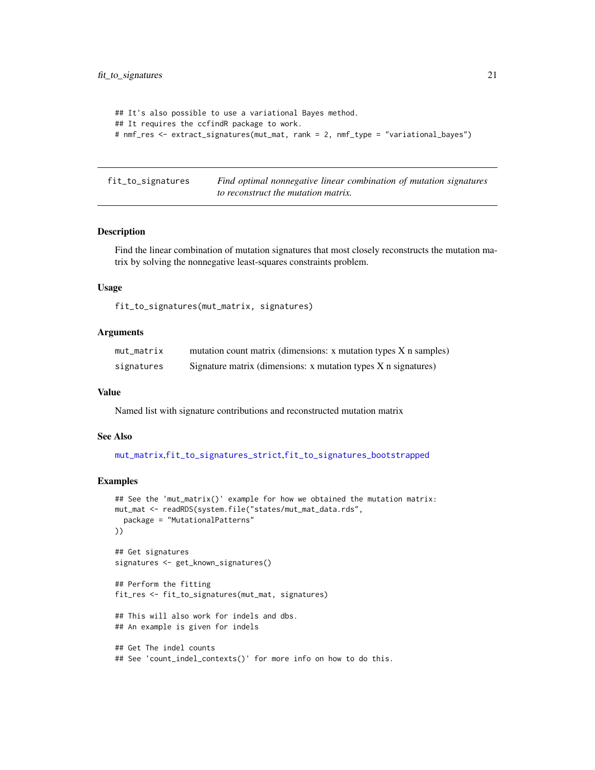```
## It's also possible to use a variational Bayes method.
## It requires the ccfindR package to work.
# nmf_res <- extract_signatures(mut_mat, rank = 2, nmf_type = "variational_bayes")
```
<span id="page-20-1"></span>fit\_to\_signatures *Find optimal nonnegative linear combination of mutation signatures to reconstruct the mutation matrix.*

#### Description

Find the linear combination of mutation signatures that most closely reconstructs the mutation matrix by solving the nonnegative least-squares constraints problem.

## Usage

fit\_to\_signatures(mut\_matrix, signatures)

#### Arguments

| mut_matrix | mutation count matrix (dimensions: x mutation types X n samples)   |
|------------|--------------------------------------------------------------------|
| signatures | Signature matrix (dimensions: $x$ mutation types $X$ n signatures) |

#### Value

Named list with signature contributions and reconstructed mutation matrix

#### See Also

[mut\\_matrix](#page-39-1),[fit\\_to\\_signatures\\_strict](#page-23-1),[fit\\_to\\_signatures\\_bootstrapped](#page-21-1)

```
## See the 'mut_matrix()' example for how we obtained the mutation matrix:
mut_mat <- readRDS(system.file("states/mut_mat_data.rds",
  package = "MutationalPatterns"
))
## Get signatures
signatures <- get_known_signatures()
## Perform the fitting
fit_res <- fit_to_signatures(mut_mat, signatures)
## This will also work for indels and dbs.
## An example is given for indels
## Get The indel counts
## See 'count_indel_contexts()' for more info on how to do this.
```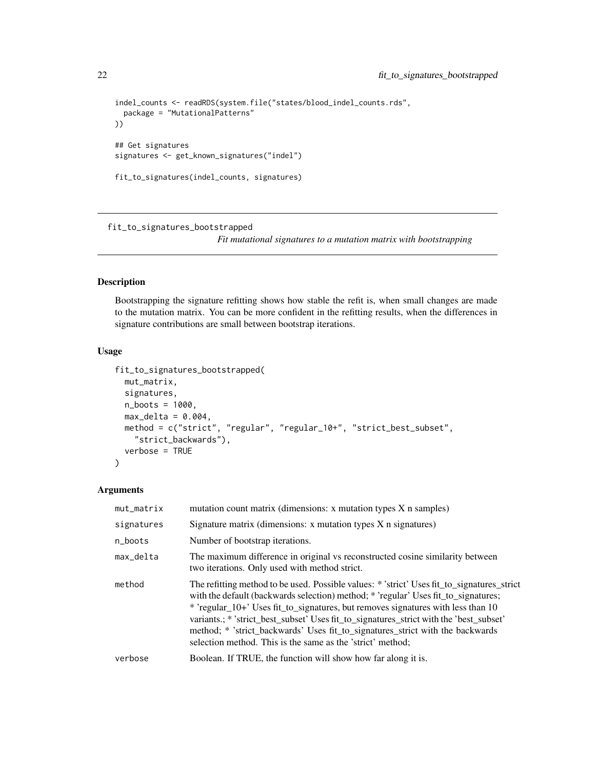```
indel_counts <- readRDS(system.file("states/blood_indel_counts.rds",
  package = "MutationalPatterns"
))
## Get signatures
signatures <- get_known_signatures("indel")
fit_to_signatures(indel_counts, signatures)
```
<span id="page-21-1"></span>fit\_to\_signatures\_bootstrapped

*Fit mutational signatures to a mutation matrix with bootstrapping*

#### Description

Bootstrapping the signature refitting shows how stable the refit is, when small changes are made to the mutation matrix. You can be more confident in the refitting results, when the differences in signature contributions are small between bootstrap iterations.

#### Usage

```
fit_to_signatures_bootstrapped(
  mut_matrix,
  signatures,
  n_boots = 1000,
  max\_delta = 0.004,
 method = c("strict", "regular", "regular_10+", "strict_best_subset",
    "strict_backwards"),
  verbose = TRUE
)
```
#### Arguments

| mut_matrix | mutation count matrix (dimensions: x mutation types X n samples)                                                                                                                                                                                                                                                                                                                                                                                                                                              |  |
|------------|---------------------------------------------------------------------------------------------------------------------------------------------------------------------------------------------------------------------------------------------------------------------------------------------------------------------------------------------------------------------------------------------------------------------------------------------------------------------------------------------------------------|--|
| signatures | Signature matrix (dimensions: x mutation types X n signatures)                                                                                                                                                                                                                                                                                                                                                                                                                                                |  |
| n_boots    | Number of bootstrap iterations.                                                                                                                                                                                                                                                                                                                                                                                                                                                                               |  |
| max_delta  | The maximum difference in original vs reconstructed cosine similarity between<br>two iterations. Only used with method strict.                                                                                                                                                                                                                                                                                                                                                                                |  |
| method     | The refitting method to be used. Possible values: * 'strict' Uses fit to signatures strict<br>with the default (backwards selection) method; * 'regular' Uses fit_to_signatures;<br>* 'regular_10+' Uses fit_to_signatures, but removes signatures with less than 10<br>variants.; * 'strict_best_subset' Uses fit_to_signatures_strict with the 'best_subset'<br>method; * 'strict_backwards' Uses fit_to_signatures_strict with the backwards<br>selection method. This is the same as the 'strict' method; |  |
| verbose    | Boolean. If TRUE, the function will show how far along it is.                                                                                                                                                                                                                                                                                                                                                                                                                                                 |  |
|            |                                                                                                                                                                                                                                                                                                                                                                                                                                                                                                               |  |

<span id="page-21-0"></span>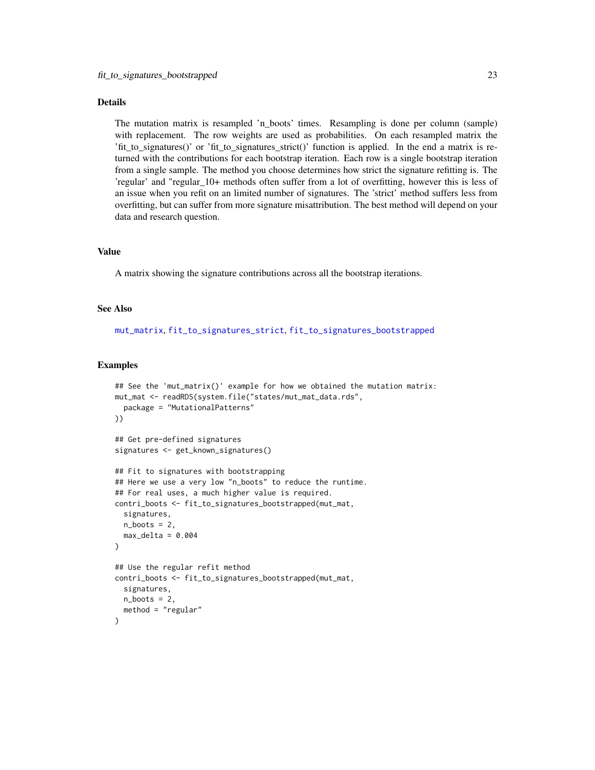## Details

The mutation matrix is resampled 'n\_boots' times. Resampling is done per column (sample) with replacement. The row weights are used as probabilities. On each resampled matrix the 'fit\_to\_signatures()' or 'fit\_to\_signatures\_strict()' function is applied. In the end a matrix is returned with the contributions for each bootstrap iteration. Each row is a single bootstrap iteration from a single sample. The method you choose determines how strict the signature refitting is. The 'regular' and "regular\_10+ methods often suffer from a lot of overfitting, however this is less of an issue when you refit on an limited number of signatures. The 'strict' method suffers less from overfitting, but can suffer from more signature misattribution. The best method will depend on your data and research question.

## Value

A matrix showing the signature contributions across all the bootstrap iterations.

#### See Also

[mut\\_matrix](#page-39-1), [fit\\_to\\_signatures\\_strict](#page-23-1), [fit\\_to\\_signatures\\_bootstrapped](#page-21-1)

```
## See the 'mut_matrix()' example for how we obtained the mutation matrix:
mut_mat <- readRDS(system.file("states/mut_mat_data.rds",
  package = "MutationalPatterns"
))
## Get pre-defined signatures
signatures <- get_known_signatures()
## Fit to signatures with bootstrapping
## Here we use a very low "n_boots" to reduce the runtime.
## For real uses, a much higher value is required.
contri_boots <- fit_to_signatures_bootstrapped(mut_mat,
  signatures,
  n\_books = 2,
  max\_delta = 0.004)
## Use the regular refit method
contri_boots <- fit_to_signatures_bootstrapped(mut_mat,
  signatures,
  n\_books = 2,
  method = "regular"
)
```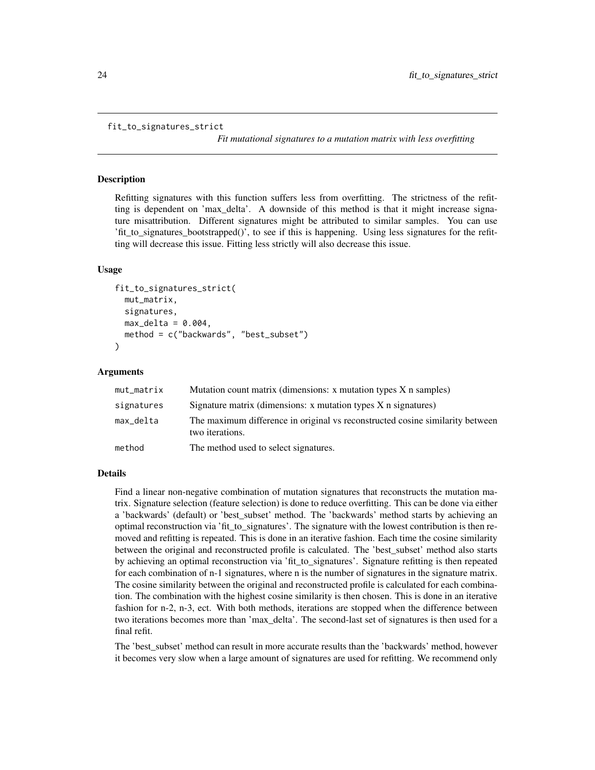```
fit_to_signatures_strict
```
*Fit mutational signatures to a mutation matrix with less overfitting*

#### **Description**

Refitting signatures with this function suffers less from overfitting. The strictness of the refitting is dependent on 'max\_delta'. A downside of this method is that it might increase signature misattribution. Different signatures might be attributed to similar samples. You can use 'fit\_to\_signatures\_bootstrapped()', to see if this is happening. Using less signatures for the refitting will decrease this issue. Fitting less strictly will also decrease this issue.

#### Usage

```
fit_to_signatures_strict(
  mut_matrix,
  signatures,
 max\_delta = 0.004,
  method = c("backwards", "best_subset")
)
```
#### Arguments

| mut_matrix | Mutation count matrix (dimensions: x mutation types X n samples)                                 |
|------------|--------------------------------------------------------------------------------------------------|
| signatures | Signature matrix (dimensions: $x$ mutation types $X$ n signatures)                               |
| max_delta  | The maximum difference in original vs reconstructed cosine similarity between<br>two iterations. |
| method     | The method used to select signatures.                                                            |

#### Details

Find a linear non-negative combination of mutation signatures that reconstructs the mutation matrix. Signature selection (feature selection) is done to reduce overfitting. This can be done via either a 'backwards' (default) or 'best\_subset' method. The 'backwards' method starts by achieving an optimal reconstruction via 'fit\_to\_signatures'. The signature with the lowest contribution is then removed and refitting is repeated. This is done in an iterative fashion. Each time the cosine similarity between the original and reconstructed profile is calculated. The 'best\_subset' method also starts by achieving an optimal reconstruction via 'fit\_to\_signatures'. Signature refitting is then repeated for each combination of n-1 signatures, where n is the number of signatures in the signature matrix. The cosine similarity between the original and reconstructed profile is calculated for each combination. The combination with the highest cosine similarity is then chosen. This is done in an iterative fashion for n-2, n-3, ect. With both methods, iterations are stopped when the difference between two iterations becomes more than 'max\_delta'. The second-last set of signatures is then used for a final refit.

The 'best subset' method can result in more accurate results than the 'backwards' method, however it becomes very slow when a large amount of signatures are used for refitting. We recommend only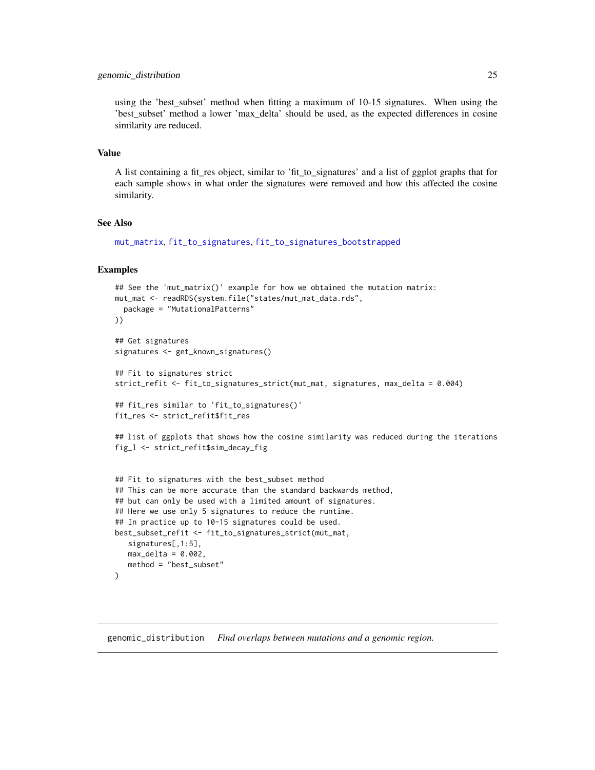#### <span id="page-24-0"></span>genomic\_distribution 25

using the 'best\_subset' method when fitting a maximum of 10-15 signatures. When using the 'best\_subset' method a lower 'max\_delta' should be used, as the expected differences in cosine similarity are reduced.

#### Value

A list containing a fit\_res object, similar to 'fit\_to\_signatures' and a list of ggplot graphs that for each sample shows in what order the signatures were removed and how this affected the cosine similarity.

#### See Also

[mut\\_matrix](#page-39-1), [fit\\_to\\_signatures](#page-20-1), [fit\\_to\\_signatures\\_bootstrapped](#page-21-1)

#### Examples

```
## See the 'mut_matrix()' example for how we obtained the mutation matrix:
mut_mat <- readRDS(system.file("states/mut_mat_data.rds",
  package = "MutationalPatterns"
))
## Get signatures
signatures <- get_known_signatures()
## Fit to signatures strict
strict_refit <- fit_to_signatures_strict(mut_mat, signatures, max_delta = 0.004)
## fit_res similar to 'fit_to_signatures()'
fit_res <- strict_refit$fit_res
## list of ggplots that shows how the cosine similarity was reduced during the iterations
fig_l <- strict_refit$sim_decay_fig
## Fit to signatures with the best_subset method
## This can be more accurate than the standard backwards method,
## but can only be used with a limited amount of signatures.
## Here we use only 5 signatures to reduce the runtime.
## In practice up to 10-15 signatures could be used.
best_subset_refit <- fit_to_signatures_strict(mut_mat,
   signatures[,1:5],
   max\_delta = 0.002,
```

```
genomic_distribution Find overlaps between mutations and a genomic region.
```
method = "best\_subset"

)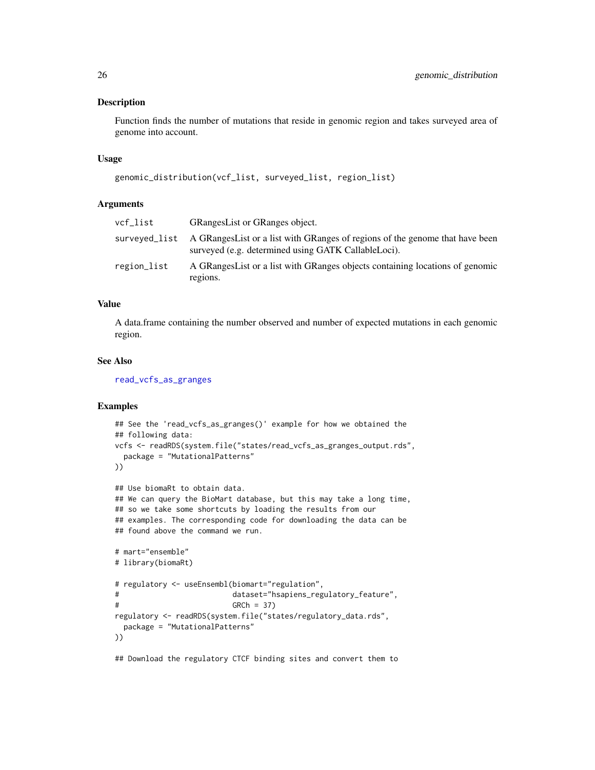#### Description

Function finds the number of mutations that reside in genomic region and takes surveyed area of genome into account.

#### Usage

```
genomic_distribution(vcf_list, surveyed_list, region_list)
```
#### **Arguments**

| vcf list    | <b>GRangesList or GRanges object.</b>                                                                                                              |
|-------------|----------------------------------------------------------------------------------------------------------------------------------------------------|
|             | surveyed list A GRanges List or a list with GRanges of regions of the genome that have been<br>surveyed (e.g. determined using GATK CallableLoci). |
| region_list | A GRanges List or a list with GRanges objects containing locations of genomic<br>regions.                                                          |

## Value

A data.frame containing the number observed and number of expected mutations in each genomic region.

#### See Also

[read\\_vcfs\\_as\\_granges](#page-86-1)

## Examples

```
## See the 'read_vcfs_as_granges()' example for how we obtained the
## following data:
vcfs <- readRDS(system.file("states/read_vcfs_as_granges_output.rds",
 package = "MutationalPatterns"
))
## Use biomaRt to obtain data.
## We can query the BioMart database, but this may take a long time,
## so we take some shortcuts by loading the results from our
## examples. The corresponding code for downloading the data can be
## found above the command we run.
# mart="ensemble"
# library(biomaRt)
# regulatory <- useEnsembl(biomart="regulation",
# dataset="hsapiens_regulatory_feature",
# GRCh = 37)
```

```
regulatory <- readRDS(system.file("states/regulatory_data.rds",
  package = "MutationalPatterns"
))
```
## Download the regulatory CTCF binding sites and convert them to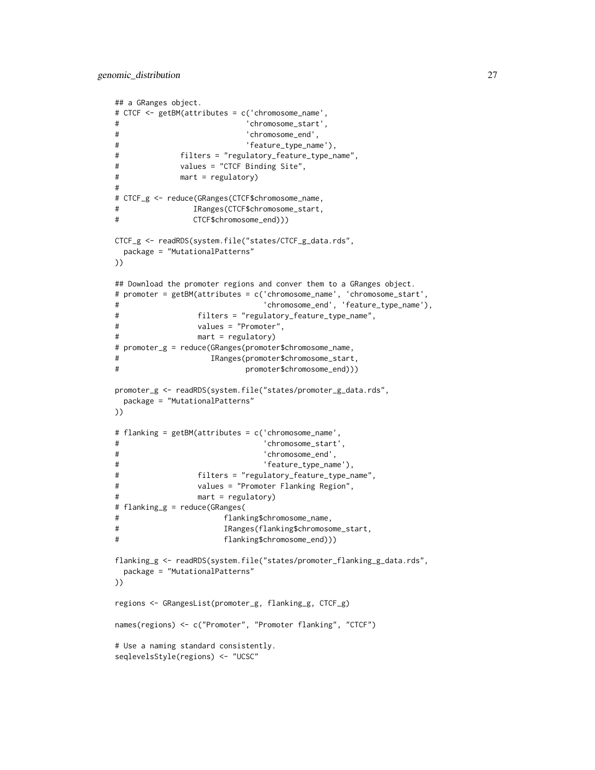```
## a GRanges object.
# CTCF <- getBM(attributes = c('chromosome_name',
# 'chromosome_start',
# 'chromosome_end',
# 'feature_type_name'),
# filters = "regulatory_feature_type_name",
# values = "CTCF Binding Site",
# mart = regulatory)
#
# CTCF_g <- reduce(GRanges(CTCF$chromosome_name,
# IRanges(CTCF$chromosome_start,
# CTCF$chromosome_end)))
CTCF_g <- readRDS(system.file("states/CTCF_g_data.rds",
 package = "MutationalPatterns"
))
## Download the promoter regions and conver them to a GRanges object.
# promoter = getBM(attributes = c('chromosome_name', 'chromosome_start',
# 'chromosome_end', 'feature_type_name'),
# filters = "regulatory_feature_type_name",
# values = "Promoter",
# mart = regulatory)
# promoter_g = reduce(GRanges(promoter$chromosome_name,
# IRanges(promoter$chromosome_start,
# promoter$chromosome_end)))
promoter_g <- readRDS(system.file("states/promoter_g_data.rds",
 package = "MutationalPatterns"
))
# flanking = getBM(attributes = c('chromosome_name',
# 'chromosome_start',
# 'chromosome_end',
# 'feature_type_name'),
# filters = "regulatory_feature_type_name",
# values = "Promoter Flanking Region",
# mart = regulatory)
# flanking_g = reduce(GRanges(
# flanking$chromosome_name,
# IRanges(flanking$chromosome_start,
# flanking$chromosome_end)))
flanking_g <- readRDS(system.file("states/promoter_flanking_g_data.rds",
 package = "MutationalPatterns"
))
regions <- GRangesList(promoter_g, flanking_g, CTCF_g)
names(regions) <- c("Promoter", "Promoter flanking", "CTCF")
# Use a naming standard consistently.
seqlevelsStyle(regions) <- "UCSC"
```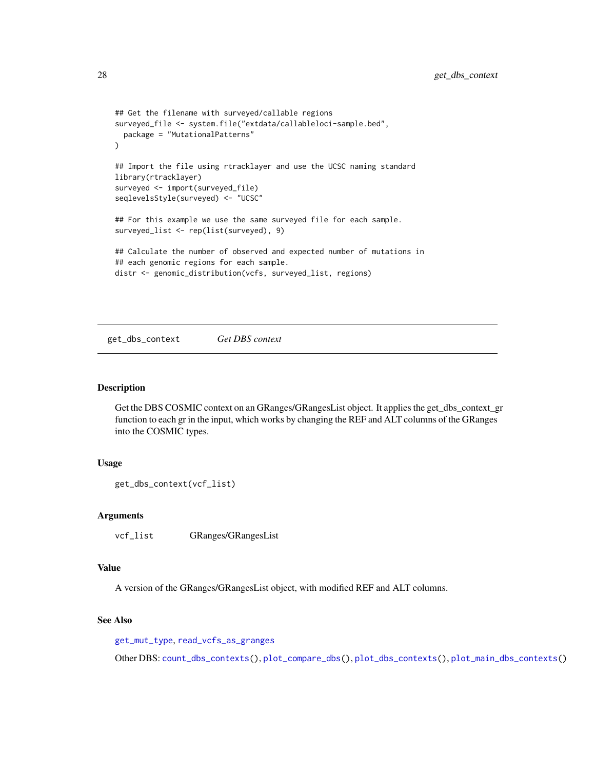```
## Get the filename with surveyed/callable regions
surveyed_file <- system.file("extdata/callableloci-sample.bed",
 package = "MutationalPatterns"
\mathcal{L}## Import the file using rtracklayer and use the UCSC naming standard
library(rtracklayer)
surveyed <- import(surveyed_file)
seqlevelsStyle(surveyed) <- "UCSC"
## For this example we use the same surveyed file for each sample.
surveyed_list <- rep(list(surveyed), 9)
## Calculate the number of observed and expected number of mutations in
## each genomic regions for each sample.
distr <- genomic_distribution(vcfs, surveyed_list, regions)
```
<span id="page-27-1"></span>get\_dbs\_context *Get DBS context*

#### Description

Get the DBS COSMIC context on an GRanges/GRangesList object. It applies the get\_dbs\_context\_gr function to each gr in the input, which works by changing the REF and ALT columns of the GRanges into the COSMIC types.

#### Usage

```
get_dbs_context(vcf_list)
```
#### Arguments

vcf\_list GRanges/GRangesList

## Value

A version of the GRanges/GRangesList object, with modified REF and ALT columns.

## See Also

[get\\_mut\\_type](#page-31-1), [read\\_vcfs\\_as\\_granges](#page-86-1)

Other DBS: [count\\_dbs\\_contexts\(](#page-12-1)), [plot\\_compare\\_dbs\(](#page-49-1)), [plot\\_dbs\\_contexts\(](#page-61-1)), [plot\\_main\\_dbs\\_contexts\(](#page-66-1))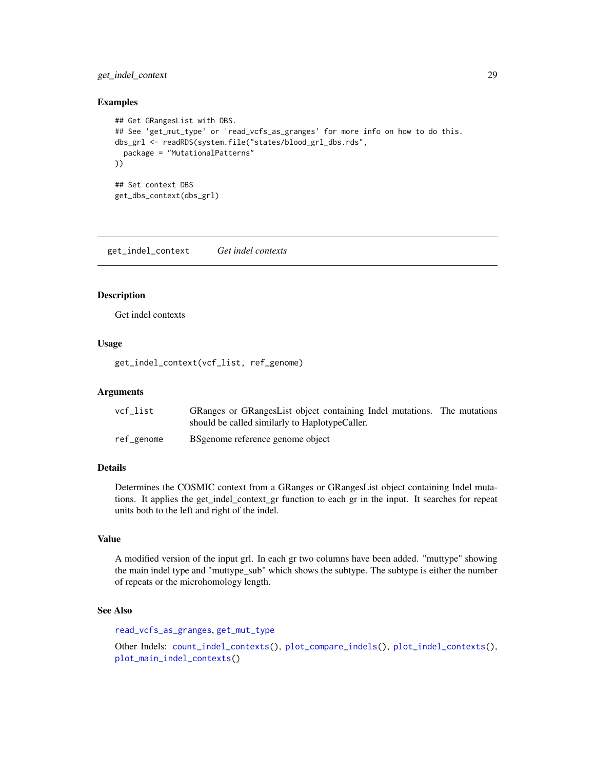## <span id="page-28-0"></span>get\_indel\_context 29

#### Examples

```
## Get GRangesList with DBS.
## See 'get_mut_type' or 'read_vcfs_as_granges' for more info on how to do this.
dbs_grl <- readRDS(system.file("states/blood_grl_dbs.rds",
  package = "MutationalPatterns"
))
## Set context DBS
get_dbs_context(dbs_grl)
```
<span id="page-28-1"></span>get\_indel\_context *Get indel contexts*

#### Description

Get indel contexts

#### Usage

get\_indel\_context(vcf\_list, ref\_genome)

#### Arguments

| vcf list   | GRanges or GRangesList object containing Indel mutations. The mutations |  |
|------------|-------------------------------------------------------------------------|--|
|            | should be called similarly to HaplotypeCaller.                          |  |
| ref_genome | BS genome reference genome object                                       |  |

## Details

Determines the COSMIC context from a GRanges or GRangesList object containing Indel mutations. It applies the get\_indel\_context\_gr function to each gr in the input. It searches for repeat units both to the left and right of the indel.

## Value

A modified version of the input grl. In each gr two columns have been added. "muttype" showing the main indel type and "muttype\_sub" which shows the subtype. The subtype is either the number of repeats or the microhomology length.

#### See Also

[read\\_vcfs\\_as\\_granges](#page-86-1), [get\\_mut\\_type](#page-31-1)

```
Other Indels: count_indel_contexts(), plot_compare_indels(), plot_indel_contexts(),
plot_main_indel_contexts()
```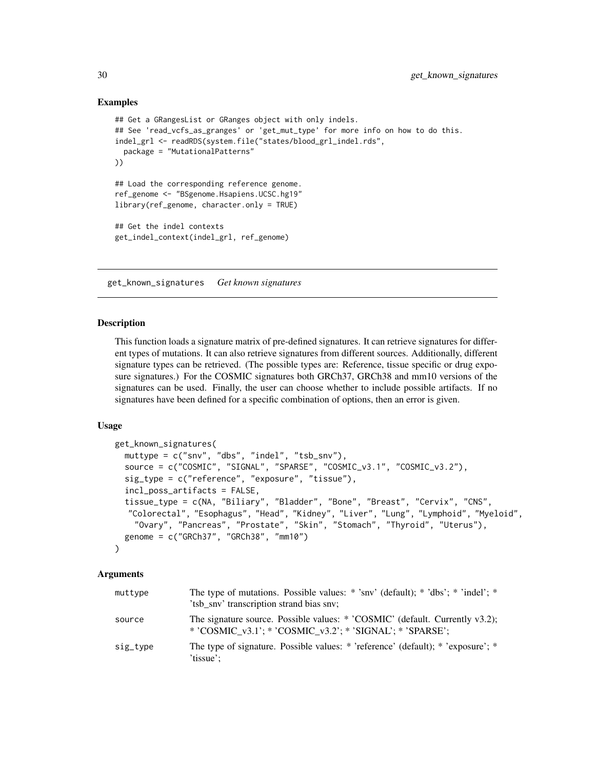#### Examples

```
## Get a GRangesList or GRanges object with only indels.
## See 'read_vcfs_as_granges' or 'get_mut_type' for more info on how to do this.
indel_grl <- readRDS(system.file("states/blood_grl_indel.rds",
 package = "MutationalPatterns"
))
## Load the corresponding reference genome.
ref_genome <- "BSgenome.Hsapiens.UCSC.hg19"
library(ref_genome, character.only = TRUE)
## Get the indel contexts
get_indel_context(indel_grl, ref_genome)
```
get\_known\_signatures *Get known signatures*

#### Description

This function loads a signature matrix of pre-defined signatures. It can retrieve signatures for different types of mutations. It can also retrieve signatures from different sources. Additionally, different signature types can be retrieved. (The possible types are: Reference, tissue specific or drug exposure signatures.) For the COSMIC signatures both GRCh37, GRCh38 and mm10 versions of the signatures can be used. Finally, the user can choose whether to include possible artifacts. If no signatures have been defined for a specific combination of options, then an error is given.

#### Usage

```
get_known_signatures(
  muttype = c("snv", "dbs", "indel", "tsb_snv"),
  source = c("COSMIC", "SIGNAL", "SPARSE", "COSMIC_v3.1", "COSMIC_v3.2"),
  sig_type = c("reference", "exposure", "tissue"),
  incl_poss_artifacts = FALSE,
  tissue_type = c(NA, "Biliary", "Bladder", "Bone", "Breast", "Cervix", "CNS",
  "Colorectal", "Esophagus", "Head", "Kidney", "Liver", "Lung", "Lymphoid", "Myeloid",
    "Ovary", "Pancreas", "Prostate", "Skin", "Stomach", "Thyroid", "Uterus"),
  genome = c("GRCh37", "GRCh38", "mm10")
\lambda
```
## Arguments

| muttype  | The type of mutations. Possible values: $*$ 'snv' (default); $*$ 'dbs'; $*$ 'indel'; $*$<br>'tsb sny' transcription strand bias sny;      |
|----------|-------------------------------------------------------------------------------------------------------------------------------------------|
| source   | The signature source. Possible values: * 'COSMIC' (default. Currently v3.2);<br>* 'COSMIC_v3.1'; * 'COSMIC_v3.2'; * 'SIGNAL'; * 'SPARSE'; |
| sig_type | The type of signature. Possible values: * 'reference' (default); * 'exposure'; *<br>'tissue':                                             |

<span id="page-29-0"></span>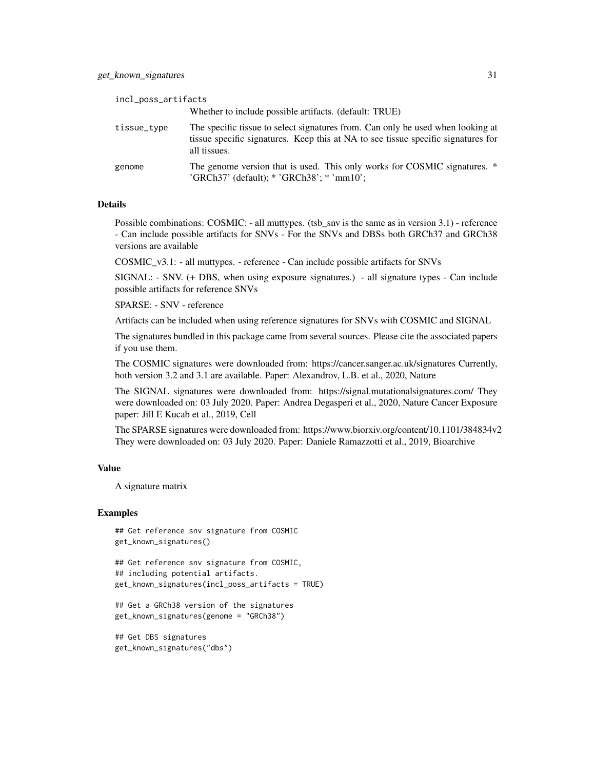| incl_poss_artifacts |                                                                                                                                                                                      |
|---------------------|--------------------------------------------------------------------------------------------------------------------------------------------------------------------------------------|
|                     | Whether to include possible artifacts. (default: TRUE)                                                                                                                               |
| tissue_type         | The specific tissue to select signatures from. Can only be used when looking at<br>tissue specific signatures. Keep this at NA to see tissue specific signatures for<br>all tissues. |
| genome              | The genome version that is used. This only works for COSMIC signatures. *<br>'GRCh37' (default); * 'GRCh38'; * 'mm10';                                                               |

#### Details

Possible combinations: COSMIC: - all muttypes. (tsb snv is the same as in version 3.1) - reference - Can include possible artifacts for SNVs - For the SNVs and DBSs both GRCh37 and GRCh38 versions are available

COSMIC\_v3.1: - all muttypes. - reference - Can include possible artifacts for SNVs

SIGNAL: - SNV. (+ DBS, when using exposure signatures.) - all signature types - Can include possible artifacts for reference SNVs

SPARSE: - SNV - reference

Artifacts can be included when using reference signatures for SNVs with COSMIC and SIGNAL

The signatures bundled in this package came from several sources. Please cite the associated papers if you use them.

The COSMIC signatures were downloaded from: https://cancer.sanger.ac.uk/signatures Currently, both version 3.2 and 3.1 are available. Paper: Alexandrov, L.B. et al., 2020, Nature

The SIGNAL signatures were downloaded from: https://signal.mutationalsignatures.com/ They were downloaded on: 03 July 2020. Paper: Andrea Degasperi et al., 2020, Nature Cancer Exposure paper: Jill E Kucab et al., 2019, Cell

The SPARSE signatures were downloaded from: https://www.biorxiv.org/content/10.1101/384834v2 They were downloaded on: 03 July 2020. Paper: Daniele Ramazzotti et al., 2019, Bioarchive

#### Value

A signature matrix

#### Examples

```
## Get reference snv signature from COSMIC
get_known_signatures()
```

```
## Get reference snv signature from COSMIC,
## including potential artifacts.
get_known_signatures(incl_poss_artifacts = TRUE)
```

```
## Get a GRCh38 version of the signatures
get_known_signatures(genome = "GRCh38")
```
## Get DBS signatures get\_known\_signatures("dbs")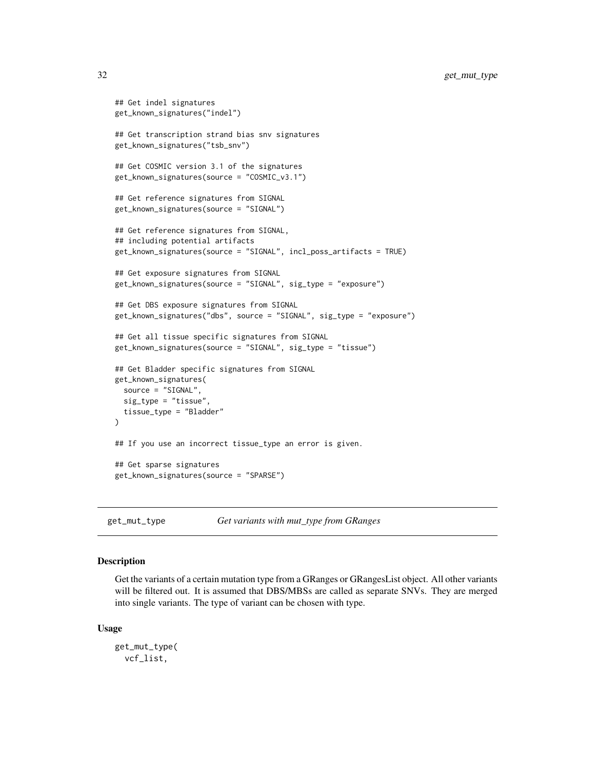```
## Get indel signatures
get_known_signatures("indel")
## Get transcription strand bias snv signatures
get_known_signatures("tsb_snv")
## Get COSMIC version 3.1 of the signatures
get_known_signatures(source = "COSMIC_v3.1")
## Get reference signatures from SIGNAL
get_known_signatures(source = "SIGNAL")
## Get reference signatures from SIGNAL,
## including potential artifacts
get_known_signatures(source = "SIGNAL", incl_poss_artifacts = TRUE)
## Get exposure signatures from SIGNAL
get_known_signatures(source = "SIGNAL", sig_type = "exposure")
## Get DBS exposure signatures from SIGNAL
get_known_signatures("dbs", source = "SIGNAL", sig_type = "exposure")
## Get all tissue specific signatures from SIGNAL
get_known_signatures(source = "SIGNAL", sig_type = "tissue")
## Get Bladder specific signatures from SIGNAL
get_known_signatures(
 source = "SIGNAL",
 sig_type = "tissue",
 tissue_type = "Bladder"
\lambda## If you use an incorrect tissue_type an error is given.
## Get sparse signatures
get_known_signatures(source = "SPARSE")
```
<span id="page-31-1"></span>get\_mut\_type *Get variants with mut\_type from GRanges*

## **Description**

Get the variants of a certain mutation type from a GRanges or GRanges List object. All other variants will be filtered out. It is assumed that DBS/MBSs are called as separate SNVs. They are merged into single variants. The type of variant can be chosen with type.

#### Usage

```
get_mut_type(
  vcf_list,
```
<span id="page-31-0"></span>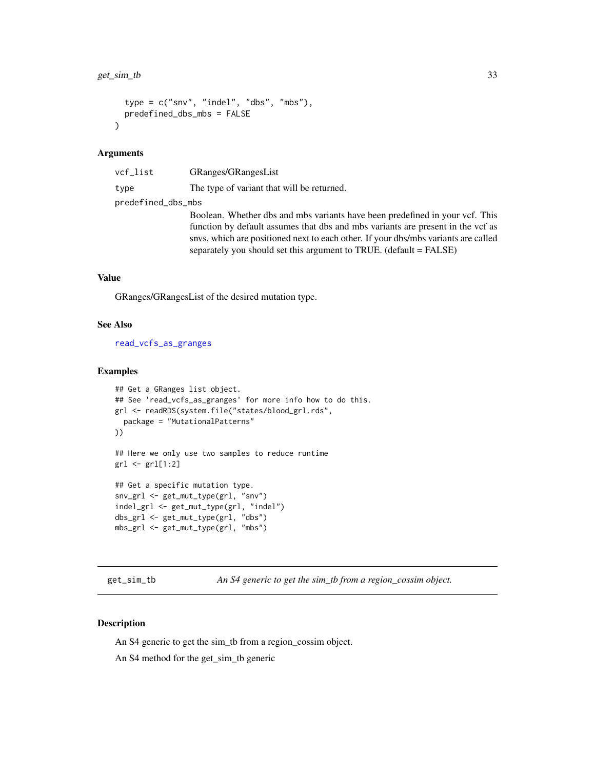```
type = c("snv", "indel", "dbs", "mbs"),predefined_dbs_mbs = FALSE
\lambda
```
#### Arguments

| vcf_list           | GRanges/GRangesList                                                                                                                                                                                                                                                                                                         |
|--------------------|-----------------------------------------------------------------------------------------------------------------------------------------------------------------------------------------------------------------------------------------------------------------------------------------------------------------------------|
| type               | The type of variant that will be returned.                                                                                                                                                                                                                                                                                  |
| predefined_dbs_mbs |                                                                                                                                                                                                                                                                                                                             |
|                    | Boolean. Whether dbs and mbs variants have been predefined in your vcf. This<br>function by default assumes that dbs and mbs variants are present in the vcf as<br>snys, which are positioned next to each other. If your dbs/mbs variants are called<br>separately you should set this argument to TRUE. (default = FALSE) |

## Value

GRanges/GRangesList of the desired mutation type.

#### See Also

[read\\_vcfs\\_as\\_granges](#page-86-1)

#### Examples

```
## Get a GRanges list object.
## See 'read_vcfs_as_granges' for more info how to do this.
grl <- readRDS(system.file("states/blood_grl.rds",
  package = "MutationalPatterns"
))
## Here we only use two samples to reduce runtime
grl <- grl[1:2]
## Get a specific mutation type.
snv_grl <- get_mut_type(grl, "snv")
indel_grl <- get_mut_type(grl, "indel")
dbs_grl <- get_mut_type(grl, "dbs")
mbs_grl <- get_mut_type(grl, "mbs")
```
get\_sim\_tb *An S4 generic to get the sim\_tb from a region\_cossim object.*

#### Description

An S4 generic to get the sim\_tb from a region\_cossim object.

An S4 method for the get\_sim\_tb generic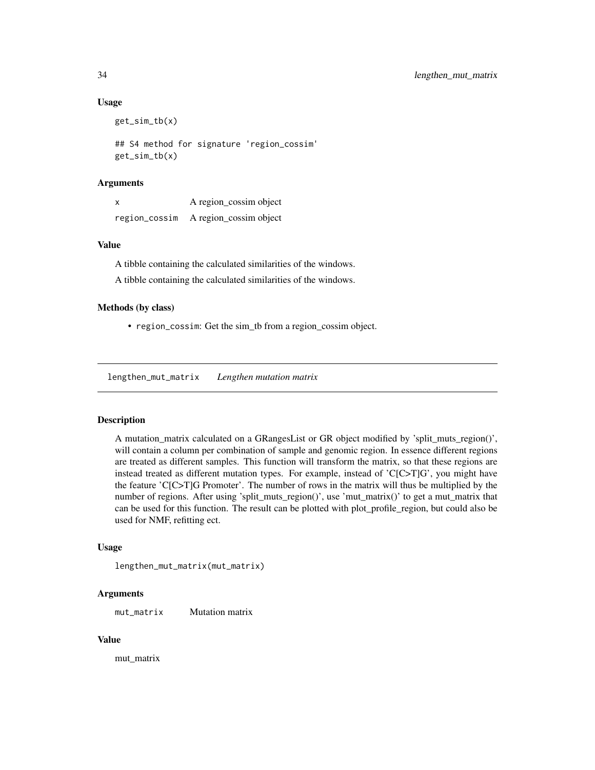#### Usage

get\_sim\_tb(x)

## S4 method for signature 'region\_cossim' get\_sim\_tb(x)

## **Arguments**

| X | A region_cossim object               |
|---|--------------------------------------|
|   | region_cossim A region_cossim object |

## Value

A tibble containing the calculated similarities of the windows.

A tibble containing the calculated similarities of the windows.

#### Methods (by class)

• region\_cossim: Get the sim\_tb from a region\_cossim object.

<span id="page-33-1"></span>lengthen\_mut\_matrix *Lengthen mutation matrix*

#### Description

A mutation\_matrix calculated on a GRangesList or GR object modified by 'split\_muts\_region()', will contain a column per combination of sample and genomic region. In essence different regions are treated as different samples. This function will transform the matrix, so that these regions are instead treated as different mutation types. For example, instead of 'C[C>T]G', you might have the feature 'C[C>T]G Promoter'. The number of rows in the matrix will thus be multiplied by the number of regions. After using 'split\_muts\_region()', use 'mut\_matrix()' to get a mut\_matrix that can be used for this function. The result can be plotted with plot\_profile\_region, but could also be used for NMF, refitting ect.

#### Usage

lengthen\_mut\_matrix(mut\_matrix)

## Arguments

mut\_matrix Mutation matrix

#### Value

mut\_matrix

<span id="page-33-0"></span>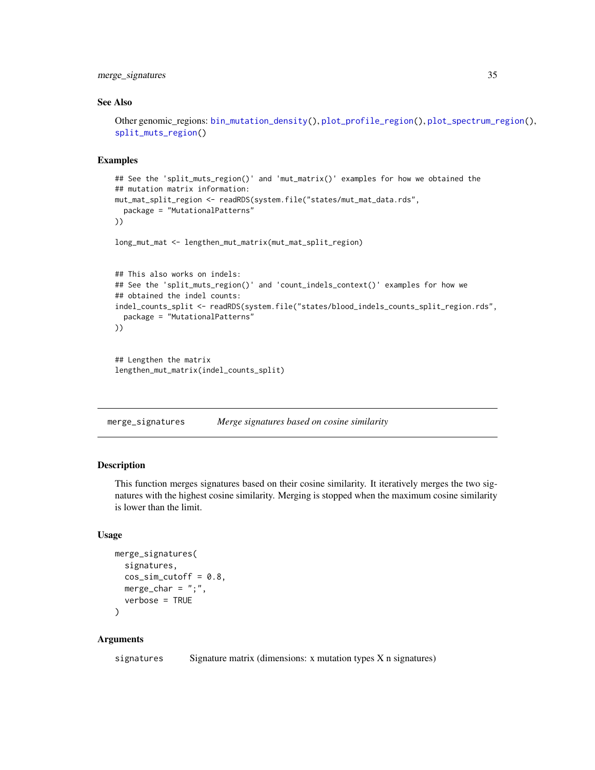## <span id="page-34-0"></span>merge\_signatures 35

#### See Also

```
Other genomic_regions: bin_mutation_density(), plot_profile_region(), plot_spectrum_region(),
split_muts_region()
```
## Examples

```
## See the 'split_muts_region()' and 'mut_matrix()' examples for how we obtained the
## mutation matrix information:
mut_mat_split_region <- readRDS(system.file("states/mut_mat_data.rds",
 package = "MutationalPatterns"
))
long_mut_mat <- lengthen_mut_matrix(mut_mat_split_region)
## This also works on indels:
## See the 'split_muts_region()' and 'count_indels_context()' examples for how we
## obtained the indel counts:
indel_counts_split <- readRDS(system.file("states/blood_indels_counts_split_region.rds",
 package = "MutationalPatterns"
))
```

```
## Lengthen the matrix
lengthen_mut_matrix(indel_counts_split)
```
merge\_signatures *Merge signatures based on cosine similarity*

## Description

This function merges signatures based on their cosine similarity. It iteratively merges the two signatures with the highest cosine similarity. Merging is stopped when the maximum cosine similarity is lower than the limit.

## Usage

```
merge_signatures(
  signatures,
  cos_sim_cutoff = 0.8,
 merge_char = ";",
  verbose = TRUE
)
```
#### Arguments

signatures Signature matrix (dimensions: x mutation types X n signatures)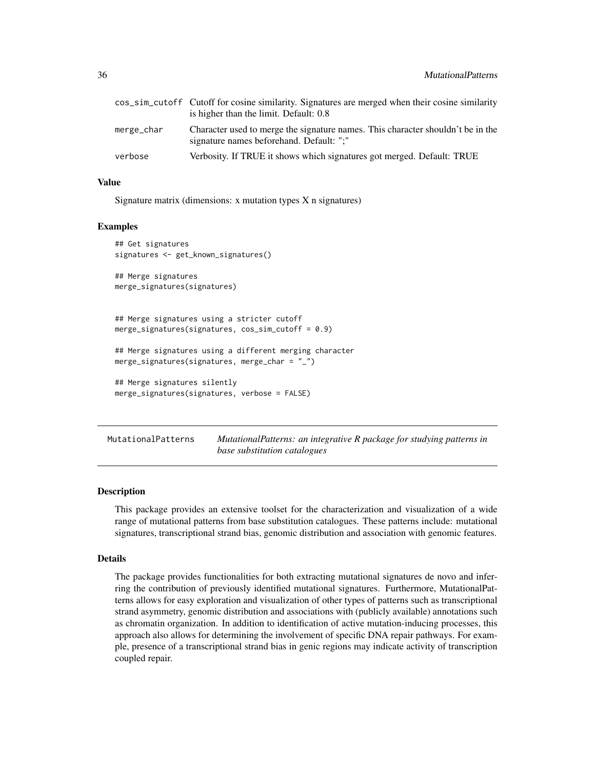<span id="page-35-0"></span>

|            | cos_sim_cutoff Cutoff for cosine similarity. Signatures are merged when their cosine similarity                             |  |
|------------|-----------------------------------------------------------------------------------------------------------------------------|--|
|            | is higher than the limit. Default: 0.8                                                                                      |  |
| merge_char | Character used to merge the signature names. This character shouldn't be in the<br>signature names beforehand. Default: ";" |  |
| verbose    | Verbosity. If TRUE it shows which signatures got merged. Default: TRUE                                                      |  |

## Value

Signature matrix (dimensions: x mutation types X n signatures)

#### Examples

```
## Get signatures
signatures <- get_known_signatures()
## Merge signatures
merge_signatures(signatures)
## Merge signatures using a stricter cutoff
merge_signatures(signatures, cos_sim_cutoff = 0.9)
## Merge signatures using a different merging character
merge_signatures(signatures, merge_char = "_")
## Merge signatures silently
merge_signatures(signatures, verbose = FALSE)
```
MutationalPatterns *MutationalPatterns: an integrative R package for studying patterns in base substitution catalogues*

#### Description

This package provides an extensive toolset for the characterization and visualization of a wide range of mutational patterns from base substitution catalogues. These patterns include: mutational signatures, transcriptional strand bias, genomic distribution and association with genomic features.

#### Details

The package provides functionalities for both extracting mutational signatures de novo and inferring the contribution of previously identified mutational signatures. Furthermore, MutationalPatterns allows for easy exploration and visualization of other types of patterns such as transcriptional strand asymmetry, genomic distribution and associations with (publicly available) annotations such as chromatin organization. In addition to identification of active mutation-inducing processes, this approach also allows for determining the involvement of specific DNA repair pathways. For example, presence of a transcriptional strand bias in genic regions may indicate activity of transcription coupled repair.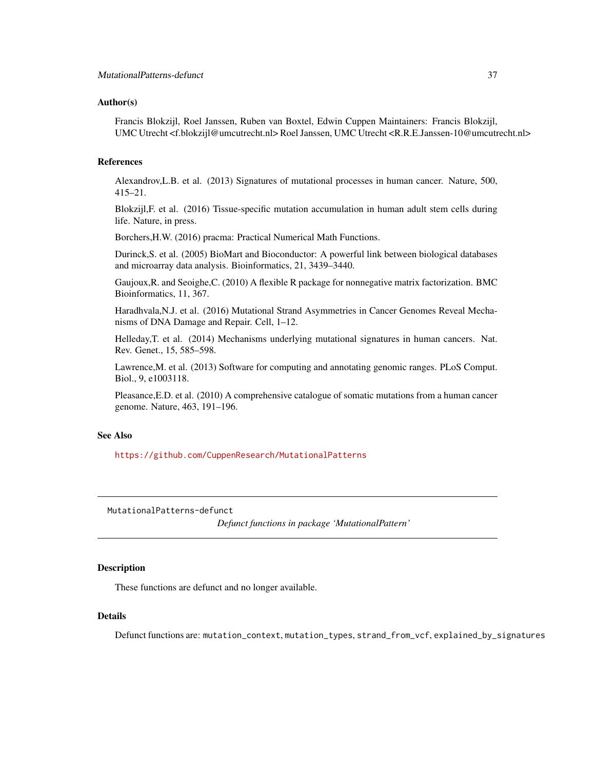### Author(s)

Francis Blokzijl, Roel Janssen, Ruben van Boxtel, Edwin Cuppen Maintainers: Francis Blokzijl, UMC Utrecht <f.blokzijl@umcutrecht.nl> Roel Janssen, UMC Utrecht <R.R.E.Janssen-10@umcutrecht.nl>

#### References

Alexandrov,L.B. et al. (2013) Signatures of mutational processes in human cancer. Nature, 500, 415–21.

Blokzijl,F. et al. (2016) Tissue-specific mutation accumulation in human adult stem cells during life. Nature, in press.

Borchers,H.W. (2016) pracma: Practical Numerical Math Functions.

Durinck,S. et al. (2005) BioMart and Bioconductor: A powerful link between biological databases and microarray data analysis. Bioinformatics, 21, 3439–3440.

Gaujoux,R. and Seoighe,C. (2010) A flexible R package for nonnegative matrix factorization. BMC Bioinformatics, 11, 367.

Haradhvala,N.J. et al. (2016) Mutational Strand Asymmetries in Cancer Genomes Reveal Mechanisms of DNA Damage and Repair. Cell, 1–12.

Helleday,T. et al. (2014) Mechanisms underlying mutational signatures in human cancers. Nat. Rev. Genet., 15, 585–598.

Lawrence,M. et al. (2013) Software for computing and annotating genomic ranges. PLoS Comput. Biol., 9, e1003118.

Pleasance,E.D. et al. (2010) A comprehensive catalogue of somatic mutations from a human cancer genome. Nature, 463, 191–196.

#### See Also

<https://github.com/CuppenResearch/MutationalPatterns>

MutationalPatterns-defunct

*Defunct functions in package 'MutationalPattern'*

### **Description**

These functions are defunct and no longer available.

#### Details

Defunct functions are: mutation\_context, mutation\_types, strand\_from\_vcf, explained\_by\_signatures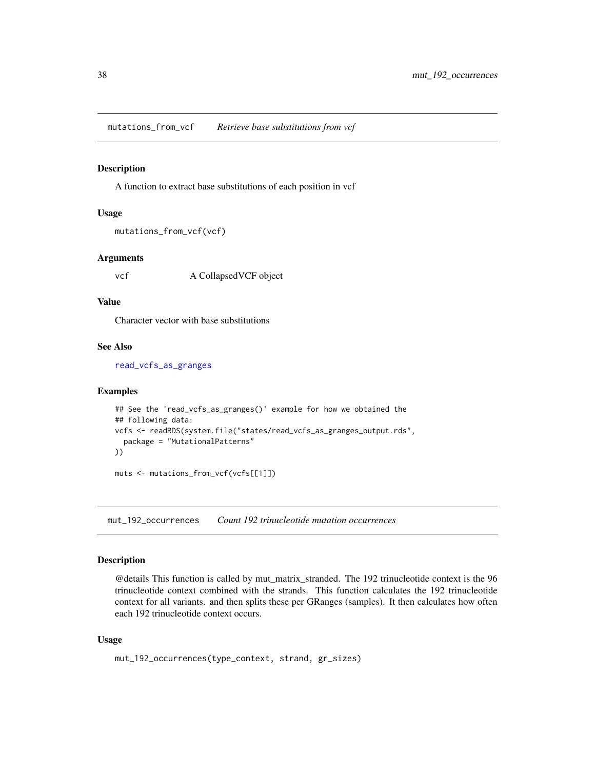mutations\_from\_vcf *Retrieve base substitutions from vcf*

#### Description

A function to extract base substitutions of each position in vcf

### Usage

```
mutations_from_vcf(vcf)
```
### Arguments

vcf A CollapsedVCF object

#### Value

Character vector with base substitutions

# See Also

[read\\_vcfs\\_as\\_granges](#page-86-0)

### Examples

```
## See the 'read_vcfs_as_granges()' example for how we obtained the
## following data:
vcfs <- readRDS(system.file("states/read_vcfs_as_granges_output.rds",
  package = "MutationalPatterns"
))
```
muts <- mutations\_from\_vcf(vcfs[[1]])

mut\_192\_occurrences *Count 192 trinucleotide mutation occurrences*

# Description

@details This function is called by mut\_matrix\_stranded. The 192 trinucleotide context is the 96 trinucleotide context combined with the strands. This function calculates the 192 trinucleotide context for all variants. and then splits these per GRanges (samples). It then calculates how often each 192 trinucleotide context occurs.

```
mut_192_occurrences(type_context, strand, gr_sizes)
```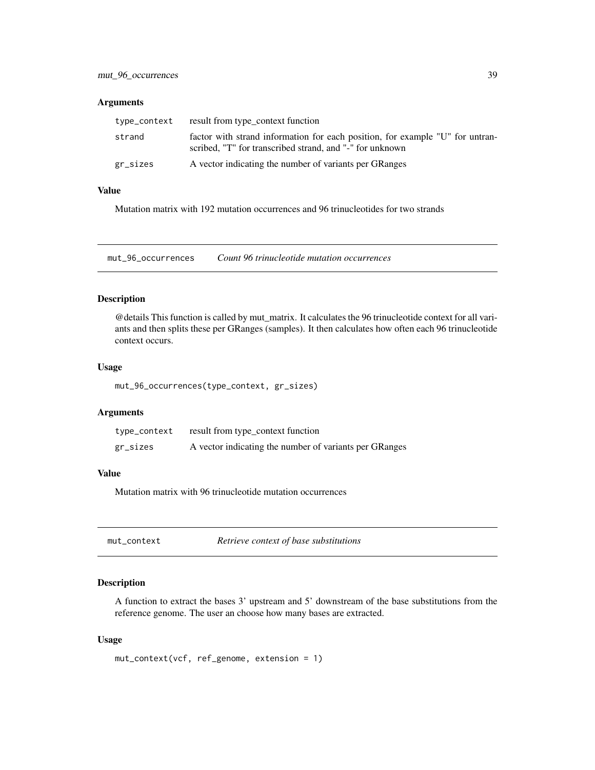# Arguments

| type_context | result from type_context function                                                                                                         |
|--------------|-------------------------------------------------------------------------------------------------------------------------------------------|
| strand       | factor with strand information for each position, for example "U" for untran-<br>scribed, "T" for transcribed strand, and "-" for unknown |
| gr_sizes     | A vector indicating the number of variants per GRanges                                                                                    |

### Value

Mutation matrix with 192 mutation occurrences and 96 trinucleotides for two strands

mut\_96\_occurrences *Count 96 trinucleotide mutation occurrences*

# Description

@details This function is called by mut\_matrix. It calculates the 96 trinucleotide context for all variants and then splits these per GRanges (samples). It then calculates how often each 96 trinucleotide context occurs.

### Usage

mut\_96\_occurrences(type\_context, gr\_sizes)

### Arguments

| type_context | result from type_context function                      |
|--------------|--------------------------------------------------------|
| gr_sizes     | A vector indicating the number of variants per GRanges |

### Value

Mutation matrix with 96 trinucleotide mutation occurrences

mut\_context *Retrieve context of base substitutions*

### Description

A function to extract the bases 3' upstream and 5' downstream of the base substitutions from the reference genome. The user an choose how many bases are extracted.

```
mut_context(vcf, ref_genome, extension = 1)
```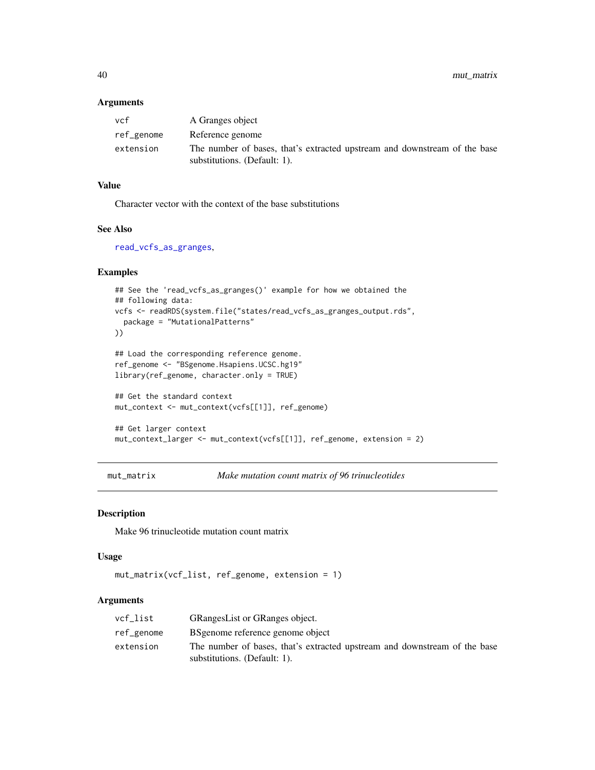40 mut\_matrix

## Arguments

| vcf        | A Granges object                                                                                          |
|------------|-----------------------------------------------------------------------------------------------------------|
| ref_genome | Reference genome                                                                                          |
| extension  | The number of bases, that's extracted upstream and downstream of the base<br>substitutions. (Default: 1). |

# Value

Character vector with the context of the base substitutions

### See Also

[read\\_vcfs\\_as\\_granges](#page-86-0),

# Examples

```
## See the 'read_vcfs_as_granges()' example for how we obtained the
## following data:
vcfs <- readRDS(system.file("states/read_vcfs_as_granges_output.rds",
  package = "MutationalPatterns"
))
## Load the corresponding reference genome.
ref_genome <- "BSgenome.Hsapiens.UCSC.hg19"
library(ref_genome, character.only = TRUE)
## Get the standard context
mut_context <- mut_context(vcfs[[1]], ref_genome)
## Get larger context
```

```
mut_context_larger <- mut_context(vcfs[[1]], ref_genome, extension = 2)
```

```
mut_matrix Make mutation count matrix of 96 trinucleotides
```
### Description

Make 96 trinucleotide mutation count matrix

#### Usage

```
mut_matrix(vcf_list, ref_genome, extension = 1)
```

| vcf_list   | GRangesList or GRanges object.                                                                            |
|------------|-----------------------------------------------------------------------------------------------------------|
| ref_genome | BS genome reference genome object                                                                         |
| extension  | The number of bases, that's extracted upstream and downstream of the base<br>substitutions. (Default: 1). |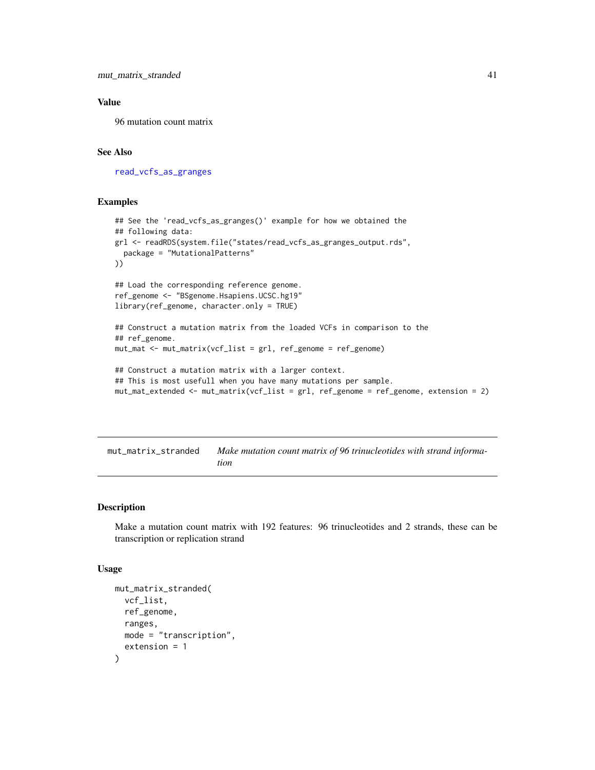# Value

96 mutation count matrix

# See Also

[read\\_vcfs\\_as\\_granges](#page-86-0)

### Examples

```
## See the 'read_vcfs_as_granges()' example for how we obtained the
## following data:
grl <- readRDS(system.file("states/read_vcfs_as_granges_output.rds",
  package = "MutationalPatterns"
))
## Load the corresponding reference genome.
ref_genome <- "BSgenome.Hsapiens.UCSC.hg19"
library(ref_genome, character.only = TRUE)
## Construct a mutation matrix from the loaded VCFs in comparison to the
## ref_genome.
mut_mat <- mut_matrix(vcf_list = grl, ref_genome = ref_genome)
## Construct a mutation matrix with a larger context.
## This is most usefull when you have many mutations per sample.
mut_mat_extended <- mut_matrix(vcf_list = grl, ref_genome = ref_genome, extension = 2)
```
<span id="page-40-0"></span>mut\_matrix\_stranded *Make mutation count matrix of 96 trinucleotides with strand information*

### Description

Make a mutation count matrix with 192 features: 96 trinucleotides and 2 strands, these can be transcription or replication strand

```
mut_matrix_stranded(
  vcf_list,
  ref_genome,
  ranges,
 mode = "transcription",
  extension = 1
)
```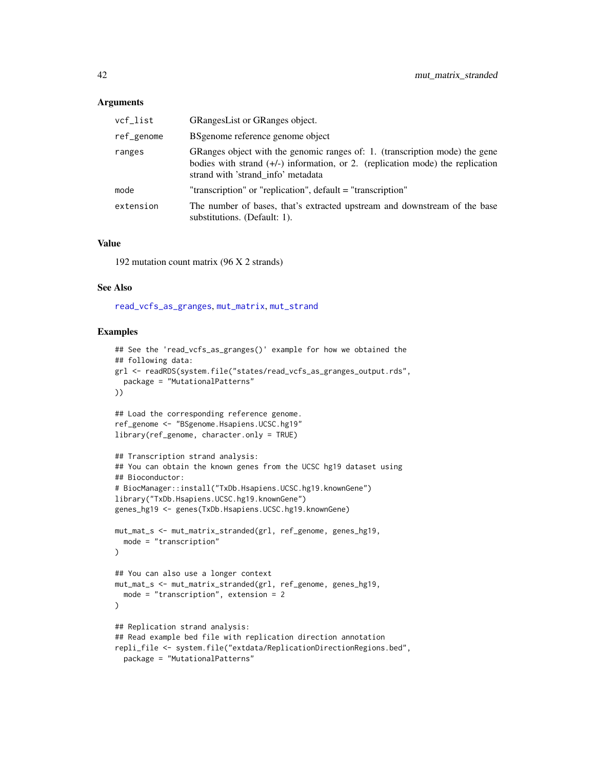### **Arguments**

| vcf_list   | <b>GRangesList or GRanges object.</b>                                                                                                                                                                 |
|------------|-------------------------------------------------------------------------------------------------------------------------------------------------------------------------------------------------------|
| ref_genome | BS genome reference genome object                                                                                                                                                                     |
| ranges     | GRanges object with the genomic ranges of: 1. (transcription mode) the gene<br>bodies with strand $(+/-)$ information, or 2. (replication mode) the replication<br>strand with 'strand info' metadata |
| mode       | "transcription" or "replication", default = "transcription"                                                                                                                                           |
| extension  | The number of bases, that's extracted upstream and downstream of the base<br>substitutions. (Default: 1).                                                                                             |

#### Value

192 mutation count matrix (96 X 2 strands)

### See Also

[read\\_vcfs\\_as\\_granges](#page-86-0), [mut\\_matrix](#page-39-0), [mut\\_strand](#page-42-0)

```
## See the 'read_vcfs_as_granges()' example for how we obtained the
## following data:
grl <- readRDS(system.file("states/read_vcfs_as_granges_output.rds",
  package = "MutationalPatterns"
))
## Load the corresponding reference genome.
ref_genome <- "BSgenome.Hsapiens.UCSC.hg19"
library(ref_genome, character.only = TRUE)
## Transcription strand analysis:
## You can obtain the known genes from the UCSC hg19 dataset using
## Bioconductor:
# BiocManager::install("TxDb.Hsapiens.UCSC.hg19.knownGene")
library("TxDb.Hsapiens.UCSC.hg19.knownGene")
genes_hg19 <- genes(TxDb.Hsapiens.UCSC.hg19.knownGene)
mut_mat_s <- mut_matrix_stranded(grl, ref_genome, genes_hg19,
  mode = "transcription"
\lambda## You can also use a longer context
mut_mat_s <- mut_matrix_stranded(grl, ref_genome, genes_hg19,
  mode = "transcription", extension = 2
)
## Replication strand analysis:
## Read example bed file with replication direction annotation
repli_file <- system.file("extdata/ReplicationDirectionRegions.bed",
  package = "MutationalPatterns"
```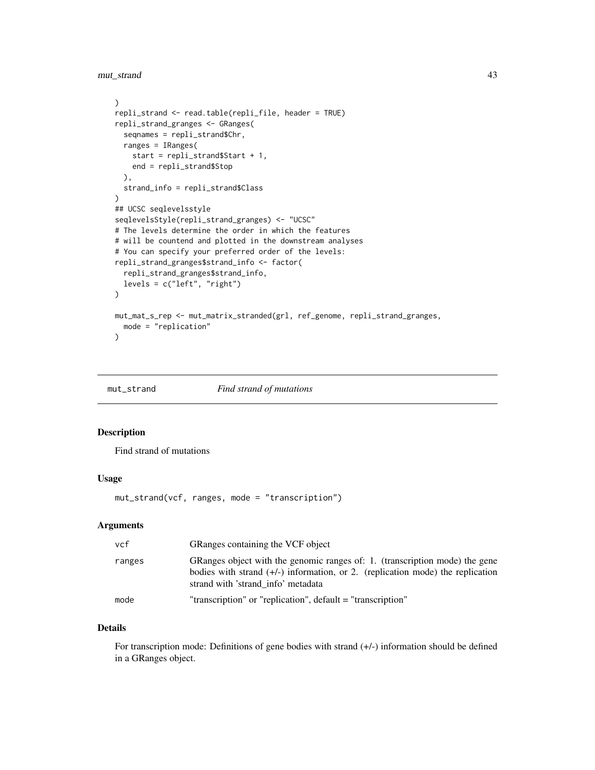mut\_strand 43

```
\lambdarepli_strand <- read.table(repli_file, header = TRUE)
repli_strand_granges <- GRanges(
  seqnames = repli_strand$Chr,
  ranges = IRanges(
   start = repli_strand$Start + 1,
    end = repli_strand$Stop
  ),
  strand_info = repli_strand$Class
\mathcal{L}## UCSC seqlevelsstyle
seqlevelsStyle(repli_strand_granges) <- "UCSC"
# The levels determine the order in which the features
# will be countend and plotted in the downstream analyses
# You can specify your preferred order of the levels:
repli_strand_granges$strand_info <- factor(
  repli_strand_granges$strand_info,
  levels = c("left", "right")
)
mut_mat_s_rep <- mut_matrix_stranded(grl, ref_genome, repli_strand_granges,
  mode = "replication"
\mathcal{L}
```
<span id="page-42-0"></span>mut\_strand *Find strand of mutations*

# Description

Find strand of mutations

### Usage

mut\_strand(vcf, ranges, mode = "transcription")

#### Arguments

| vcf    | GRanges containing the VCF object                                                                                                                                                                     |
|--------|-------------------------------------------------------------------------------------------------------------------------------------------------------------------------------------------------------|
| ranges | GRanges object with the genomic ranges of: 1. (transcription mode) the gene<br>bodies with strand $(+/-)$ information, or 2. (replication mode) the replication<br>strand with 'strand info' metadata |
| mode   | "transcription" or "replication", default = "transcription"                                                                                                                                           |

# Details

For transcription mode: Definitions of gene bodies with strand  $(+/-)$  information should be defined in a GRanges object.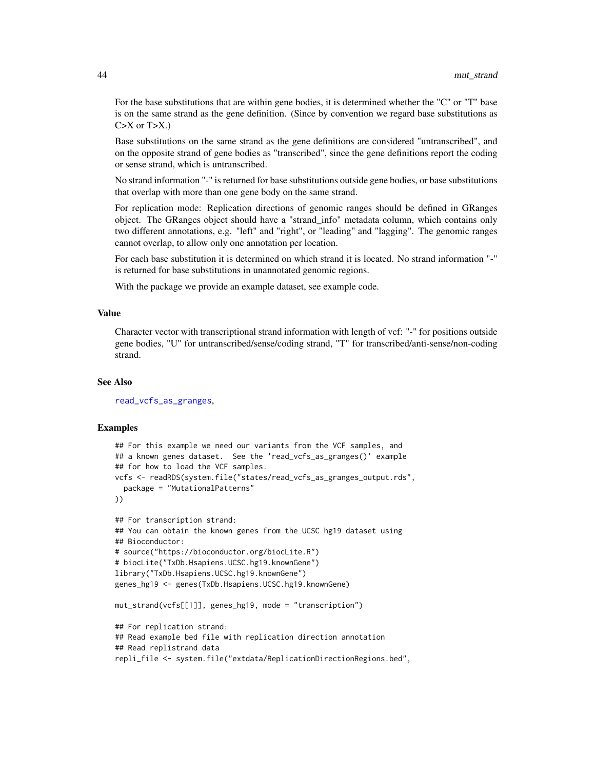For the base substitutions that are within gene bodies, it is determined whether the "C" or "T" base is on the same strand as the gene definition. (Since by convention we regard base substitutions as  $C > X$  or  $T > X$ .)

Base substitutions on the same strand as the gene definitions are considered "untranscribed", and on the opposite strand of gene bodies as "transcribed", since the gene definitions report the coding or sense strand, which is untranscribed.

No strand information "-" is returned for base substitutions outside gene bodies, or base substitutions that overlap with more than one gene body on the same strand.

For replication mode: Replication directions of genomic ranges should be defined in GRanges object. The GRanges object should have a "strand\_info" metadata column, which contains only two different annotations, e.g. "left" and "right", or "leading" and "lagging". The genomic ranges cannot overlap, to allow only one annotation per location.

For each base substitution it is determined on which strand it is located. No strand information "-" is returned for base substitutions in unannotated genomic regions.

With the package we provide an example dataset, see example code.

#### Value

Character vector with transcriptional strand information with length of vcf: "-" for positions outside gene bodies, "U" for untranscribed/sense/coding strand, "T" for transcribed/anti-sense/non-coding strand.

#### See Also

[read\\_vcfs\\_as\\_granges](#page-86-0),

```
## For this example we need our variants from the VCF samples, and
## a known genes dataset. See the 'read_vcfs_as_granges()' example
## for how to load the VCF samples.
vcfs <- readRDS(system.file("states/read_vcfs_as_granges_output.rds",
 package = "MutationalPatterns"
))
## For transcription strand:
## You can obtain the known genes from the UCSC hg19 dataset using
## Bioconductor:
# source("https://bioconductor.org/biocLite.R")
# biocLite("TxDb.Hsapiens.UCSC.hg19.knownGene")
library("TxDb.Hsapiens.UCSC.hg19.knownGene")
genes_hg19 <- genes(TxDb.Hsapiens.UCSC.hg19.knownGene)
mut_strand(vcfs[[1]], genes_hg19, mode = "transcription")
## For replication strand:
## Read example bed file with replication direction annotation
## Read replistrand data
repli_file <- system.file("extdata/ReplicationDirectionRegions.bed",
```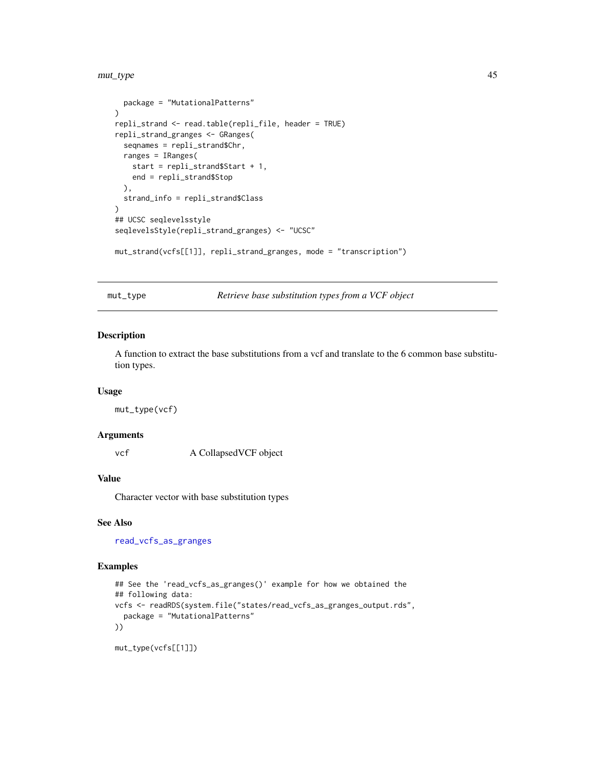#### mut\_type 45

```
package = "MutationalPatterns"
)
repli_strand <- read.table(repli_file, header = TRUE)
repli_strand_granges <- GRanges(
  seqnames = repli_strand$Chr,
 ranges = IRanges(
   start = repli_strand$Start + 1,
   end = repli_strand$Stop
  ),
  strand_info = repli_strand$Class
)
## UCSC seqlevelsstyle
seqlevelsStyle(repli_strand_granges) <- "UCSC"
mut_strand(vcfs[[1]], repli_strand_granges, mode = "transcription")
```
mut\_type *Retrieve base substitution types from a VCF object*

# Description

A function to extract the base substitutions from a vcf and translate to the 6 common base substitution types.

#### Usage

mut\_type(vcf)

### Arguments

vcf A CollapsedVCF object

# Value

Character vector with base substitution types

#### See Also

[read\\_vcfs\\_as\\_granges](#page-86-0)

# Examples

```
## See the 'read_vcfs_as_granges()' example for how we obtained the
## following data:
vcfs <- readRDS(system.file("states/read_vcfs_as_granges_output.rds",
  package = "MutationalPatterns"
))
```
mut\_type(vcfs[[1]])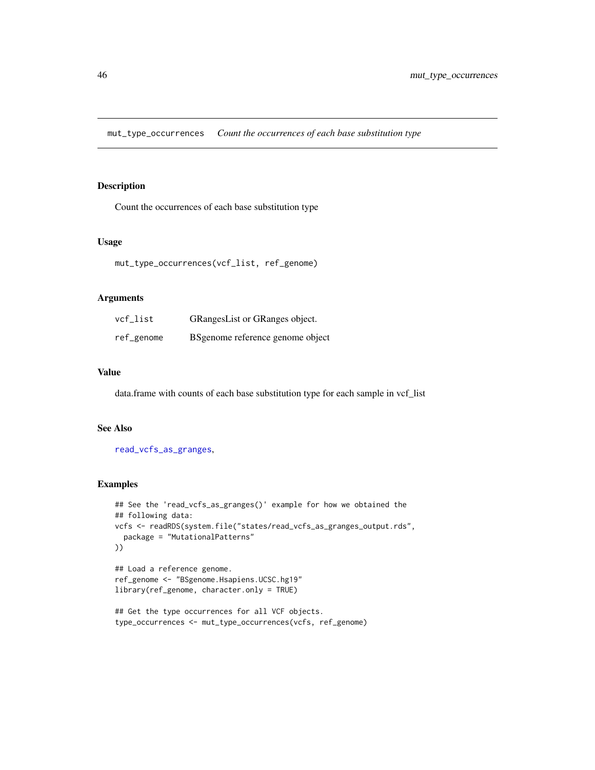mut\_type\_occurrences *Count the occurrences of each base substitution type*

# Description

Count the occurrences of each base substitution type

### Usage

```
mut_type_occurrences(vcf_list, ref_genome)
```
### Arguments

| vcf_list   | GRangesList or GRanges object.    |
|------------|-----------------------------------|
| ref_genome | BS genome reference genome object |

### Value

data.frame with counts of each base substitution type for each sample in vcf\_list

### See Also

[read\\_vcfs\\_as\\_granges](#page-86-0),

```
## See the 'read_vcfs_as_granges()' example for how we obtained the
## following data:
vcfs <- readRDS(system.file("states/read_vcfs_as_granges_output.rds",
  package = "MutationalPatterns"
))
```

```
## Load a reference genome.
ref_genome <- "BSgenome.Hsapiens.UCSC.hg19"
library(ref_genome, character.only = TRUE)
```

```
## Get the type occurrences for all VCF objects.
type_occurrences <- mut_type_occurrences(vcfs, ref_genome)
```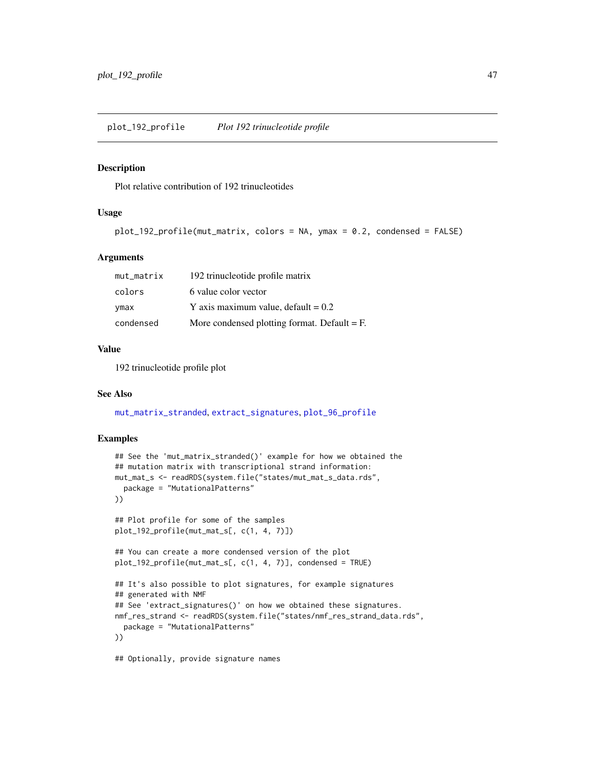#### Description

Plot relative contribution of 192 trinucleotides

### Usage

```
plot_192_profile(mut_matrix, colors = NA, ymax = 0.2, condensed = FALSE)
```
### Arguments

| mut_matrix | 192 trinucleotide profile matrix               |
|------------|------------------------------------------------|
| colors     | 6 value color vector                           |
| ymax       | Y axis maximum value, default $= 0.2$          |
| condensed  | More condensed plotting format. Default $=$ F. |

#### Value

192 trinucleotide profile plot

## See Also

[mut\\_matrix\\_stranded](#page-40-0), [extract\\_signatures](#page-18-0), [plot\\_96\\_profile](#page-47-0)

```
## See the 'mut_matrix_stranded()' example for how we obtained the
## mutation matrix with transcriptional strand information:
mut_mat_s <- readRDS(system.file("states/mut_mat_s_data.rds",
  package = "MutationalPatterns"
))
## Plot profile for some of the samples
plot_192_profile(mut_mat_s[, c(1, 4, 7)])
## You can create a more condensed version of the plot
plot_192_profile(mut_mat_s[, c(1, 4, 7)], condensed = TRUE)
## It's also possible to plot signatures, for example signatures
## generated with NMF
## See 'extract_signatures()' on how we obtained these signatures.
nmf_res_strand <- readRDS(system.file("states/nmf_res_strand_data.rds",
  package = "MutationalPatterns"
))
## Optionally, provide signature names
```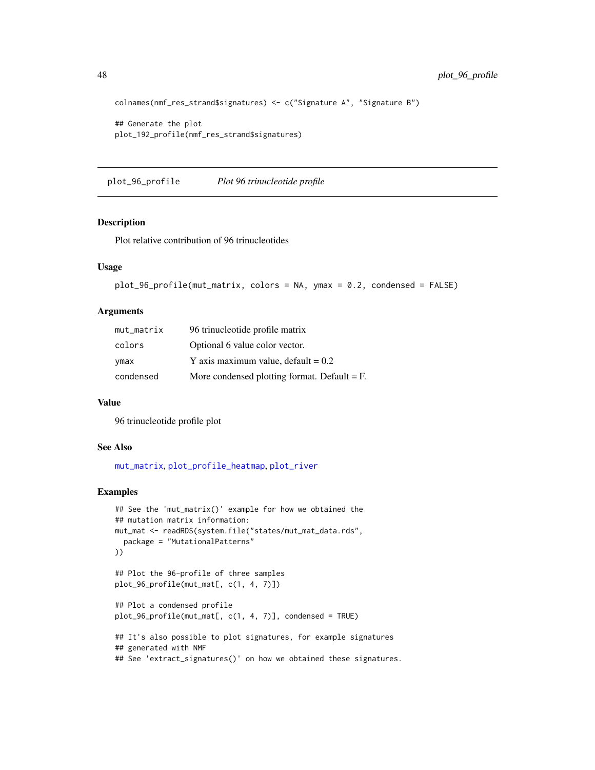```
colnames(nmf_res_strand$signatures) <- c("Signature A", "Signature B")
```

```
## Generate the plot
plot_192_profile(nmf_res_strand$signatures)
```
<span id="page-47-0"></span>plot\_96\_profile *Plot 96 trinucleotide profile*

#### Description

Plot relative contribution of 96 trinucleotides

#### Usage

```
plot_96_profile(mut_matrix, colors = NA, ymax = 0.2, condensed = FALSE)
```
# Arguments

| mut_matrix | 96 trinucleotide profile matrix                |
|------------|------------------------------------------------|
| colors     | Optional 6 value color vector.                 |
| ymax       | Y axis maximum value, default = $0.2$          |
| condensed  | More condensed plotting format. Default $=$ F. |

#### Value

96 trinucleotide profile plot

#### See Also

[mut\\_matrix](#page-39-0), [plot\\_profile\\_heatmap](#page-70-0), [plot\\_river](#page-77-0)

```
## See the 'mut_matrix()' example for how we obtained the
## mutation matrix information:
mut_mat <- readRDS(system.file("states/mut_mat_data.rds",
  package = "MutationalPatterns"
))
## Plot the 96-profile of three samples
plot_96_profile(mut_mat[, c(1, 4, 7)])
## Plot a condensed profile
plot_96_profile(mut_mat[, c(1, 4, 7)], condensed = TRUE)
## It's also possible to plot signatures, for example signatures
## generated with NMF
## See 'extract_signatures()' on how we obtained these signatures.
```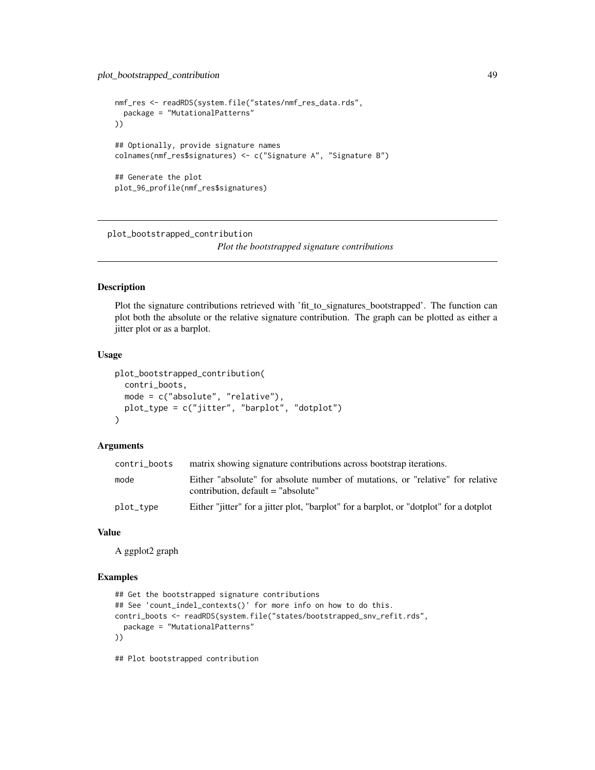```
nmf_res <- readRDS(system.file("states/nmf_res_data.rds",
  package = "MutationalPatterns"
))
## Optionally, provide signature names
colnames(nmf_res$signatures) <- c("Signature A", "Signature B")
## Generate the plot
plot_96_profile(nmf_res$signatures)
```
plot\_bootstrapped\_contribution

*Plot the bootstrapped signature contributions*

### **Description**

Plot the signature contributions retrieved with 'fit\_to\_signatures\_bootstrapped'. The function can plot both the absolute or the relative signature contribution. The graph can be plotted as either a jitter plot or as a barplot.

#### Usage

```
plot_bootstrapped_contribution(
  contri_boots,
 mode = c("absolute", "relative"),
 plot_type = c("jitter", "barplot", "dotplot")
\lambda
```
### Arguments

| contri_boots | matrix showing signature contributions across bootstrap iterations.                                                    |
|--------------|------------------------------------------------------------------------------------------------------------------------|
| mode         | Either "absolute" for absolute number of mutations, or "relative" for relative<br>contribution, $default = "absolute"$ |
| plot_type    | Either "jitter" for a jitter plot, "barplot" for a barplot, or "dotplot" for a dotplot                                 |

### Value

A ggplot2 graph

### Examples

```
## Get the bootstrapped signature contributions
## See 'count_indel_contexts()' for more info on how to do this.
contri_boots <- readRDS(system.file("states/bootstrapped_snv_refit.rds",
  package = "MutationalPatterns"
))
```
## Plot bootstrapped contribution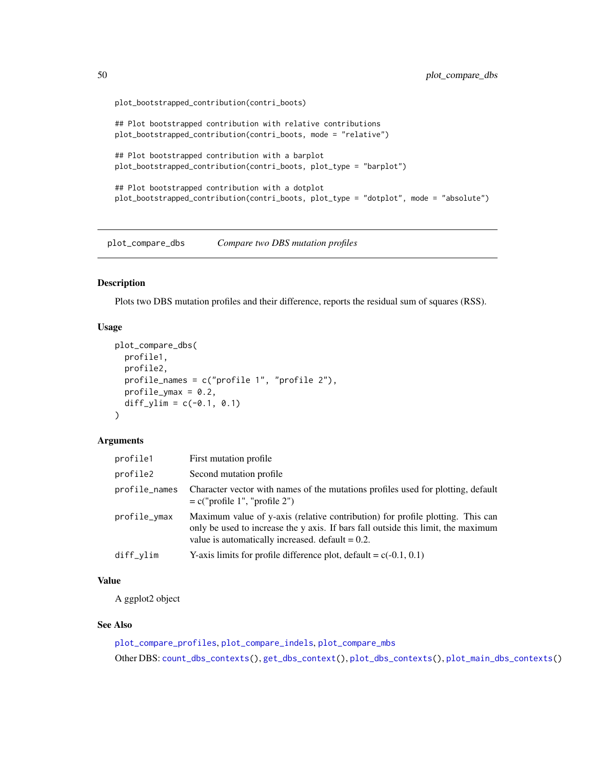```
plot_bootstrapped_contribution(contri_boots)
```

```
## Plot bootstrapped contribution with relative contributions
plot_bootstrapped_contribution(contri_boots, mode = "relative")
## Plot bootstrapped contribution with a barplot
plot_bootstrapped_contribution(contri_boots, plot_type = "barplot")
## Plot bootstrapped contribution with a dotplot
plot_bootstrapped_contribution(contri_boots, plot_type = "dotplot", mode = "absolute")
```
<span id="page-49-0"></span>plot\_compare\_dbs *Compare two DBS mutation profiles*

### Description

Plots two DBS mutation profiles and their difference, reports the residual sum of squares (RSS).

# Usage

```
plot_compare_dbs(
 profile1,
 profile2,
  profile_names = c("profile 1", "profile 2"),
 profile_ymax = 0.2,
  diff\_ylim = c(-0.1, 0.1))
```
#### Arguments

| profile1      | First mutation profile                                                                                                                                                                                                     |
|---------------|----------------------------------------------------------------------------------------------------------------------------------------------------------------------------------------------------------------------------|
| profile2      | Second mutation profile                                                                                                                                                                                                    |
| profile_names | Character vector with names of the mutations profiles used for plotting, default<br>$= c("profile 1", "profile 2")$                                                                                                        |
| profile_ymax  | Maximum value of y-axis (relative contribution) for profile plotting. This can<br>only be used to increase the y axis. If bars fall outside this limit, the maximum<br>value is automatically increased. default $= 0.2$ . |
| diff_ylim     | Y-axis limits for profile difference plot, default = $c(-0.1, 0.1)$                                                                                                                                                        |

# Value

A ggplot2 object

# See Also

```
plot_compare_profiles, plot_compare_indels, plot_compare_mbs
Other DBS: count_dbs_contexts(), get_dbs_context(), plot_dbs_contexts(), plot_main_dbs_contexts()
```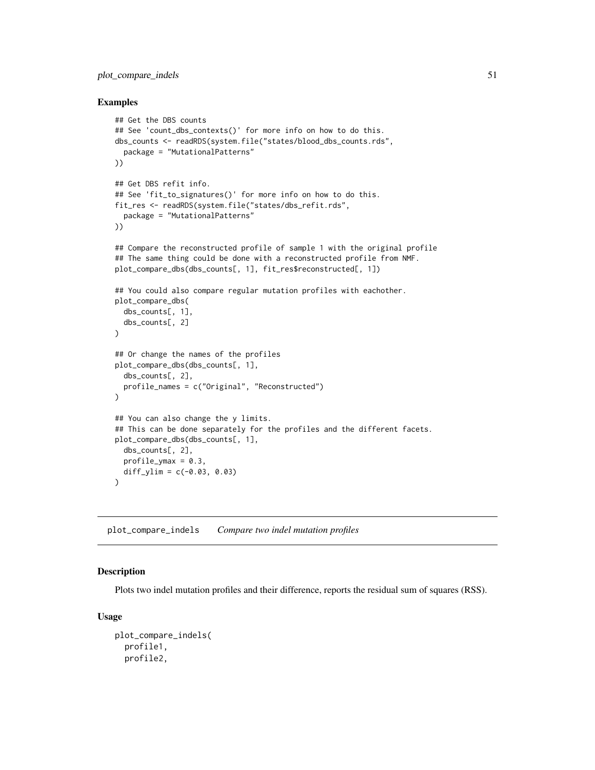# plot\_compare\_indels 51

### Examples

```
## Get the DBS counts
## See 'count_dbs_contexts()' for more info on how to do this.
dbs_counts <- readRDS(system.file("states/blood_dbs_counts.rds",
  package = "MutationalPatterns"
))
## Get DBS refit info.
## See 'fit_to_signatures()' for more info on how to do this.
fit_res <- readRDS(system.file("states/dbs_refit.rds",
  package = "MutationalPatterns"
))
## Compare the reconstructed profile of sample 1 with the original profile
## The same thing could be done with a reconstructed profile from NMF.
plot_compare_dbs(dbs_counts[, 1], fit_res$reconstructed[, 1])
## You could also compare regular mutation profiles with eachother.
plot_compare_dbs(
  dbs_counts[, 1],
  dbs_counts[, 2]
)
## Or change the names of the profiles
plot_compare_dbs(dbs_counts[, 1],
  dbs_counts[, 2],
  profile_names = c("Original", "Reconstructed")
)
## You can also change the y limits.
## This can be done separately for the profiles and the different facets.
plot_compare_dbs(dbs_counts[, 1],
  dbs_counts[, 2],
  profile_ymax = 0.3,
  diff_ylim = c(-0.03, 0.03))
```
<span id="page-50-0"></span>plot\_compare\_indels *Compare two indel mutation profiles*

# Description

Plots two indel mutation profiles and their difference, reports the residual sum of squares (RSS).

```
plot_compare_indels(
  profile1,
 profile2,
```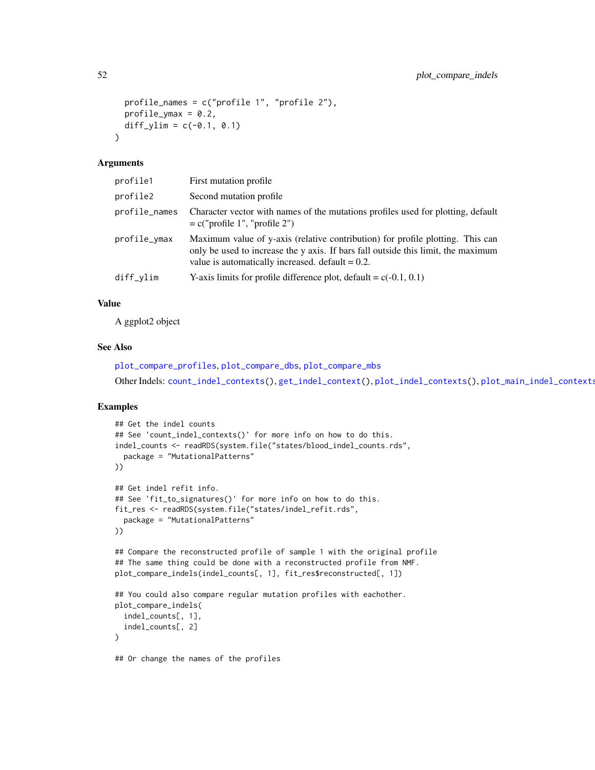```
profile_names = c("profile 1", "profile 2"),
 profile\_ymax = 0.2,
  diff\_ylim = c(-0.1, 0.1)\lambda
```
### Arguments

| profile1      | First mutation profile                                                                                                                                                                                                     |
|---------------|----------------------------------------------------------------------------------------------------------------------------------------------------------------------------------------------------------------------------|
| profile2      | Second mutation profile                                                                                                                                                                                                    |
| profile_names | Character vector with names of the mutations profiles used for plotting, default<br>$= c("profile 1", "profile 2")$                                                                                                        |
| profile_ymax  | Maximum value of y-axis (relative contribution) for profile plotting. This can<br>only be used to increase the y axis. If bars fall outside this limit, the maximum<br>value is automatically increased, $default = 0.2$ . |
| diff_ylim     | Y-axis limits for profile difference plot, default = $c(-0.1, 0.1)$                                                                                                                                                        |

### Value

A ggplot2 object

# See Also

```
plot_compare_profiles, plot_compare_dbs, plot_compare_mbs
Other Indels: count_indel_contexts(), get_indel_context(), plot_indel_contexts(), plot_main_indel_contexts()
```

```
## Get the indel counts
## See 'count_indel_contexts()' for more info on how to do this.
indel_counts <- readRDS(system.file("states/blood_indel_counts.rds",
  package = "MutationalPatterns"
))
## Get indel refit info.
## See 'fit_to_signatures()' for more info on how to do this.
fit_res <- readRDS(system.file("states/indel_refit.rds",
  package = "MutationalPatterns"
))
## Compare the reconstructed profile of sample 1 with the original profile
## The same thing could be done with a reconstructed profile from NMF.
plot_compare_indels(indel_counts[, 1], fit_res$reconstructed[, 1])
## You could also compare regular mutation profiles with eachother.
plot_compare_indels(
  indel_counts[, 1],
  indel_counts[, 2]
)
## Or change the names of the profiles
```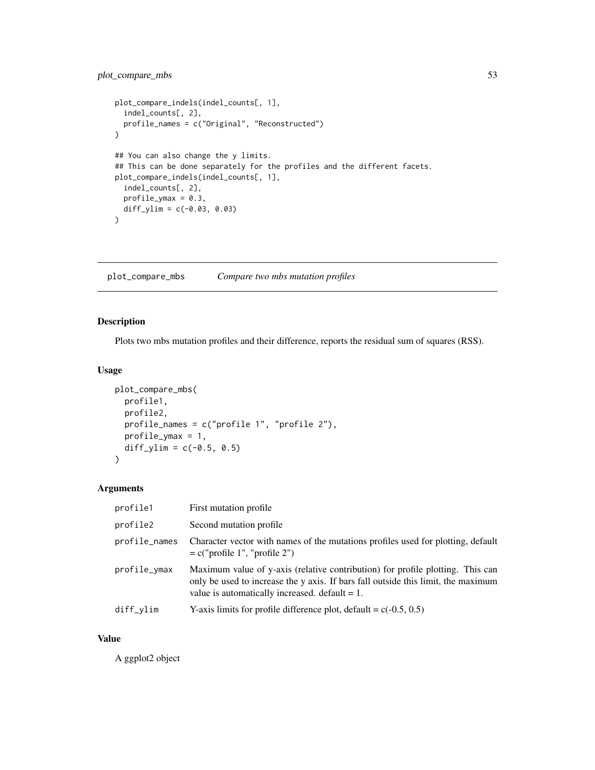# plot\_compare\_mbs 53

```
plot_compare_indels(indel_counts[, 1],
  indel_counts[, 2],
  profile_names = c("Original", "Reconstructed")
\mathcal{L}## You can also change the y limits.
## This can be done separately for the profiles and the different facets.
plot_compare_indels(indel_counts[, 1],
  indel_counts[, 2],
  profile\_ymax = 0.3,
 diff\_ylim = c(-0.03, 0.03)\overline{)}
```
<span id="page-52-0"></span>plot\_compare\_mbs *Compare two mbs mutation profiles*

# Description

Plots two mbs mutation profiles and their difference, reports the residual sum of squares (RSS).

# Usage

```
plot_compare_mbs(
 profile1,
 profile2,
 profile_names = c("profile 1", "profile 2"),
 profile_ymax = 1,
 diff\_ylim = c(-0.5, 0.5)\lambda
```
# Arguments

| profile1      | First mutation profile                                                                                                                                                                                                   |
|---------------|--------------------------------------------------------------------------------------------------------------------------------------------------------------------------------------------------------------------------|
| profile2      | Second mutation profile                                                                                                                                                                                                  |
| profile_names | Character vector with names of the mutations profiles used for plotting, default<br>$= c("profile 1", "profile 2")$                                                                                                      |
| profile_ymax  | Maximum value of y-axis (relative contribution) for profile plotting. This can<br>only be used to increase the y axis. If bars fall outside this limit, the maximum<br>value is automatically increased. $default = 1$ . |
| $diff\_vlim$  | Y-axis limits for profile difference plot, default = $c(-0.5, 0.5)$                                                                                                                                                      |

#### Value

A ggplot2 object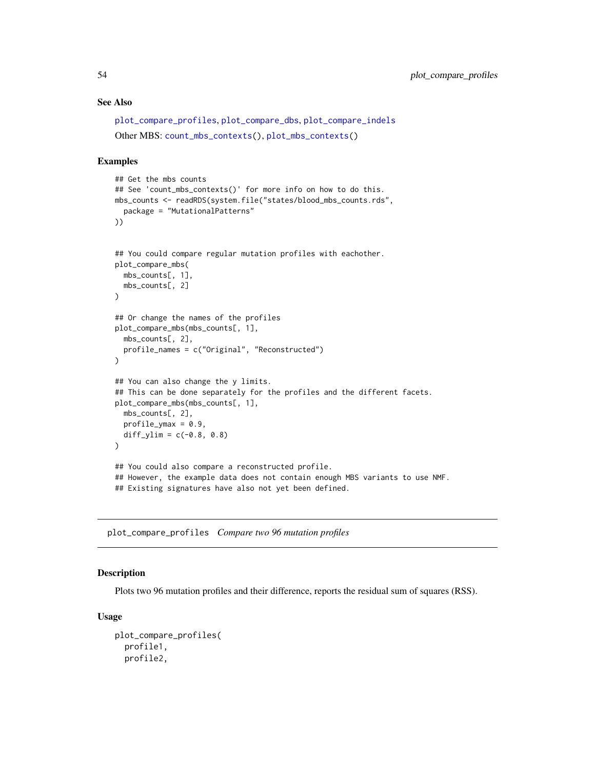### See Also

```
plot_compare_profiles, plot_compare_dbs, plot_compare_indels
Other MBS: count_mbs_contexts(), plot_mbs_contexts()
```
### Examples

```
## Get the mbs counts
## See 'count_mbs_contexts()' for more info on how to do this.
mbs_counts <- readRDS(system.file("states/blood_mbs_counts.rds",
  package = "MutationalPatterns"
))
## You could compare regular mutation profiles with eachother.
plot_compare_mbs(
  mbs_counts[, 1],
  mbs_counts[, 2]
\lambda## Or change the names of the profiles
plot_compare_mbs(mbs_counts[, 1],
  mbs_counts[, 2],
  profile_names = c("Original", "Reconstructed")
)
## You can also change the y limits.
## This can be done separately for the profiles and the different facets.
plot_compare_mbs(mbs_counts[, 1],
  mbs_counts[, 2],
  profile\_ymax = 0.9,
  diff\_ylim = c(-0.8, 0.8))
## You could also compare a reconstructed profile.
## However, the example data does not contain enough MBS variants to use NMF.
## Existing signatures have also not yet been defined.
```
<span id="page-53-0"></span>plot\_compare\_profiles *Compare two 96 mutation profiles*

#### Description

Plots two 96 mutation profiles and their difference, reports the residual sum of squares (RSS).

```
plot_compare_profiles(
 profile1,
 profile2,
```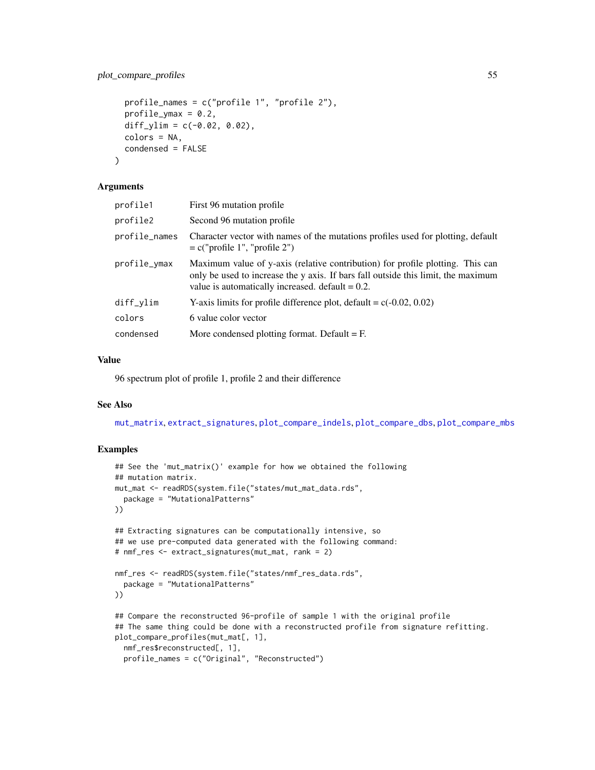```
profile_names = c("profile 1", "profile 2"),
 profile_ymax = 0.2,
 diff_ylim = c(-0.02, 0.02),
 colors = NA,
  condensed = FALSE
)
```
### Arguments

| profile1      | First 96 mutation profile                                                                                                                                                                                                  |
|---------------|----------------------------------------------------------------------------------------------------------------------------------------------------------------------------------------------------------------------------|
| profile2      | Second 96 mutation profile                                                                                                                                                                                                 |
| profile_names | Character vector with names of the mutations profiles used for plotting, default<br>$= c("profile 1", "profile 2")$                                                                                                        |
| profile_ymax  | Maximum value of y-axis (relative contribution) for profile plotting. This can<br>only be used to increase the y axis. If bars fall outside this limit, the maximum<br>value is automatically increased, $default = 0.2$ . |
| diff_ylim     | Y-axis limits for profile difference plot, default = $c(-0.02, 0.02)$                                                                                                                                                      |
| colors        | 6 value color vector                                                                                                                                                                                                       |
| condensed     | More condensed plotting format. Default $=$ F.                                                                                                                                                                             |

# Value

96 spectrum plot of profile 1, profile 2 and their difference

#### See Also

[mut\\_matrix](#page-39-0), [extract\\_signatures](#page-18-0), [plot\\_compare\\_indels](#page-50-0), [plot\\_compare\\_dbs](#page-49-0), [plot\\_compare\\_mbs](#page-52-0)

```
## See the 'mut_matrix()' example for how we obtained the following
## mutation matrix.
mut_mat <- readRDS(system.file("states/mut_mat_data.rds",
  package = "MutationalPatterns"
))
## Extracting signatures can be computationally intensive, so
## we use pre-computed data generated with the following command:
# nmf_res <- extract_signatures(mut_mat, rank = 2)
nmf_res <- readRDS(system.file("states/nmf_res_data.rds",
  package = "MutationalPatterns"
))
## Compare the reconstructed 96-profile of sample 1 with the original profile
## The same thing could be done with a reconstructed profile from signature refitting.
plot_compare_profiles(mut_mat[, 1],
 nmf_res$reconstructed[, 1],
  profile_names = c("Original", "Reconstructed")
```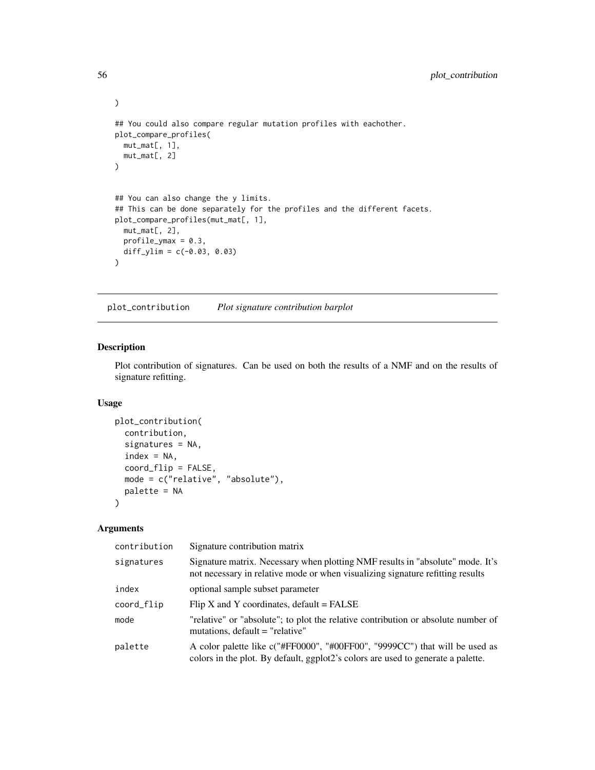```
## You could also compare regular mutation profiles with eachother.
plot_compare_profiles(
 mut_mat[, 1],
 mut_mat[, 2]
\mathcal{L}## You can also change the y limits.
## This can be done separately for the profiles and the different facets.
plot_compare_profiles(mut_mat[, 1],
  mut_mat[, 2],
  profile\_ymax = 0.3,
 diff\_ylim = c(-0.03, 0.03))
```
<span id="page-55-0"></span>plot\_contribution *Plot signature contribution barplot*

# Description

Plot contribution of signatures. Can be used on both the results of a NMF and on the results of signature refitting.

#### Usage

```
plot_contribution(
  contribution,
  signatures = NA,
  index = NA,
  coord_flip = FALSE,
  mode = c("relative", "absolute"),
  palette = NA
\mathcal{L}
```
# Arguments

| contribution | Signature contribution matrix                                                                                                                                    |
|--------------|------------------------------------------------------------------------------------------------------------------------------------------------------------------|
| signatures   | Signature matrix. Necessary when plotting NMF results in "absolute" mode. It's<br>not necessary in relative mode or when visualizing signature refitting results |
| index        | optional sample subset parameter                                                                                                                                 |
| coord_flip   | Flip X and Y coordinates, $default = FALSE$                                                                                                                      |
| mode         | "relative" or "absolute"; to plot the relative contribution or absolute number of<br>mutations, default = "relative"                                             |
| palette      | A color palette like c("#FF0000", "#00FF00", "9999CC") that will be used as<br>colors in the plot. By default, ggplot2's colors are used to generate a palette.  |

)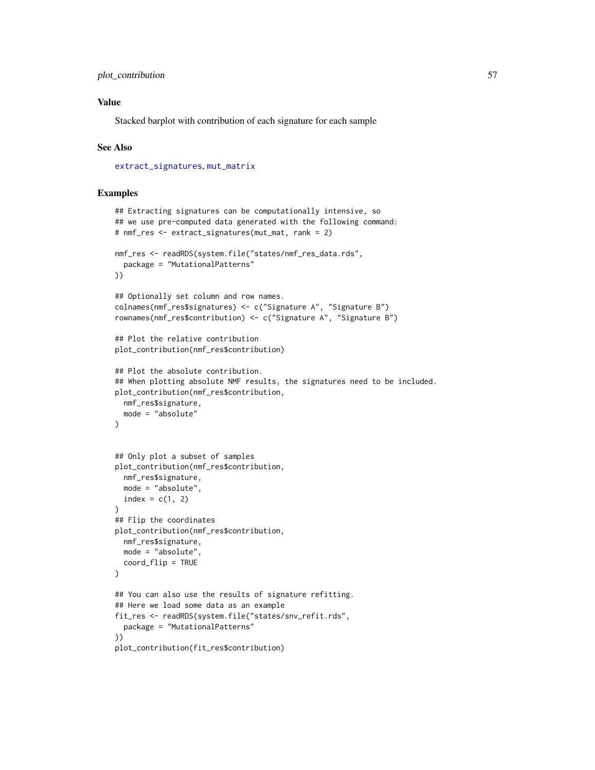## Value

Stacked barplot with contribution of each signature for each sample

### See Also

[extract\\_signatures](#page-18-0), [mut\\_matrix](#page-39-0)

```
## Extracting signatures can be computationally intensive, so
## we use pre-computed data generated with the following command:
# nmf_res <- extract_signatures(mut_mat, rank = 2)
nmf_res <- readRDS(system.file("states/nmf_res_data.rds",
  package = "MutationalPatterns"
))
## Optionally set column and row names.
colnames(nmf_res$signatures) <- c("Signature A", "Signature B")
rownames(nmf_res$contribution) <- c("Signature A", "Signature B")
## Plot the relative contribution
plot_contribution(nmf_res$contribution)
## Plot the absolute contribution.
## When plotting absolute NMF results, the signatures need to be included.
plot_contribution(nmf_res$contribution,
 nmf_res$signature,
  mode = "absolute"
)
## Only plot a subset of samples
plot_contribution(nmf_res$contribution,
  nmf_res$signature,
  mode = "absolute",
  index = c(1, 2))
## Flip the coordinates
plot_contribution(nmf_res$contribution,
  nmf_res$signature,
 mode = "absolute",
  coord_flip = TRUE
\lambda## You can also use the results of signature refitting.
## Here we load some data as an example
fit_res <- readRDS(system.file("states/snv_refit.rds",
  package = "MutationalPatterns"
))
plot_contribution(fit_res$contribution)
```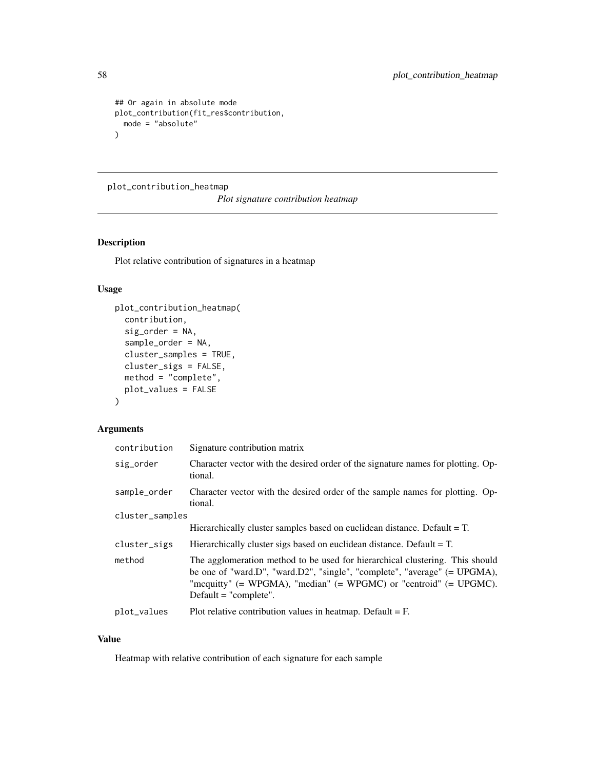```
## Or again in absolute mode
plot_contribution(fit_res$contribution,
  mode = "absolute"
\mathcal{L}
```
plot\_contribution\_heatmap

*Plot signature contribution heatmap*

### Description

Plot relative contribution of signatures in a heatmap

# Usage

```
plot_contribution_heatmap(
  contribution,
  sig_order = NA,
  sample_order = NA,
  cluster_samples = TRUE,
  cluster_sigs = FALSE,
 method = "complete",
 plot_values = FALSE
\mathcal{E}
```
# Arguments

| contribution    | Signature contribution matrix                                                                                                                                                                                                                                |  |
|-----------------|--------------------------------------------------------------------------------------------------------------------------------------------------------------------------------------------------------------------------------------------------------------|--|
| sig_order       | Character vector with the desired order of the signature names for plotting. Op-<br>tional.                                                                                                                                                                  |  |
| sample_order    | Character vector with the desired order of the sample names for plotting. Op-<br>tional.                                                                                                                                                                     |  |
| cluster_samples |                                                                                                                                                                                                                                                              |  |
|                 | Hierarchically cluster samples based on euclidean distance. Default $= T$ .                                                                                                                                                                                  |  |
| cluster_sigs    | Hierarchically cluster sigs based on euclidean distance. Default $= T$ .                                                                                                                                                                                     |  |
| method          | The agglomeration method to be used for hierarchical clustering. This should<br>be one of "ward.D", "ward.D2", "single", "complete", "average" $(= UPGMA)$ ,<br>"mcquitty" (= WPGMA), "median" (= WPGMC) or "centroid" (= UPGMC).<br>$Default = "complete".$ |  |
| plot_values     | Plot relative contribution values in heatmap. Default $=$ F.                                                                                                                                                                                                 |  |
|                 |                                                                                                                                                                                                                                                              |  |

# Value

Heatmap with relative contribution of each signature for each sample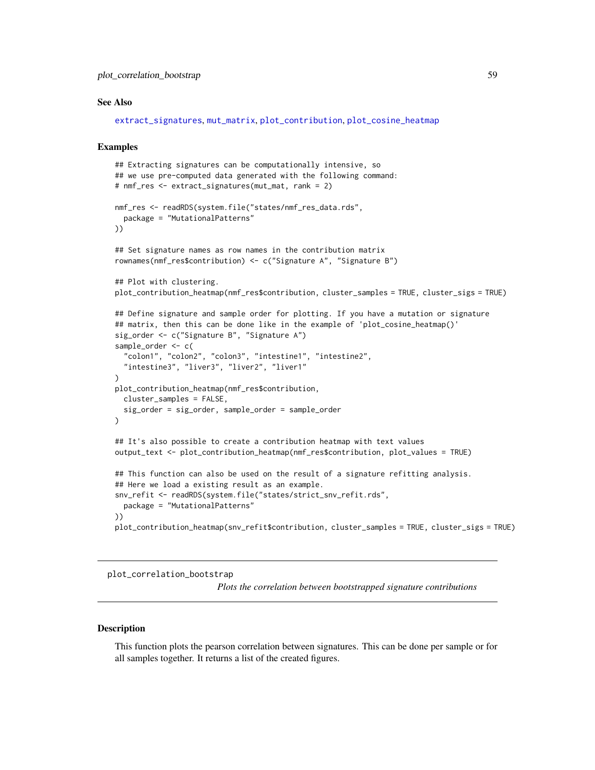### See Also

```
extract_signatures, mut_matrix, plot_contribution, plot_cosine_heatmap
```
#### Examples

```
## Extracting signatures can be computationally intensive, so
## we use pre-computed data generated with the following command:
# nmf_res <- extract_signatures(mut_mat, rank = 2)
nmf_res <- readRDS(system.file("states/nmf_res_data.rds",
  package = "MutationalPatterns"
))
## Set signature names as row names in the contribution matrix
rownames(nmf_res$contribution) <- c("Signature A", "Signature B")
## Plot with clustering.
plot_contribution_heatmap(nmf_res$contribution, cluster_samples = TRUE, cluster_sigs = TRUE)
## Define signature and sample order for plotting. If you have a mutation or signature
## matrix, then this can be done like in the example of 'plot_cosine_heatmap()'
sig_order <- c("Signature B", "Signature A")
sample_order <- c(
  "colon1", "colon2", "colon3", "intestine1", "intestine2",
  "intestine3", "liver3", "liver2", "liver1"
\lambdaplot_contribution_heatmap(nmf_res$contribution,
  cluster_samples = FALSE,
  sig_order = sig_order, sample_order = sample_order
\lambda## It's also possible to create a contribution heatmap with text values
output_text <- plot_contribution_heatmap(nmf_res$contribution, plot_values = TRUE)
## This function can also be used on the result of a signature refitting analysis.
## Here we load a existing result as an example.
snv_refit <- readRDS(system.file("states/strict_snv_refit.rds",
  package = "MutationalPatterns"
))
plot_contribution_heatmap(snv_refit$contribution, cluster_samples = TRUE, cluster_sigs = TRUE)
```
plot\_correlation\_bootstrap

*Plots the correlation between bootstrapped signature contributions*

#### **Description**

This function plots the pearson correlation between signatures. This can be done per sample or for all samples together. It returns a list of the created figures.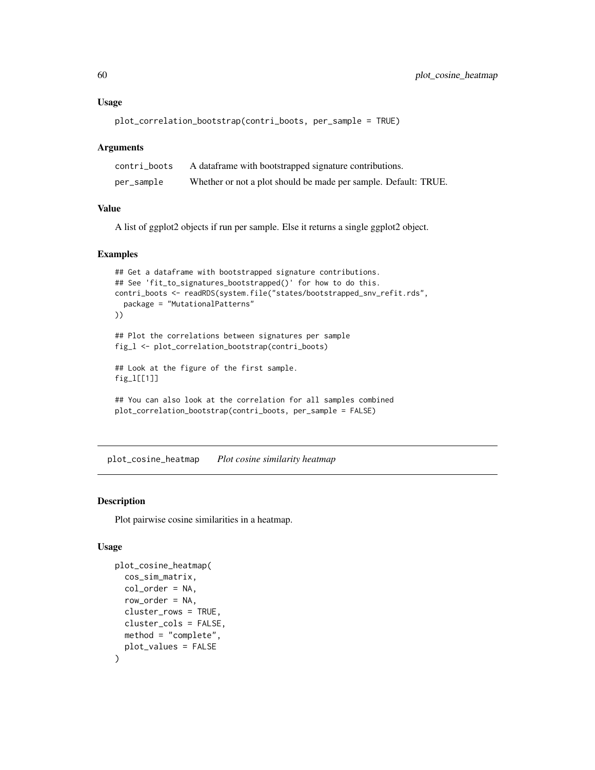#### Usage

```
plot_correlation_bootstrap(contri_boots, per_sample = TRUE)
```
### Arguments

| contri boots | A dataframe with bootstrapped signature contributions.          |
|--------------|-----------------------------------------------------------------|
| per_sample   | Whether or not a plot should be made per sample. Default: TRUE. |

# Value

A list of ggplot2 objects if run per sample. Else it returns a single ggplot2 object.

### Examples

```
## Get a dataframe with bootstrapped signature contributions.
## See 'fit_to_signatures_bootstrapped()' for how to do this.
contri_boots <- readRDS(system.file("states/bootstrapped_snv_refit.rds",
  package = "MutationalPatterns"
))
## Plot the correlations between signatures per sample
fig_l <- plot_correlation_bootstrap(contri_boots)
## Look at the figure of the first sample.
fig_l[[1]]
## You can also look at the correlation for all samples combined
plot_correlation_bootstrap(contri_boots, per_sample = FALSE)
```
<span id="page-59-0"></span>plot\_cosine\_heatmap *Plot cosine similarity heatmap*

#### Description

Plot pairwise cosine similarities in a heatmap.

```
plot_cosine_heatmap(
  cos_sim_matrix,
  col_order = NA,
  row_order = NA,
  cluster_rows = TRUE,
  cluster_cols = FALSE,
  method = "complete",
  plot_values = FALSE
)
```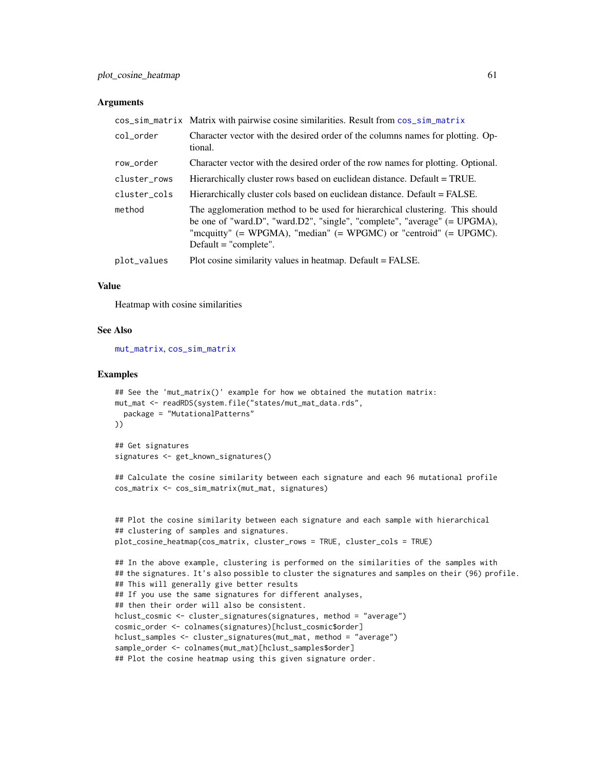### **Arguments**

|              | cos_sim_matrix Matrix with pairwise cosine similarities. Result from cos_sim_matrix                                                                                                                                                                          |
|--------------|--------------------------------------------------------------------------------------------------------------------------------------------------------------------------------------------------------------------------------------------------------------|
| col order    | Character vector with the desired order of the columns names for plotting. Op-<br>tional.                                                                                                                                                                    |
| row_order    | Character vector with the desired order of the row names for plotting. Optional.                                                                                                                                                                             |
| cluster_rows | Hierarchically cluster rows based on euclidean distance. Default = TRUE.                                                                                                                                                                                     |
| cluster_cols | Hierarchically cluster cols based on euclidean distance. Default = FALSE.                                                                                                                                                                                    |
| method       | The agglomeration method to be used for hierarchical clustering. This should<br>be one of "ward.D", "ward.D2", "single", "complete", "average" $(= UPGMA)$ ,<br>"mcquitty" (= WPGMA), "median" (= WPGMC) or "centroid" (= UPGMC).<br>Default $=$ "complete". |
| plot_values  | Plot cosine similarity values in heatmap. Default = FALSE.                                                                                                                                                                                                   |

#### Value

Heatmap with cosine similarities

#### See Also

[mut\\_matrix](#page-39-0), [cos\\_sim\\_matrix](#page-11-0)

```
## See the 'mut_matrix()' example for how we obtained the mutation matrix:
mut_mat <- readRDS(system.file("states/mut_mat_data.rds",
  package = "MutationalPatterns"
))
## Get signatures
```

```
signatures <- get_known_signatures()
```

```
## Calculate the cosine similarity between each signature and each 96 mutational profile
cos_matrix <- cos_sim_matrix(mut_mat, signatures)
```

```
## Plot the cosine similarity between each signature and each sample with hierarchical
## clustering of samples and signatures.
plot_cosine_heatmap(cos_matrix, cluster_rows = TRUE, cluster_cols = TRUE)
## In the above example, clustering is performed on the similarities of the samples with
## the signatures. It's also possible to cluster the signatures and samples on their (96) profile.
## This will generally give better results
## If you use the same signatures for different analyses,
## then their order will also be consistent.
```

```
hclust_cosmic <- cluster_signatures(signatures, method = "average")
cosmic_order <- colnames(signatures)[hclust_cosmic$order]
hclust_samples <- cluster_signatures(mut_mat, method = "average")
sample_order <- colnames(mut_mat)[hclust_samples$order]
```

```
## Plot the cosine heatmap using this given signature order.
```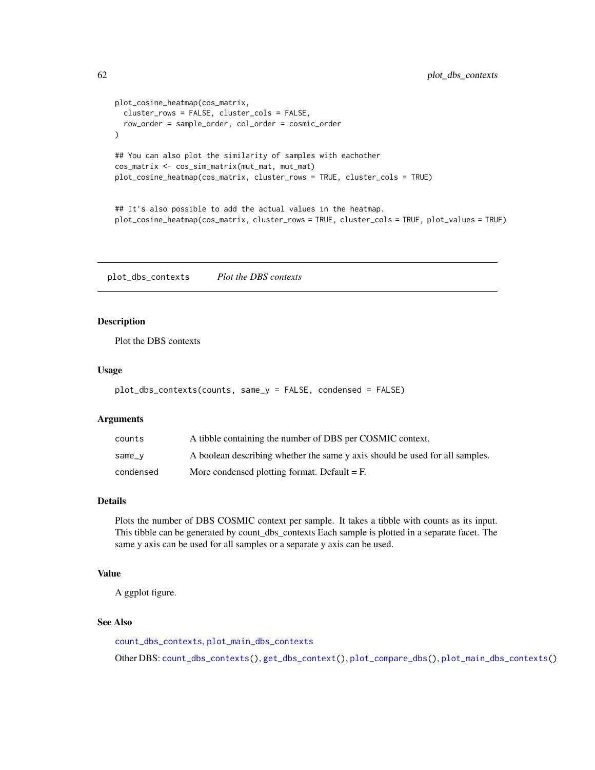```
plot_cosine_heatmap(cos_matrix,
  cluster_rows = FALSE, cluster_cols = FALSE,
  row_order = sample_order, col_order = cosmic_order
)
## You can also plot the similarity of samples with eachother
cos_matrix <- cos_sim_matrix(mut_mat, mut_mat)
plot_cosine_heatmap(cos_matrix, cluster_rows = TRUE, cluster_cols = TRUE)
```
## It's also possible to add the actual values in the heatmap. plot\_cosine\_heatmap(cos\_matrix, cluster\_rows = TRUE, cluster\_cols = TRUE, plot\_values = TRUE)

<span id="page-61-0"></span>plot\_dbs\_contexts *Plot the DBS contexts*

# Description

Plot the DBS contexts

### Usage

```
plot_dbs_contexts(counts, same_y = FALSE, condensed = FALSE)
```
### Arguments

| counts    | A tibble containing the number of DBS per COSMIC context.                    |
|-----------|------------------------------------------------------------------------------|
| same_v    | A boolean describing whether the same y axis should be used for all samples. |
| condensed | More condensed plotting format. Default $=$ F.                               |

### Details

Plots the number of DBS COSMIC context per sample. It takes a tibble with counts as its input. This tibble can be generated by count\_dbs\_contexts Each sample is plotted in a separate facet. The same y axis can be used for all samples or a separate y axis can be used.

# Value

A ggplot figure.

# See Also

[count\\_dbs\\_contexts](#page-12-0), [plot\\_main\\_dbs\\_contexts](#page-66-0)

Other DBS: [count\\_dbs\\_contexts\(](#page-12-0)), [get\\_dbs\\_context\(](#page-27-0)), [plot\\_compare\\_dbs\(](#page-49-0)), [plot\\_main\\_dbs\\_contexts\(](#page-66-0))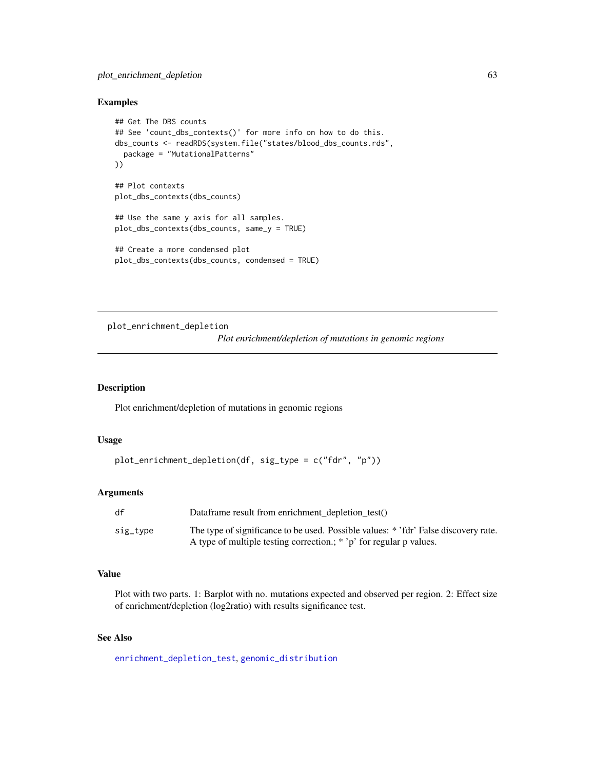# plot\_enrichment\_depletion 63

### Examples

```
## Get The DBS counts
## See 'count_dbs_contexts()' for more info on how to do this.
dbs_counts <- readRDS(system.file("states/blood_dbs_counts.rds",
  package = "MutationalPatterns"
))
## Plot contexts
plot_dbs_contexts(dbs_counts)
## Use the same y axis for all samples.
plot_dbs_contexts(dbs_counts, same_y = TRUE)
## Create a more condensed plot
plot_dbs_contexts(dbs_counts, condensed = TRUE)
```
plot\_enrichment\_depletion

*Plot enrichment/depletion of mutations in genomic regions*

#### Description

Plot enrichment/depletion of mutations in genomic regions

### Usage

```
plot_enrichment_depletion(df, sig_type = c("fdr", "p"))
```
# Arguments

| df       | Dataframe result from enrichment_depletion_test()                                                                                                          |
|----------|------------------------------------------------------------------------------------------------------------------------------------------------------------|
| sig_type | The type of significance to be used. Possible values: * 'fdr' False discovery rate.<br>A type of multiple testing correction.; * 'p' for regular p values. |

#### Value

Plot with two parts. 1: Barplot with no. mutations expected and observed per region. 2: Effect size of enrichment/depletion (log2ratio) with results significance test.

# See Also

[enrichment\\_depletion\\_test](#page-17-0), [genomic\\_distribution](#page-24-0)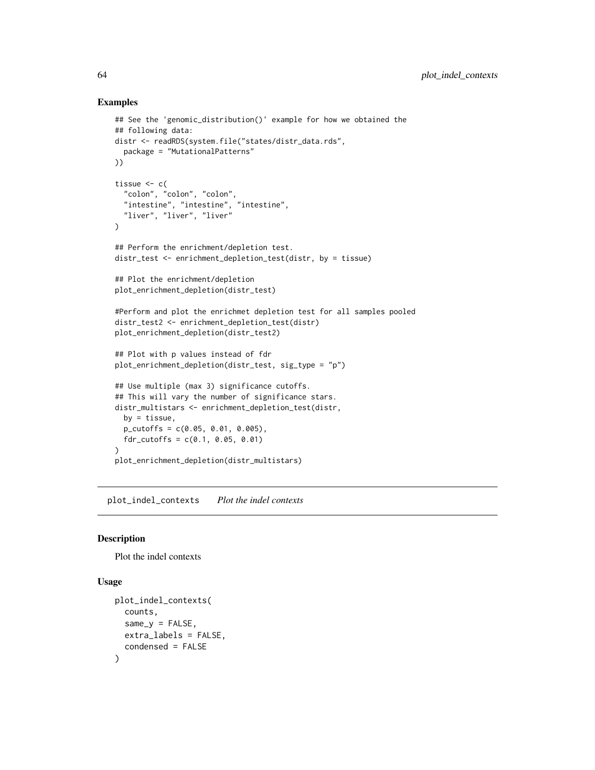### Examples

```
## See the 'genomic_distribution()' example for how we obtained the
## following data:
distr <- readRDS(system.file("states/distr_data.rds",
  package = "MutationalPatterns"
))
tissue \leftarrow c(
  "colon", "colon", "colon",
  "intestine", "intestine", "intestine",
  "liver", "liver", "liver"
\mathcal{L}## Perform the enrichment/depletion test.
distr_test <- enrichment_depletion_test(distr, by = tissue)
## Plot the enrichment/depletion
plot_enrichment_depletion(distr_test)
#Perform and plot the enrichmet depletion test for all samples pooled
distr_test2 <- enrichment_depletion_test(distr)
plot_enrichment_depletion(distr_test2)
## Plot with p values instead of fdr
plot_enrichment_depletion(distr_test, sig_type = "p")
## Use multiple (max 3) significance cutoffs.
## This will vary the number of significance stars.
distr_multistars <- enrichment_depletion_test(distr,
  by = tissue,
  p_cutoffs = c(0.05, 0.01, 0.005),
  fdr_cutoffs = c(0.1, 0.05, 0.01)\lambdaplot_enrichment_depletion(distr_multistars)
```
<span id="page-63-0"></span>plot\_indel\_contexts *Plot the indel contexts*

### Description

Plot the indel contexts

```
plot_indel_contexts(
 counts,
  same_v = FALSE,
  extra_labels = FALSE,
  condensed = FALSE
)
```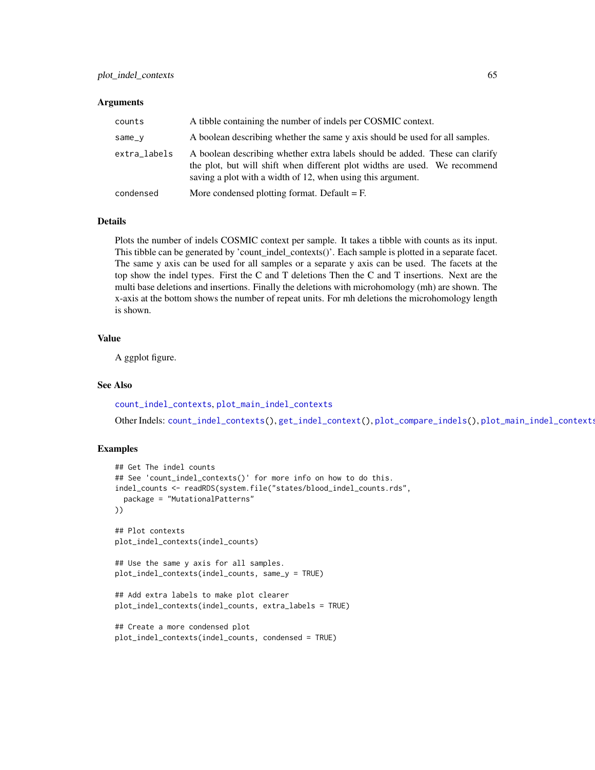#### **Arguments**

| counts       | A tibble containing the number of indels per COSMIC context.                                                                                                                                                              |
|--------------|---------------------------------------------------------------------------------------------------------------------------------------------------------------------------------------------------------------------------|
| same_v       | A boolean describing whether the same y axis should be used for all samples.                                                                                                                                              |
| extra_labels | A boolean describing whether extra labels should be added. These can clarify<br>the plot, but will shift when different plot widths are used. We recommend<br>saving a plot with a width of 12, when using this argument. |
| condensed    | More condensed plotting format. Default $=$ F.                                                                                                                                                                            |

### Details

Plots the number of indels COSMIC context per sample. It takes a tibble with counts as its input. This tibble can be generated by 'count\_indel\_contexts()'. Each sample is plotted in a separate facet. The same y axis can be used for all samples or a separate y axis can be used. The facets at the top show the indel types. First the C and T deletions Then the C and T insertions. Next are the multi base deletions and insertions. Finally the deletions with microhomology (mh) are shown. The x-axis at the bottom shows the number of repeat units. For mh deletions the microhomology length is shown.

#### Value

A ggplot figure.

#### See Also

[count\\_indel\\_contexts](#page-13-0), [plot\\_main\\_indel\\_contexts](#page-67-0)

Other Indels: [count\\_indel\\_contexts\(](#page-13-0)), [get\\_indel\\_context\(](#page-28-0)), [plot\\_compare\\_indels\(](#page-50-0)), [plot\\_main\\_indel\\_contexts\(](#page-67-0))

```
## Get The indel counts
## See 'count_indel_contexts()' for more info on how to do this.
indel_counts <- readRDS(system.file("states/blood_indel_counts.rds",
 package = "MutationalPatterns"
))
## Plot contexts
plot_indel_contexts(indel_counts)
## Use the same y axis for all samples.
plot_indel_contexts(indel_counts, same_y = TRUE)
## Add extra labels to make plot clearer
plot_indel_contexts(indel_counts, extra_labels = TRUE)
## Create a more condensed plot
plot_indel_contexts(indel_counts, condensed = TRUE)
```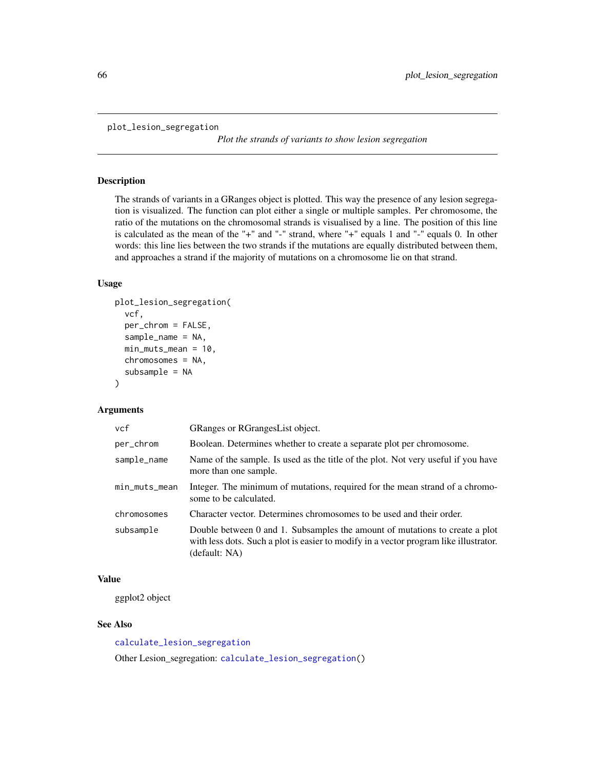```
plot_lesion_segregation
```
*Plot the strands of variants to show lesion segregation*

#### Description

The strands of variants in a GRanges object is plotted. This way the presence of any lesion segregation is visualized. The function can plot either a single or multiple samples. Per chromosome, the ratio of the mutations on the chromosomal strands is visualised by a line. The position of this line is calculated as the mean of the "+" and "-" strand, where "+" equals 1 and "-" equals 0. In other words: this line lies between the two strands if the mutations are equally distributed between them, and approaches a strand if the majority of mutations on a chromosome lie on that strand.

### Usage

```
plot_lesion_segregation(
  vcf,
 per_chrom = FALSE,
  sample_name = NA,
 min_muts_mean = 10,
  chromosomes = NA,
  subsample = NA
)
```
### Arguments

| vcf           | GRanges or RGrangesList object.                                                                                                                                                       |
|---------------|---------------------------------------------------------------------------------------------------------------------------------------------------------------------------------------|
| per_chrom     | Boolean. Determines whether to create a separate plot per chromosome.                                                                                                                 |
| sample_name   | Name of the sample. Is used as the title of the plot. Not very useful if you have<br>more than one sample.                                                                            |
| min_muts_mean | Integer. The minimum of mutations, required for the mean strand of a chromo-<br>some to be calculated.                                                                                |
| chromosomes   | Character vector. Determines chromosomes to be used and their order.                                                                                                                  |
| subsample     | Double between 0 and 1. Subsamples the amount of mutations to create a plot<br>with less dots. Such a plot is easier to modify in a vector program like illustrator.<br>(default: NA) |

### Value

ggplot2 object

### See Also

[calculate\\_lesion\\_segregation](#page-5-0) Other Lesion\_segregation: [calculate\\_lesion\\_segregation\(](#page-5-0))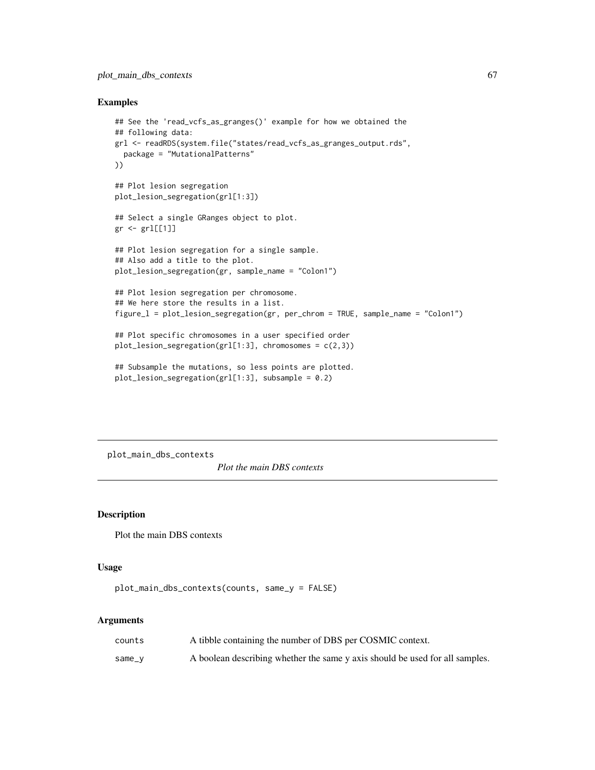### Examples

```
## See the 'read_vcfs_as_granges()' example for how we obtained the
## following data:
grl <- readRDS(system.file("states/read_vcfs_as_granges_output.rds",
  package = "MutationalPatterns"
))
## Plot lesion segregation
plot_lesion_segregation(grl[1:3])
## Select a single GRanges object to plot.
gr <- grl[[1]]
## Plot lesion segregation for a single sample.
## Also add a title to the plot.
plot_lesion_segregation(gr, sample_name = "Colon1")
## Plot lesion segregation per chromosome.
## We here store the results in a list.
figure_l = plot_lesion_segregation(gr, per_chrom = TRUE, sample_name = "Colon1")
## Plot specific chromosomes in a user specified order
plot_lesion_segregation(grl[1:3], chromosomes = c(2,3))
## Subsample the mutations, so less points are plotted.
plot_lesion_segregation(grl[1:3], subsample = 0.2)
```
<span id="page-66-0"></span>plot\_main\_dbs\_contexts

*Plot the main DBS contexts*

# Description

Plot the main DBS contexts

### Usage

```
plot_main_dbs_contexts(counts, same_y = FALSE)
```

| counts | A tibble containing the number of DBS per COSMIC context.                    |
|--------|------------------------------------------------------------------------------|
| same_v | A boolean describing whether the same y axis should be used for all samples. |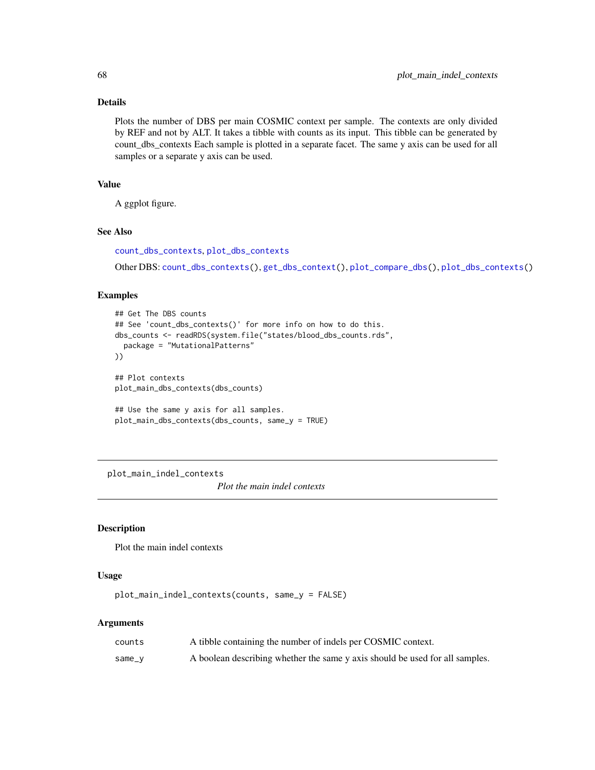## Details

Plots the number of DBS per main COSMIC context per sample. The contexts are only divided by REF and not by ALT. It takes a tibble with counts as its input. This tibble can be generated by count\_dbs\_contexts Each sample is plotted in a separate facet. The same y axis can be used for all samples or a separate y axis can be used.

### Value

A ggplot figure.

## See Also

```
count_dbs_contexts, plot_dbs_contexts
```
Other DBS: [count\\_dbs\\_contexts\(](#page-12-0)), [get\\_dbs\\_context\(](#page-27-0)), [plot\\_compare\\_dbs\(](#page-49-0)), [plot\\_dbs\\_contexts\(](#page-61-0))

### Examples

```
## Get The DBS counts
## See 'count_dbs_contexts()' for more info on how to do this.
dbs_counts <- readRDS(system.file("states/blood_dbs_counts.rds",
 package = "MutationalPatterns"
))
## Plot contexts
plot_main_dbs_contexts(dbs_counts)
## Use the same y axis for all samples.
plot_main_dbs_contexts(dbs_counts, same_y = TRUE)
```
<span id="page-67-0"></span>plot\_main\_indel\_contexts

*Plot the main indel contexts*

# Description

Plot the main indel contexts

### Usage

plot\_main\_indel\_contexts(counts, same\_y = FALSE)

| counts   | A tibble containing the number of indels per COSMIC context.                 |
|----------|------------------------------------------------------------------------------|
| $same_v$ | A boolean describing whether the same y axis should be used for all samples. |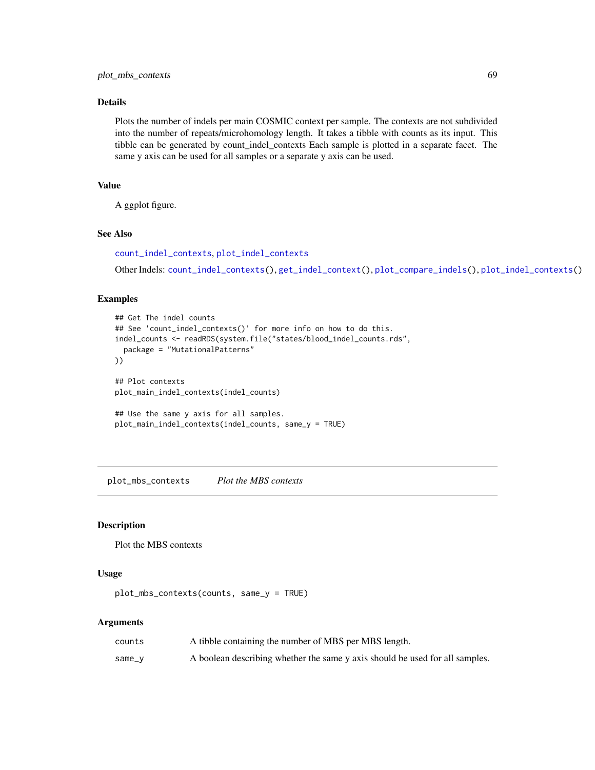## Details

Plots the number of indels per main COSMIC context per sample. The contexts are not subdivided into the number of repeats/microhomology length. It takes a tibble with counts as its input. This tibble can be generated by count\_indel\_contexts Each sample is plotted in a separate facet. The same y axis can be used for all samples or a separate y axis can be used.

# Value

A ggplot figure.

### See Also

[count\\_indel\\_contexts](#page-13-0), [plot\\_indel\\_contexts](#page-63-0)

Other Indels: [count\\_indel\\_contexts\(](#page-13-0)), [get\\_indel\\_context\(](#page-28-0)), [plot\\_compare\\_indels\(](#page-50-0)), [plot\\_indel\\_contexts\(](#page-63-0))

# Examples

```
## Get The indel counts
## See 'count_indel_contexts()' for more info on how to do this.
indel_counts <- readRDS(system.file("states/blood_indel_counts.rds",
  package = "MutationalPatterns"
))
## Plot contexts
plot_main_indel_contexts(indel_counts)
## Use the same y axis for all samples.
plot_main_indel_contexts(indel_counts, same_y = TRUE)
```
<span id="page-68-0"></span>plot\_mbs\_contexts *Plot the MBS contexts*

### Description

Plot the MBS contexts

### Usage

plot\_mbs\_contexts(counts, same\_y = TRUE)

| counts | A tibble containing the number of MBS per MBS length.                        |
|--------|------------------------------------------------------------------------------|
| same_v | A boolean describing whether the same y axis should be used for all samples. |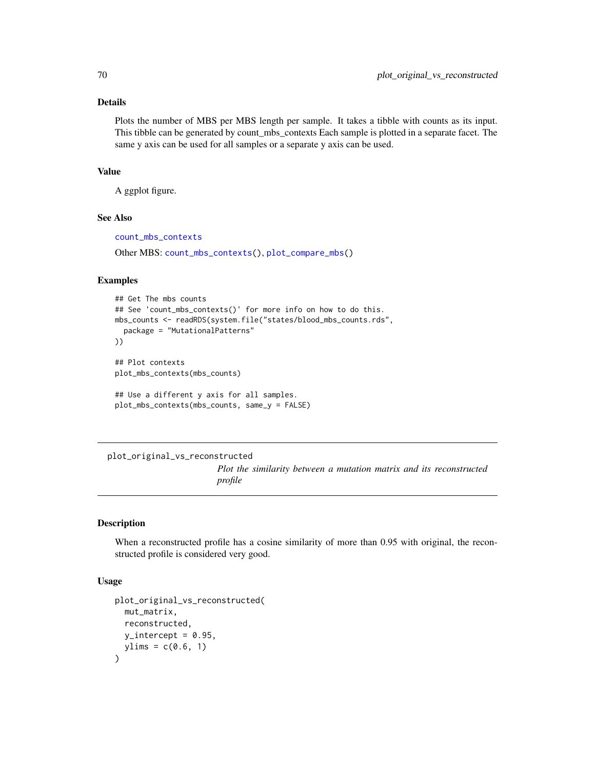## Details

Plots the number of MBS per MBS length per sample. It takes a tibble with counts as its input. This tibble can be generated by count\_mbs\_contexts Each sample is plotted in a separate facet. The same y axis can be used for all samples or a separate y axis can be used.

### Value

A ggplot figure.

### See Also

[count\\_mbs\\_contexts](#page-14-0)

Other MBS: [count\\_mbs\\_contexts\(](#page-14-0)), [plot\\_compare\\_mbs\(](#page-52-0))

### Examples

```
## Get The mbs counts
## See 'count_mbs_contexts()' for more info on how to do this.
mbs_counts <- readRDS(system.file("states/blood_mbs_counts.rds",
  package = "MutationalPatterns"
))
## Plot contexts
plot_mbs_contexts(mbs_counts)
## Use a different y axis for all samples.
plot_mbs_contexts(mbs_counts, same_y = FALSE)
```
plot\_original\_vs\_reconstructed

*Plot the similarity between a mutation matrix and its reconstructed profile*

# Description

When a reconstructed profile has a cosine similarity of more than 0.95 with original, the reconstructed profile is considered very good.

```
plot_original_vs_reconstructed(
 mut_matrix,
  reconstructed,
 y_intercept = 0.95,
 ylims = c(0.6, 1))
```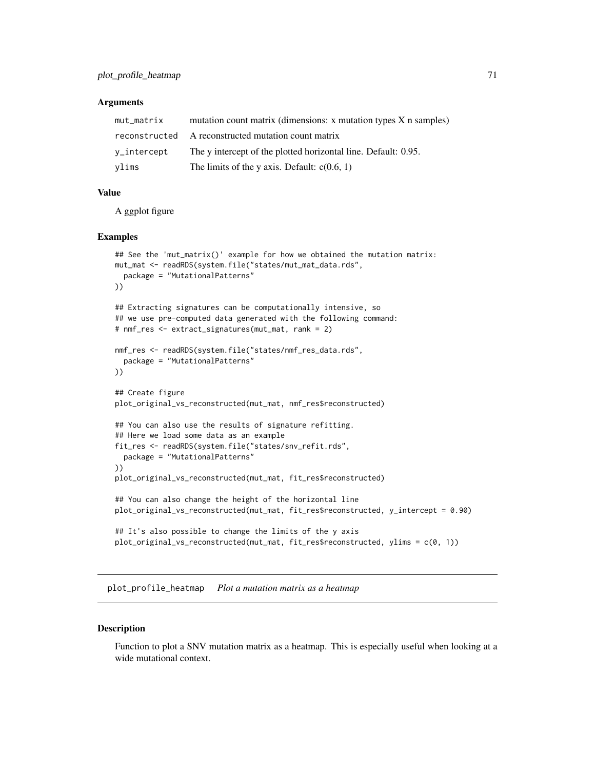### **Arguments**

| mut_matrix  | mutation count matrix (dimensions: x mutation types X n samples) |
|-------------|------------------------------------------------------------------|
|             | reconstructed A reconstructed mutation count matrix              |
| v_intercept | The y intercept of the plotted horizontal line. Default: 0.95.   |
| ylims       | The limits of the y axis. Default: $c(0.6, 1)$                   |

# Value

A ggplot figure

#### Examples

```
## See the 'mut_matrix()' example for how we obtained the mutation matrix:
mut_mat <- readRDS(system.file("states/mut_mat_data.rds",
  package = "MutationalPatterns"
))
## Extracting signatures can be computationally intensive, so
## we use pre-computed data generated with the following command:
# nmf_res <- extract_signatures(mut_mat, rank = 2)
nmf_res <- readRDS(system.file("states/nmf_res_data.rds",
  package = "MutationalPatterns"
))
## Create figure
plot_original_vs_reconstructed(mut_mat, nmf_res$reconstructed)
## You can also use the results of signature refitting.
## Here we load some data as an example
fit_res <- readRDS(system.file("states/snv_refit.rds",
  package = "MutationalPatterns"
))
plot_original_vs_reconstructed(mut_mat, fit_res$reconstructed)
## You can also change the height of the horizontal line
plot_original_vs_reconstructed(mut_mat, fit_res$reconstructed, y_intercept = 0.90)
## It's also possible to change the limits of the y axis
plot_original_vs_reconstructed(mut_mat, fit_res$reconstructed, ylims = c(0, 1))
```
<span id="page-70-0"></span>plot\_profile\_heatmap *Plot a mutation matrix as a heatmap*

#### **Description**

Function to plot a SNV mutation matrix as a heatmap. This is especially useful when looking at a wide mutational context.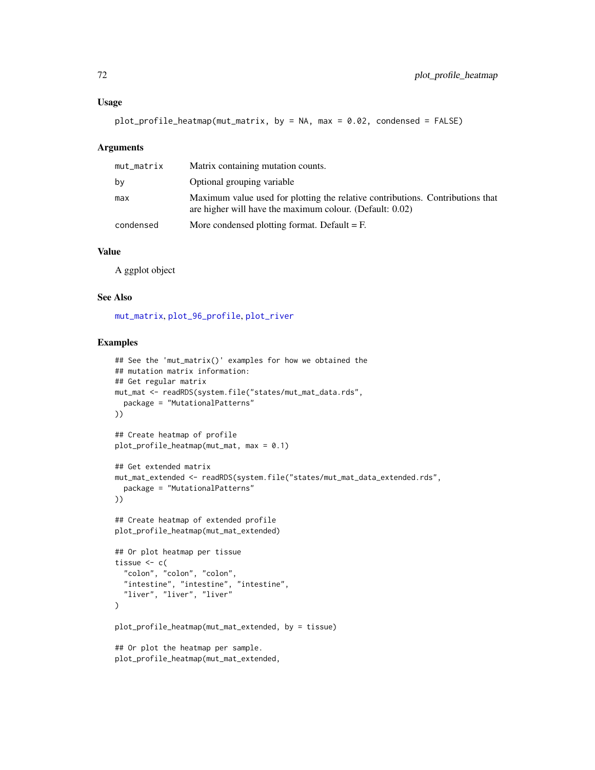#### Usage

```
plot_profile_heatmap(mut_matrix, by = NA, max = 0.02, condensed = FALSE)
```
### Arguments

| mut_matrix | Matrix containing mutation counts.                                                                                                         |
|------------|--------------------------------------------------------------------------------------------------------------------------------------------|
| by         | Optional grouping variable                                                                                                                 |
| max        | Maximum value used for plotting the relative contributions. Contributions that<br>are higher will have the maximum colour. (Default: 0.02) |
| condensed  | More condensed plotting format. Default $=$ F.                                                                                             |

# Value

A ggplot object

### See Also

[mut\\_matrix](#page-39-0), [plot\\_96\\_profile](#page-47-0), [plot\\_river](#page-77-0)

```
## See the 'mut_matrix()' examples for how we obtained the
## mutation matrix information:
## Get regular matrix
mut_mat <- readRDS(system.file("states/mut_mat_data.rds",
  package = "MutationalPatterns"
))
## Create heatmap of profile
plot_profile_heatmap(mut_mat, max = 0.1)
## Get extended matrix
mut_mat_extended <- readRDS(system.file("states/mut_mat_data_extended.rds",
  package = "MutationalPatterns"
))
## Create heatmap of extended profile
plot_profile_heatmap(mut_mat_extended)
## Or plot heatmap per tissue
tissue <- c(
  "colon", "colon", "colon",
  "intestine", "intestine", "intestine",
  "liver", "liver", "liver"
\mathcal{L}plot_profile_heatmap(mut_mat_extended, by = tissue)
## Or plot the heatmap per sample.
plot_profile_heatmap(mut_mat_extended,
```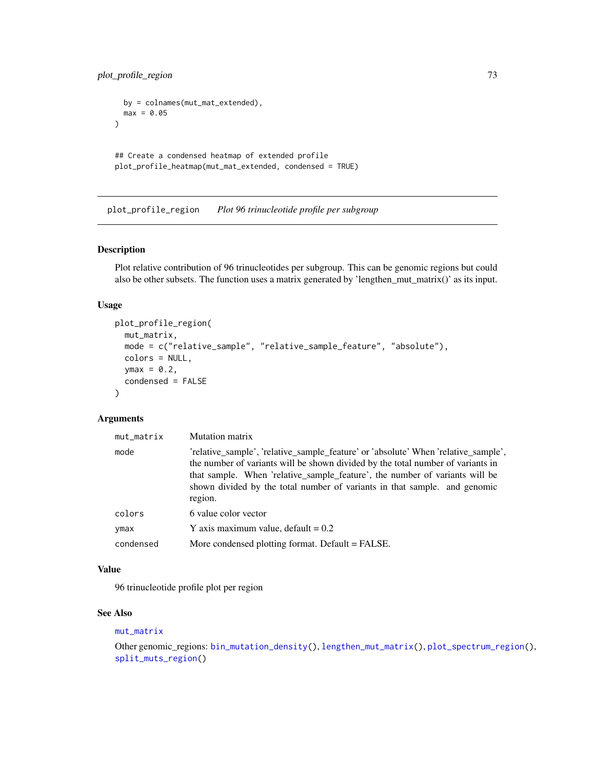<span id="page-72-1"></span>plot\_profile\_region 73

```
by = colnames(mut_mat_extended),
 max = 0.05)
## Create a condensed heatmap of extended profile
plot_profile_heatmap(mut_mat_extended, condensed = TRUE)
```
<span id="page-72-0"></span>plot\_profile\_region *Plot 96 trinucleotide profile per subgroup*

#### Description

Plot relative contribution of 96 trinucleotides per subgroup. This can be genomic regions but could also be other subsets. The function uses a matrix generated by 'lengthen\_mut\_matrix()' as its input.

## Usage

```
plot_profile_region(
 mut_matrix,
 mode = c("relative_sample", "relative_sample_feature", "absolute"),
 colors = NULL,
  ymax = 0.2,
  condensed = FALSE
\lambda
```
## Arguments

| mut_matrix | <b>Mutation matrix</b>                                                                                                                                                                                                                                                                                                                       |
|------------|----------------------------------------------------------------------------------------------------------------------------------------------------------------------------------------------------------------------------------------------------------------------------------------------------------------------------------------------|
| mode       | 'relative_sample', 'relative_sample_feature' or 'absolute' When 'relative_sample',<br>the number of variants will be shown divided by the total number of variants in<br>that sample. When 'relative_sample_feature', the number of variants will be<br>shown divided by the total number of variants in that sample. and genomic<br>region. |
| colors     | 6 value color vector                                                                                                                                                                                                                                                                                                                         |
| ymax       | Y axis maximum value, default = $0.2$                                                                                                                                                                                                                                                                                                        |
| condensed  | More condensed plotting format. Default = FALSE.                                                                                                                                                                                                                                                                                             |

## Value

96 trinucleotide profile plot per region

## See Also

#### [mut\\_matrix](#page-39-0)

```
Other genomic_regions: bin_mutation_density(), lengthen_mut_matrix(), plot_spectrum_region(),
split_muts_region()
```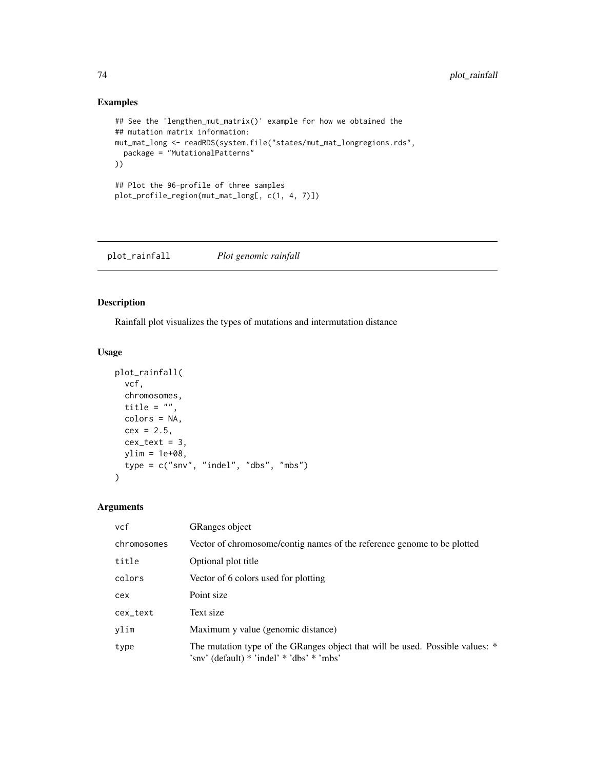# Examples

```
## See the 'lengthen_mut_matrix()' example for how we obtained the
## mutation matrix information:
mut_mat_long <- readRDS(system.file("states/mut_mat_longregions.rds",
  package = "MutationalPatterns"
))
## Plot the 96-profile of three samples
plot_profile_region(mut_mat_long[, c(1, 4, 7)])
```
plot\_rainfall *Plot genomic rainfall*

# Description

Rainfall plot visualizes the types of mutations and intermutation distance

# Usage

```
plot_rainfall(
 vcf,
  chromosomes,
  title = ",
 colors = NA,
 cex = 2.5,
 cex\_text = 3,
 ylim = 1e+08,
  type = c("snv", "indel", "dbs", "mbs")
\mathcal{L}
```
# Arguments

| vcf         | <b>GRanges</b> object                                                                                                      |
|-------------|----------------------------------------------------------------------------------------------------------------------------|
| chromosomes | Vector of chromosome/contig names of the reference genome to be plotted                                                    |
| title       | Optional plot title                                                                                                        |
| colors      | Vector of 6 colors used for plotting                                                                                       |
| cex         | Point size                                                                                                                 |
| cex_text    | Text size                                                                                                                  |
| ylim        | Maximum y value (genomic distance)                                                                                         |
| type        | The mutation type of the GRanges object that will be used. Possible values: *<br>'sny' (default) * 'indel' * 'dbs' * 'mbs' |

<span id="page-73-0"></span>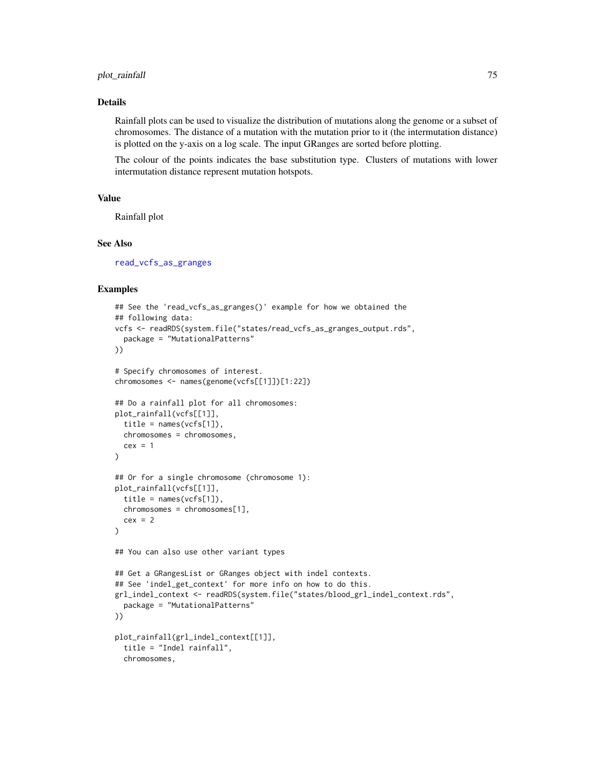## <span id="page-74-0"></span>plot\_rainfall 75

#### Details

Rainfall plots can be used to visualize the distribution of mutations along the genome or a subset of chromosomes. The distance of a mutation with the mutation prior to it (the intermutation distance) is plotted on the y-axis on a log scale. The input GRanges are sorted before plotting.

The colour of the points indicates the base substitution type. Clusters of mutations with lower intermutation distance represent mutation hotspots.

# Value

Rainfall plot

## See Also

[read\\_vcfs\\_as\\_granges](#page-86-0)

```
## See the 'read_vcfs_as_granges()' example for how we obtained the
## following data:
vcfs <- readRDS(system.file("states/read_vcfs_as_granges_output.rds",
  package = "MutationalPatterns"
))
# Specify chromosomes of interest.
chromosomes <- names(genome(vcfs[[1]])[1:22])
## Do a rainfall plot for all chromosomes:
plot_rainfall(vcfs[[1]],
  title = names(vcfs[1]),
  chromosomes = chromosomes,
  cex = 1)
## Or for a single chromosome (chromosome 1):
plot_rainfall(vcfs[[1]],
  title = names(vcfs[1]),
  chromosomes = chromosomes[1],
  cex = 2)
## You can also use other variant types
## Get a GRangesList or GRanges object with indel contexts.
## See 'indel_get_context' for more info on how to do this.
grl_indel_context <- readRDS(system.file("states/blood_grl_indel_context.rds",
  package = "MutationalPatterns"
))
plot_rainfall(grl_indel_context[[1]],
  title = "Indel rainfall",
  chromosomes,
```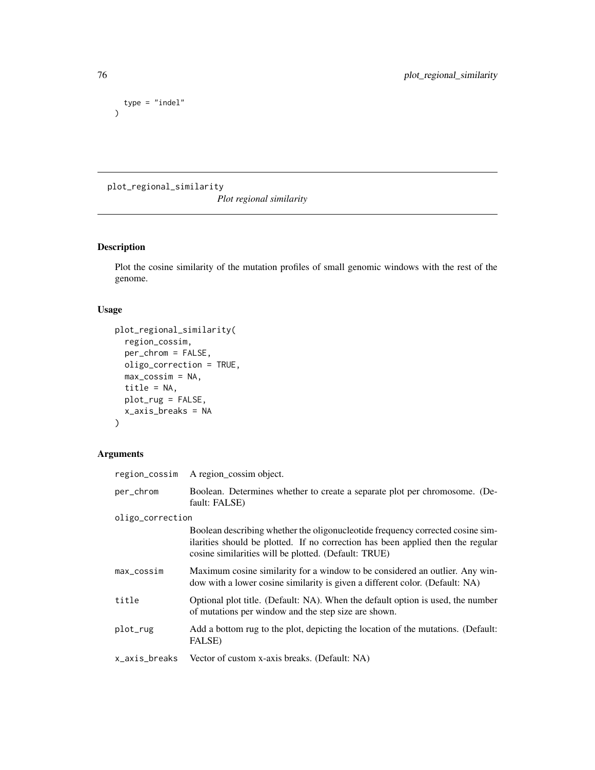```
type = "indel"\mathcal{L}
```
plot\_regional\_similarity

*Plot regional similarity*

# Description

Plot the cosine similarity of the mutation profiles of small genomic windows with the rest of the genome.

# Usage

```
plot_regional_similarity(
  region_cossim,
 per_chrom = FALSE,
 oligo_correction = TRUE,
 max\_cossim = NA,
  title = NA,
 plot_rug = FALSE,
  x_axis_breaks = NA
\mathcal{L}
```
# Arguments

| region_cossim    | A region_cossim object.                                                                                                                                                                                                   |
|------------------|---------------------------------------------------------------------------------------------------------------------------------------------------------------------------------------------------------------------------|
| per_chrom        | Boolean. Determines whether to create a separate plot per chromosome. (De-<br>fault: FALSE)                                                                                                                               |
| oligo_correction |                                                                                                                                                                                                                           |
|                  | Boolean describing whether the oligonucleotide frequency corrected cosine sim-<br>ilarities should be plotted. If no correction has been applied then the regular<br>cosine similarities will be plotted. (Default: TRUE) |
| max_cossim       | Maximum cosine similarity for a window to be considered an outlier. Any win-<br>dow with a lower cosine similarity is given a different color. (Default: NA)                                                              |
| title            | Optional plot title. (Default: NA). When the default option is used, the number<br>of mutations per window and the step size are shown.                                                                                   |
| plot_rug         | Add a bottom rug to the plot, depicting the location of the mutations. (Default:<br>FALSE)                                                                                                                                |
| x_axis_breaks    | Vector of custom x-axis breaks. (Default: NA)                                                                                                                                                                             |

<span id="page-75-0"></span>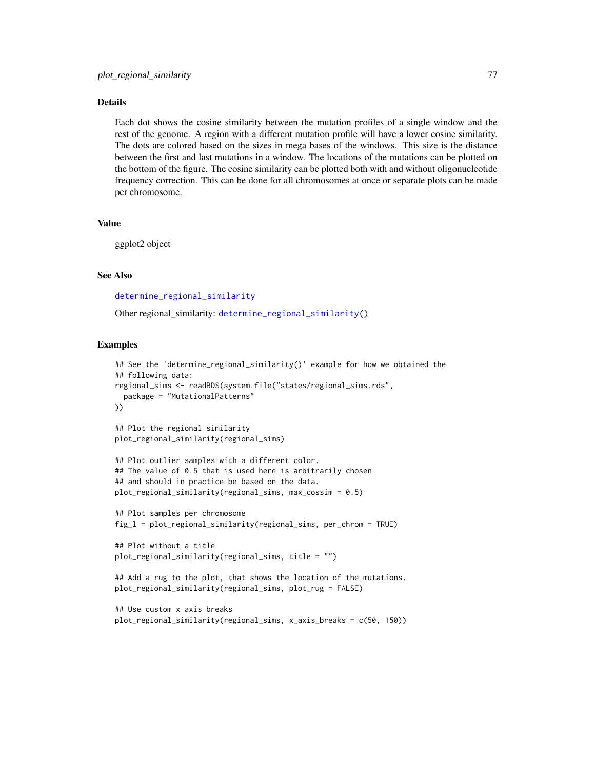## <span id="page-76-0"></span>Details

Each dot shows the cosine similarity between the mutation profiles of a single window and the rest of the genome. A region with a different mutation profile will have a lower cosine similarity. The dots are colored based on the sizes in mega bases of the windows. This size is the distance between the first and last mutations in a window. The locations of the mutations can be plotted on the bottom of the figure. The cosine similarity can be plotted both with and without oligonucleotide frequency correction. This can be done for all chromosomes at once or separate plots can be made per chromosome.

# Value

ggplot2 object

# See Also

[determine\\_regional\\_similarity](#page-15-0)

Other regional\_similarity: [determine\\_regional\\_similarity\(](#page-15-0))

```
## See the 'determine_regional_similarity()' example for how we obtained the
## following data:
regional_sims <- readRDS(system.file("states/regional_sims.rds",
 package = "MutationalPatterns"
))
## Plot the regional similarity
plot_regional_similarity(regional_sims)
## Plot outlier samples with a different color.
## The value of 0.5 that is used here is arbitrarily chosen
## and should in practice be based on the data.
plot_regional_similarity(regional_sims, max_cossim = 0.5)
## Plot samples per chromosome
fig_l = plot_regional_similarity(regional_sims, per_chrom = TRUE)
## Plot without a title
plot_regional_similarity(regional_sims, title = "")
## Add a rug to the plot, that shows the location of the mutations.
plot_regional_similarity(regional_sims, plot_rug = FALSE)
## Use custom x axis breaks
plot_regional_similarity(regional_sims, x_axis_breaks = c(50, 150))
```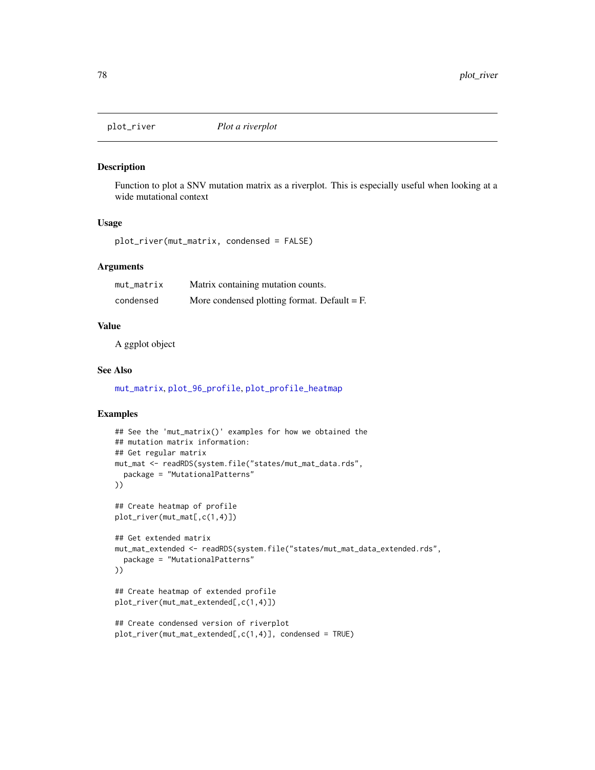<span id="page-77-0"></span>

#### Description

Function to plot a SNV mutation matrix as a riverplot. This is especially useful when looking at a wide mutational context

## Usage

```
plot_river(mut_matrix, condensed = FALSE)
```
# Arguments

| mut matrix | Matrix containing mutation counts.             |
|------------|------------------------------------------------|
| condensed  | More condensed plotting format. Default $=$ F. |

# Value

A ggplot object

# See Also

[mut\\_matrix](#page-39-0), [plot\\_96\\_profile](#page-47-0), [plot\\_profile\\_heatmap](#page-70-0)

```
## See the 'mut_matrix()' examples for how we obtained the
## mutation matrix information:
## Get regular matrix
mut_mat <- readRDS(system.file("states/mut_mat_data.rds",
  package = "MutationalPatterns"
))
## Create heatmap of profile
plot_river(mut_mat[,c(1,4)])
## Get extended matrix
mut_mat_extended <- readRDS(system.file("states/mut_mat_data_extended.rds",
  package = "MutationalPatterns"
))
## Create heatmap of extended profile
plot_river(mut_mat_extended[,c(1,4)])
## Create condensed version of riverplot
plot_river(mut_mat_extended[,c(1,4)], condensed = TRUE)
```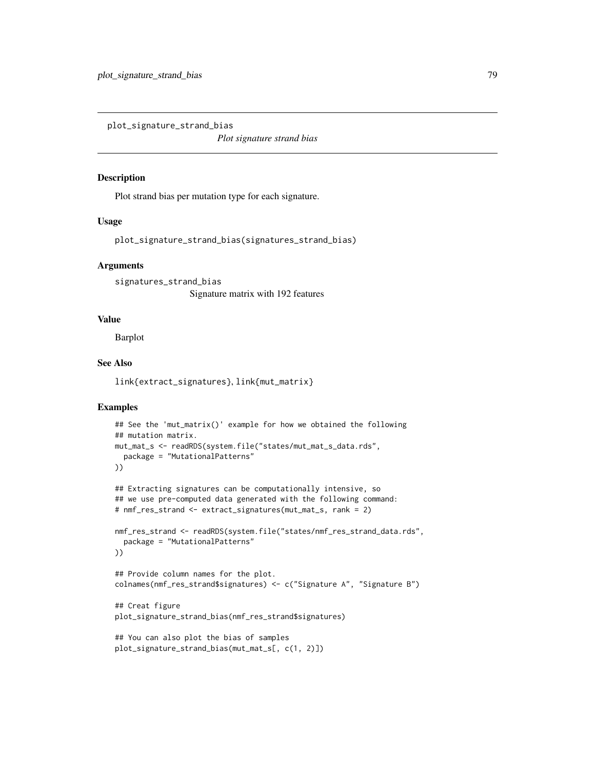<span id="page-78-0"></span>plot\_signature\_strand\_bias

*Plot signature strand bias*

# Description

Plot strand bias per mutation type for each signature.

## Usage

plot\_signature\_strand\_bias(signatures\_strand\_bias)

## Arguments

signatures\_strand\_bias Signature matrix with 192 features

## Value

Barplot

## See Also

link{extract\_signatures}, link{mut\_matrix}

```
## See the 'mut_matrix()' example for how we obtained the following
## mutation matrix.
mut_mat_s <- readRDS(system.file("states/mut_mat_s_data.rds",
  package = "MutationalPatterns"
))
## Extracting signatures can be computationally intensive, so
## we use pre-computed data generated with the following command:
# nmf_res_strand <- extract_signatures(mut_mat_s, rank = 2)
nmf_res_strand <- readRDS(system.file("states/nmf_res_strand_data.rds",
  package = "MutationalPatterns"
))
## Provide column names for the plot.
colnames(nmf_res_strand$signatures) <- c("Signature A", "Signature B")
## Creat figure
plot_signature_strand_bias(nmf_res_strand$signatures)
## You can also plot the bias of samples
plot_signature_strand_bias(mut_mat_s[, c(1, 2)])
```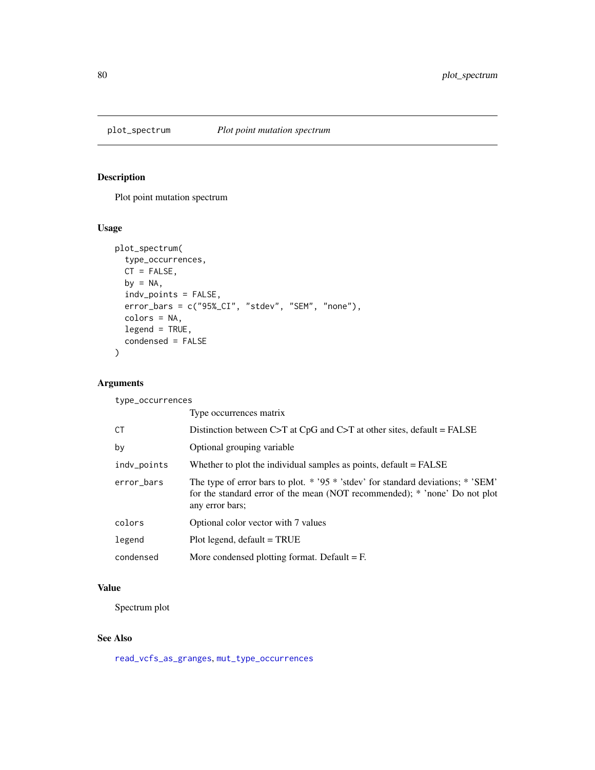<span id="page-79-1"></span><span id="page-79-0"></span>

# Description

Plot point mutation spectrum

# Usage

```
plot_spectrum(
  type_occurrences,
 CT = FALSE,by = NA,
 indv_points = FALSE,
 error_bars = c("95%_CI", "stdev", "SEM", "none"),
 colors = NA,
 legend = TRUE,
 condensed = FALSE
)
```
# Arguments

type\_occurrences

|             | Type occurrences matrix                                                                                                                                                                 |
|-------------|-----------------------------------------------------------------------------------------------------------------------------------------------------------------------------------------|
| СT          | Distinction between C>T at CpG and C>T at other sites, default = $FALSE$                                                                                                                |
| by          | Optional grouping variable                                                                                                                                                              |
| indv_points | Whether to plot the individual samples as points, $default = FALSE$                                                                                                                     |
| error_bars  | The type of error bars to plot. $*$ '95 $*$ 'stdev' for standard deviations; $*$ 'SEM'<br>for the standard error of the mean (NOT recommended); * 'none' Do not plot<br>any error bars; |
| colors      | Optional color vector with 7 values                                                                                                                                                     |
| legend      | $Plot$ legend, default = TRUE                                                                                                                                                           |
| condensed   | More condensed plotting format. Default $=$ F.                                                                                                                                          |

# Value

Spectrum plot

# See Also

[read\\_vcfs\\_as\\_granges](#page-86-0), [mut\\_type\\_occurrences](#page-45-0)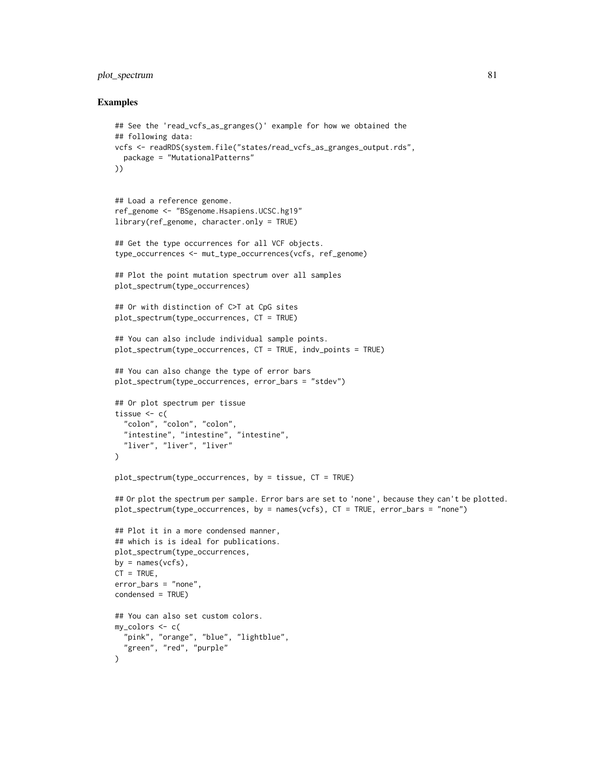# plot\_spectrum 81

```
## See the 'read_vcfs_as_granges()' example for how we obtained the
## following data:
vcfs <- readRDS(system.file("states/read_vcfs_as_granges_output.rds",
  package = "MutationalPatterns"
))
## Load a reference genome.
ref_genome <- "BSgenome.Hsapiens.UCSC.hg19"
library(ref_genome, character.only = TRUE)
## Get the type occurrences for all VCF objects.
type_occurrences <- mut_type_occurrences(vcfs, ref_genome)
## Plot the point mutation spectrum over all samples
plot_spectrum(type_occurrences)
## Or with distinction of C>T at CpG sites
plot_spectrum(type_occurrences, CT = TRUE)
## You can also include individual sample points.
plot_spectrum(type_occurrences, CT = TRUE, indv_points = TRUE)
## You can also change the type of error bars
plot_spectrum(type_occurrences, error_bars = "stdev")
## Or plot spectrum per tissue
tissue <-c("colon", "colon", "colon",
  "intestine", "intestine", "intestine",
  "liver", "liver", "liver"
\lambdaplot_spectrum(type_occurrences, by = tissue, CT = TRUE)
## Or plot the spectrum per sample. Error bars are set to 'none', because they can't be plotted.
plot_spectrum(type_occurrences, by = names(vcfs), CT = TRUE, error_bars = "none")
## Plot it in a more condensed manner,
## which is is ideal for publications.
plot_spectrum(type_occurrences,
by = names(vcfs),
CT = TRUE,error_bars = "none",
condensed = TRUE)
## You can also set custom colors.
my_colors <- c(
  "pink", "orange", "blue", "lightblue",
  "green", "red", "purple"
\mathcal{L}
```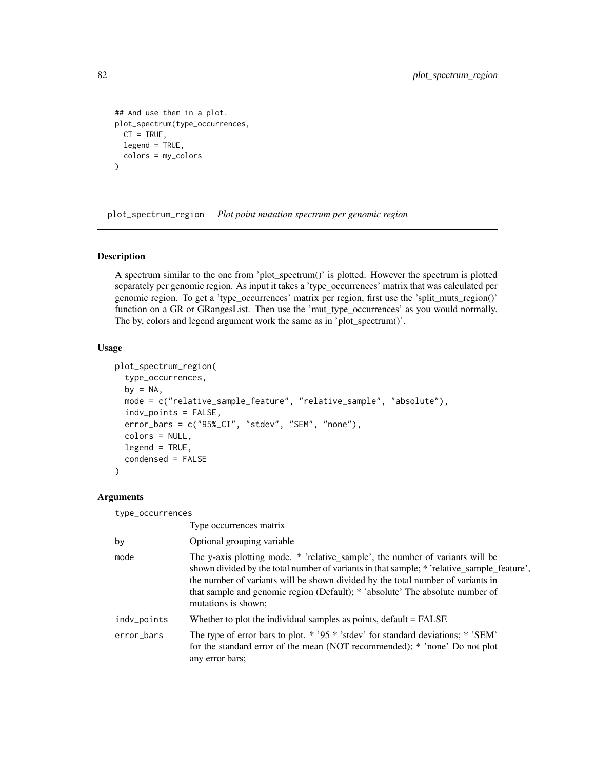```
## And use them in a plot.
plot_spectrum(type_occurrences,
 CT = TRUE,legend = TRUE,
  colors = my_colors
)
```
<span id="page-81-0"></span>plot\_spectrum\_region *Plot point mutation spectrum per genomic region*

# Description

A spectrum similar to the one from 'plot\_spectrum()' is plotted. However the spectrum is plotted separately per genomic region. As input it takes a 'type\_occurrences' matrix that was calculated per genomic region. To get a 'type\_occurrences' matrix per region, first use the 'split\_muts\_region()' function on a GR or GRangesList. Then use the 'mut\_type\_occurrences' as you would normally. The by, colors and legend argument work the same as in 'plot\_spectrum()'.

# Usage

```
plot_spectrum_region(
  type_occurrences,
  by = NA,
  mode = c("relative_sample_feature", "relative_sample", "absolute"),
  indv_points = FALSE,
  error_bars = c("95%_CI", "stdev", "SEM", "none"),
  colors = NULL,
  legend = TRUE,condensed = FALSE
\mathcal{L}
```
## Arguments

type\_occurrences

|             | Type occurrences matrix                                                                                                                                                                                                                                                                                                                                                |
|-------------|------------------------------------------------------------------------------------------------------------------------------------------------------------------------------------------------------------------------------------------------------------------------------------------------------------------------------------------------------------------------|
| by          | Optional grouping variable                                                                                                                                                                                                                                                                                                                                             |
| mode        | The y-axis plotting mode. * 'relative_sample', the number of variants will be<br>shown divided by the total number of variants in that sample; * 'relative_sample_feature',<br>the number of variants will be shown divided by the total number of variants in<br>that sample and genomic region (Default); * 'absolute' The absolute number of<br>mutations is shown; |
| indv_points | Whether to plot the individual samples as points, $default = FALSE$                                                                                                                                                                                                                                                                                                    |
| error_bars  | The type of error bars to plot. $*$ '95 $*$ 'stdev' for standard deviations; $*$ 'SEM'<br>for the standard error of the mean (NOT recommended); * 'none' Do not plot<br>any error bars;                                                                                                                                                                                |
|             |                                                                                                                                                                                                                                                                                                                                                                        |

<span id="page-81-1"></span>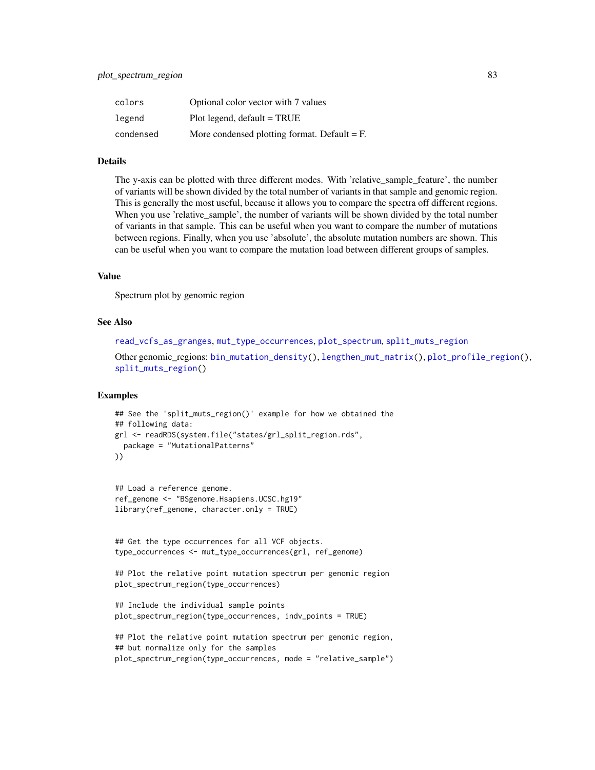<span id="page-82-0"></span>

| colors    | Optional color vector with 7 values            |
|-----------|------------------------------------------------|
| legend    | $Plot$ legend, default = TRUE                  |
| condensed | More condensed plotting format. Default $=$ F. |

# Details

The y-axis can be plotted with three different modes. With 'relative\_sample\_feature', the number of variants will be shown divided by the total number of variants in that sample and genomic region. This is generally the most useful, because it allows you to compare the spectra off different regions. When you use 'relative\_sample', the number of variants will be shown divided by the total number of variants in that sample. This can be useful when you want to compare the number of mutations between regions. Finally, when you use 'absolute', the absolute mutation numbers are shown. This can be useful when you want to compare the mutation load between different groups of samples.

## Value

Spectrum plot by genomic region

#### See Also

```
read_vcfs_as_granges, mut_type_occurrences, plot_spectrum, split_muts_region
```
Other genomic\_regions: [bin\\_mutation\\_density\(](#page-4-0)), [lengthen\\_mut\\_matrix\(](#page-33-0)), [plot\\_profile\\_region\(](#page-72-0)), [split\\_muts\\_region\(](#page-92-0))

```
## See the 'split_muts_region()' example for how we obtained the
## following data:
grl <- readRDS(system.file("states/grl_split_region.rds",
 package = "MutationalPatterns"
))
```

```
## Load a reference genome.
ref_genome <- "BSgenome.Hsapiens.UCSC.hg19"
library(ref_genome, character.only = TRUE)
```

```
## Get the type occurrences for all VCF objects.
type_occurrences <- mut_type_occurrences(grl, ref_genome)
```

```
## Plot the relative point mutation spectrum per genomic region
plot_spectrum_region(type_occurrences)
```

```
## Include the individual sample points
plot_spectrum_region(type_occurrences, indv_points = TRUE)
```

```
## Plot the relative point mutation spectrum per genomic region,
## but normalize only for the samples
plot_spectrum_region(type_occurrences, mode = "relative_sample")
```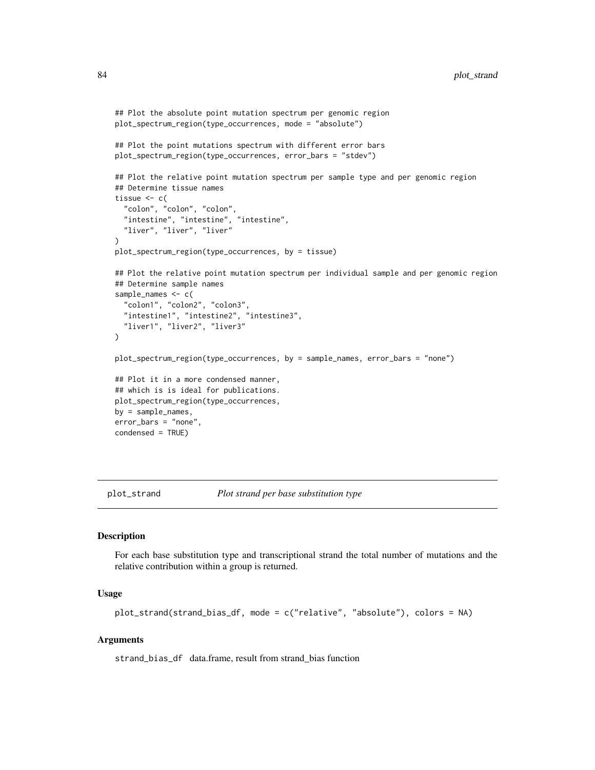```
## Plot the absolute point mutation spectrum per genomic region
plot_spectrum_region(type_occurrences, mode = "absolute")
## Plot the point mutations spectrum with different error bars
plot_spectrum_region(type_occurrences, error_bars = "stdev")
## Plot the relative point mutation spectrum per sample type and per genomic region
## Determine tissue names
tissue <-c("colon", "colon", "colon",
 "intestine", "intestine", "intestine",
  "liver", "liver", "liver"
\lambdaplot_spectrum_region(type_occurrences, by = tissue)
## Plot the relative point mutation spectrum per individual sample and per genomic region
## Determine sample names
sample_names <- c(
 "colon1", "colon2", "colon3",
 "intestine1", "intestine2", "intestine3",
 "liver1", "liver2", "liver3"
\mathcal{L}plot_spectrum_region(type_occurrences, by = sample_names, error_bars = "none")
## Plot it in a more condensed manner,
## which is is ideal for publications.
plot_spectrum_region(type_occurrences,
by = sample_names,
error_bars = "none",
condensed = TRUE)
```
<span id="page-83-0"></span>

plot\_strand *Plot strand per base substitution type*

## Description

For each base substitution type and transcriptional strand the total number of mutations and the relative contribution within a group is returned.

#### Usage

```
plot_strand(strand_bias_df, mode = c("relative", "absolute"), colors = NA)
```
## Arguments

strand\_bias\_df data.frame, result from strand\_bias function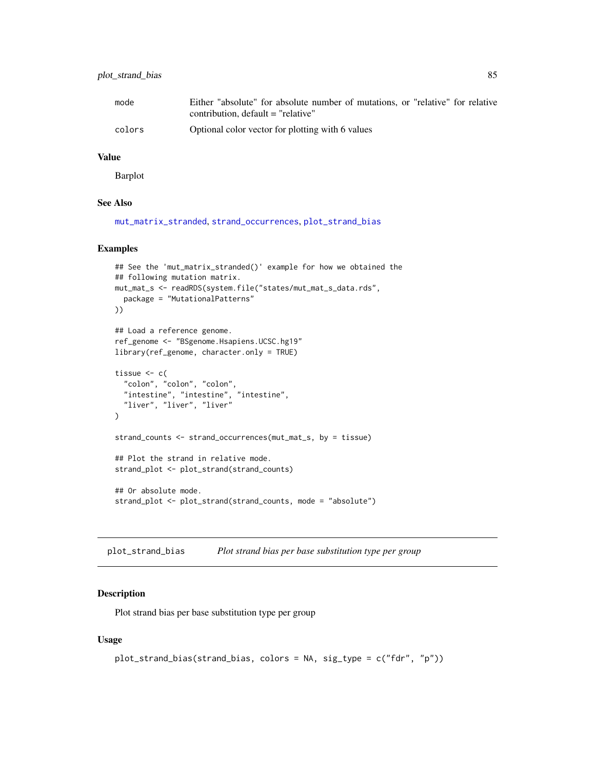# <span id="page-84-1"></span>plot\_strand\_bias 85

| mode   | Either "absolute" for absolute number of mutations, or "relative" for relative |
|--------|--------------------------------------------------------------------------------|
|        | contribution, $default = "relative"$                                           |
| colors | Optional color vector for plotting with 6 values                               |

# Value

Barplot

# See Also

[mut\\_matrix\\_stranded](#page-40-0), [strand\\_occurrences](#page-95-0), [plot\\_strand\\_bias](#page-84-0)

#### Examples

```
## See the 'mut_matrix_stranded()' example for how we obtained the
## following mutation matrix.
mut_mat_s <- readRDS(system.file("states/mut_mat_s_data.rds",
  package = "MutationalPatterns"
))
## Load a reference genome.
ref_genome <- "BSgenome.Hsapiens.UCSC.hg19"
library(ref_genome, character.only = TRUE)
tissue <-c("colon", "colon", "colon",
  "intestine", "intestine", "intestine",
  "liver", "liver", "liver"
\lambdastrand_counts <- strand_occurrences(mut_mat_s, by = tissue)
## Plot the strand in relative mode.
strand_plot <- plot_strand(strand_counts)
## Or absolute mode.
strand_plot <- plot_strand(strand_counts, mode = "absolute")
```
<span id="page-84-0"></span>plot\_strand\_bias *Plot strand bias per base substitution type per group*

# Description

Plot strand bias per base substitution type per group

## Usage

```
plot_strand_bias(strand_bias, colors = NA, sig_type = c("fdr", "p"))
```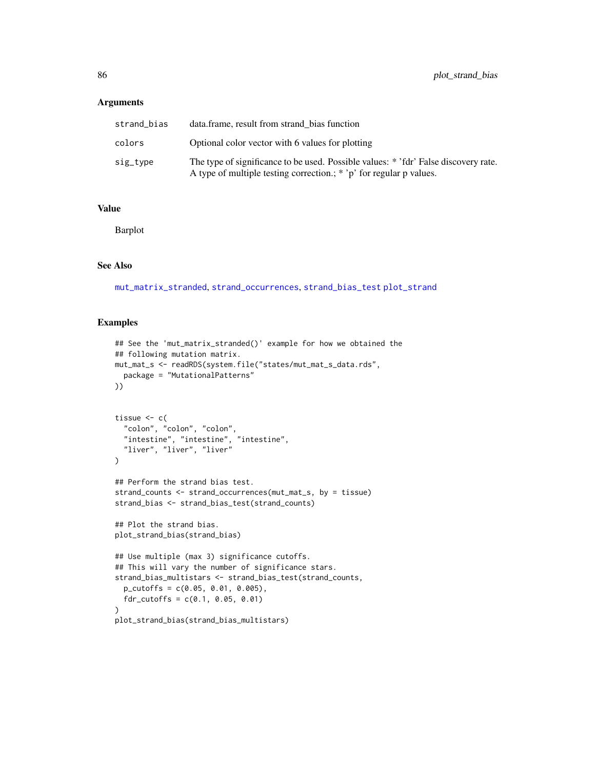## Arguments

| strand bias | data.frame, result from strand bias function                                                                                                               |
|-------------|------------------------------------------------------------------------------------------------------------------------------------------------------------|
| colors      | Optional color vector with 6 values for plotting                                                                                                           |
| sig_type    | The type of significance to be used. Possible values: * 'fdr' False discovery rate.<br>A type of multiple testing correction.; * 'p' for regular p values. |

# Value

Barplot

## See Also

[mut\\_matrix\\_stranded](#page-40-0), [strand\\_occurrences](#page-95-0), [strand\\_bias\\_test](#page-93-0) [plot\\_strand](#page-83-0)

```
## See the 'mut_matrix_stranded()' example for how we obtained the
## following mutation matrix.
mut_mat_s <- readRDS(system.file("states/mut_mat_s_data.rds",
 package = "MutationalPatterns"
))
tissue \leftarrow c(
  "colon", "colon", "colon",
  "intestine", "intestine", "intestine",
  "liver", "liver", "liver"
\lambda## Perform the strand bias test.
strand_counts <- strand_occurrences(mut_mat_s, by = tissue)
strand_bias <- strand_bias_test(strand_counts)
## Plot the strand bias.
plot_strand_bias(strand_bias)
## Use multiple (max 3) significance cutoffs.
## This will vary the number of significance stars.
strand_bias_multistars <- strand_bias_test(strand_counts,
  p_cutoffs = c(0.05, 0.01, 0.005),
  fdr_cutoffs = c(0.1, 0.05, 0.01)\lambdaplot_strand_bias(strand_bias_multistars)
```
<span id="page-85-0"></span>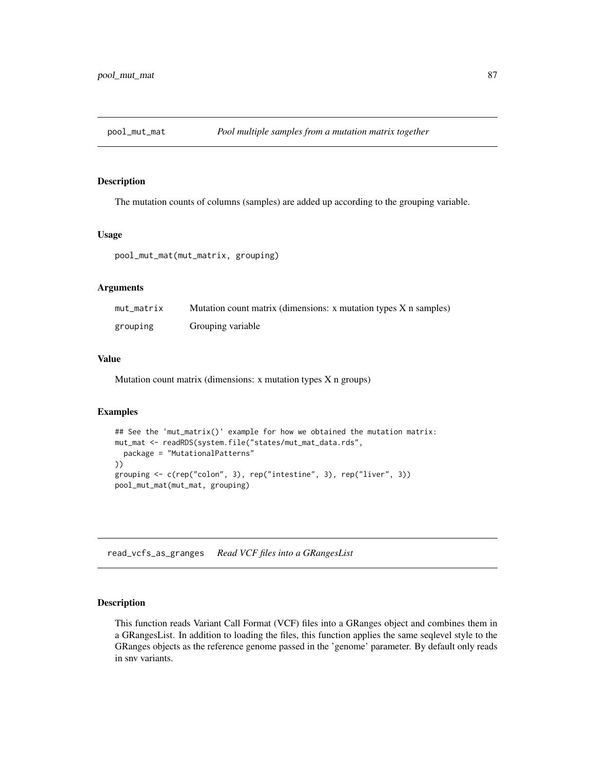<span id="page-86-1"></span>

# Description

The mutation counts of columns (samples) are added up according to the grouping variable.

## Usage

pool\_mut\_mat(mut\_matrix, grouping)

# Arguments

| mut_matrix | Mutation count matrix (dimensions: x mutation types X n samples) |
|------------|------------------------------------------------------------------|
| grouping   | Grouping variable                                                |

# Value

Mutation count matrix (dimensions: x mutation types X n groups)

# Examples

```
## See the 'mut_matrix()' example for how we obtained the mutation matrix:
mut_mat <- readRDS(system.file("states/mut_mat_data.rds",
  package = "MutationalPatterns"
))
grouping <- c(rep("colon", 3), rep("intestine", 3), rep("liver", 3))
pool_mut_mat(mut_mat, grouping)
```
<span id="page-86-0"></span>read\_vcfs\_as\_granges *Read VCF files into a GRangesList*

## Description

This function reads Variant Call Format (VCF) files into a GRanges object and combines them in a GRangesList. In addition to loading the files, this function applies the same seqlevel style to the GRanges objects as the reference genome passed in the 'genome' parameter. By default only reads in snv variants.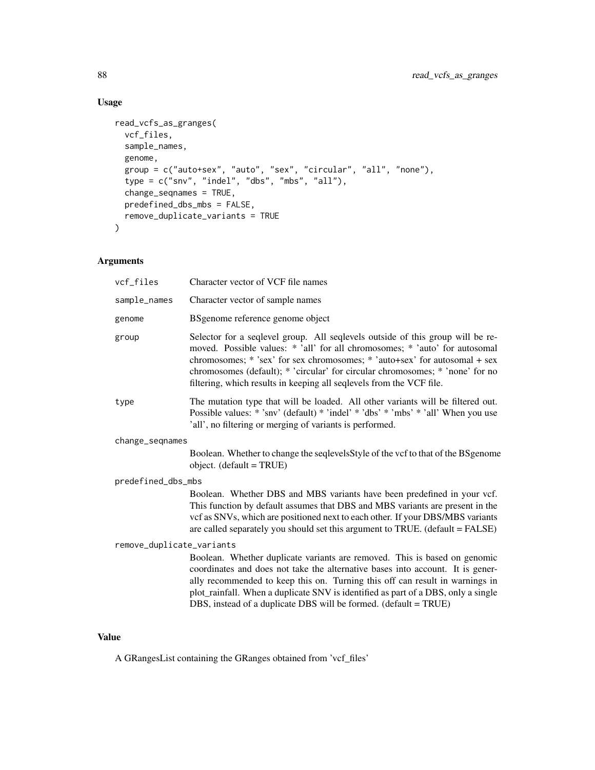# Usage

```
read_vcfs_as_granges(
 vcf_files,
 sample_names,
 genome,
 group = c("auto+sex", "auto", "sex", "circular", "all", "none"),
  type = c("snv", "indel", "dbs", "mbs", "all"),
 change_seqnames = TRUE,
 predefined_dbs_mbs = FALSE,
 remove_duplicate_variants = TRUE
\mathcal{L}
```
# Arguments

| vcf_files                 | Character vector of VCF file names                                                                                                                                                                                                                                                                                                                                                                   |
|---------------------------|------------------------------------------------------------------------------------------------------------------------------------------------------------------------------------------------------------------------------------------------------------------------------------------------------------------------------------------------------------------------------------------------------|
| sample_names              | Character vector of sample names                                                                                                                                                                                                                                                                                                                                                                     |
| genome                    | BSgenome reference genome object                                                                                                                                                                                                                                                                                                                                                                     |
| group                     | Selector for a seqlevel group. All seqlevels outside of this group will be re-<br>moved. Possible values: * 'all' for all chromosomes; * 'auto' for autosomal<br>chromosomes; * 'sex' for sex chromosomes; * 'auto+sex' for autosomal + sex<br>chromosomes (default); * 'circular' for circular chromosomes; * 'none' for no<br>filtering, which results in keeping all seqlevels from the VCF file. |
| type                      | The mutation type that will be loaded. All other variants will be filtered out.<br>Possible values: * 'snv' (default) * 'indel' * 'dbs' * 'mbs' * 'all' When you use<br>'all', no filtering or merging of variants is performed.                                                                                                                                                                     |
| change_seqnames           |                                                                                                                                                                                                                                                                                                                                                                                                      |
|                           | Boolean. Whether to change the seqlevels Style of the vcf to that of the BS genome<br>object. (default = TRUE)                                                                                                                                                                                                                                                                                       |
| predefined_dbs_mbs        |                                                                                                                                                                                                                                                                                                                                                                                                      |
|                           | Boolean. Whether DBS and MBS variants have been predefined in your vcf.<br>This function by default assumes that DBS and MBS variants are present in the<br>vcf as SNVs, which are positioned next to each other. If your DBS/MBS variants<br>are called separately you should set this argument to TRUE. (default = FALSE)                                                                          |
| remove_duplicate_variants |                                                                                                                                                                                                                                                                                                                                                                                                      |
|                           | Boolean. Whether duplicate variants are removed. This is based on genomic<br>coordinates and does not take the alternative bases into account. It is gener-<br>ally recommended to keep this on. Turning this off can result in warnings in<br>plot_rainfall. When a duplicate SNV is identified as part of a DBS, only a single<br>DBS, instead of a duplicate DBS will be formed. (default = TRUE) |

# Value

A GRangesList containing the GRanges obtained from 'vcf\_files'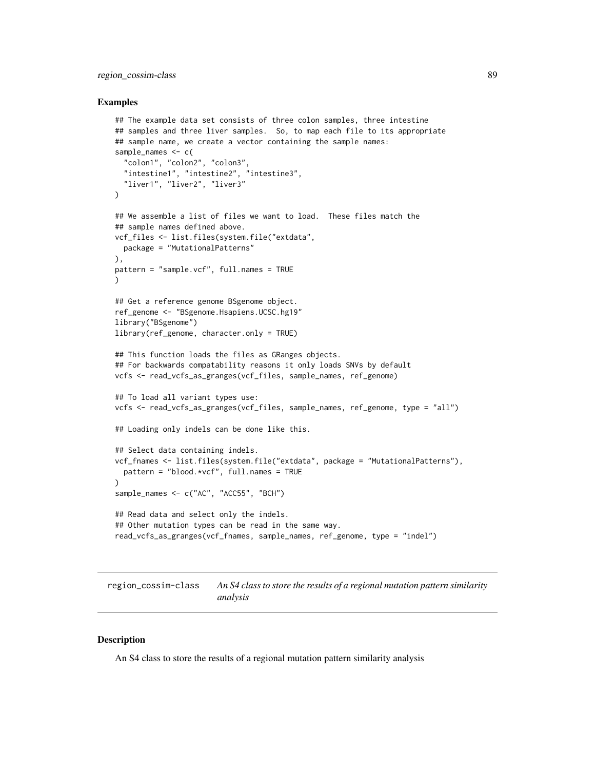# <span id="page-88-0"></span>region\_cossim-class 89

## Examples

```
## The example data set consists of three colon samples, three intestine
## samples and three liver samples. So, to map each file to its appropriate
## sample name, we create a vector containing the sample names:
sample_names <- c(
  "colon1", "colon2", "colon3",
  "intestine1", "intestine2", "intestine3",
  "liver1", "liver2", "liver3"
)
## We assemble a list of files we want to load. These files match the
## sample names defined above.
vcf_files <- list.files(system.file("extdata",
  package = "MutationalPatterns"
),
pattern = "sample.vcf", full.names = TRUE
\lambda## Get a reference genome BSgenome object.
ref_genome <- "BSgenome.Hsapiens.UCSC.hg19"
library("BSgenome")
library(ref_genome, character.only = TRUE)
## This function loads the files as GRanges objects.
## For backwards compatability reasons it only loads SNVs by default
vcfs <- read_vcfs_as_granges(vcf_files, sample_names, ref_genome)
## To load all variant types use:
vcfs <- read_vcfs_as_granges(vcf_files, sample_names, ref_genome, type = "all")
## Loading only indels can be done like this.
## Select data containing indels.
vcf_fnames <- list.files(system.file("extdata", package = "MutationalPatterns"),
  pattern = "blood.*vcf", full.names = TRUE
\lambdasample_names <- c("AC", "ACC55", "BCH")
## Read data and select only the indels.
## Other mutation types can be read in the same way.
read_vcfs_as_granges(vcf_fnames, sample_names, ref_genome, type = "indel")
```
region\_cossim-class *An S4 class to store the results of a regional mutation pattern similarity analysis*

## Description

An S4 class to store the results of a regional mutation pattern similarity analysis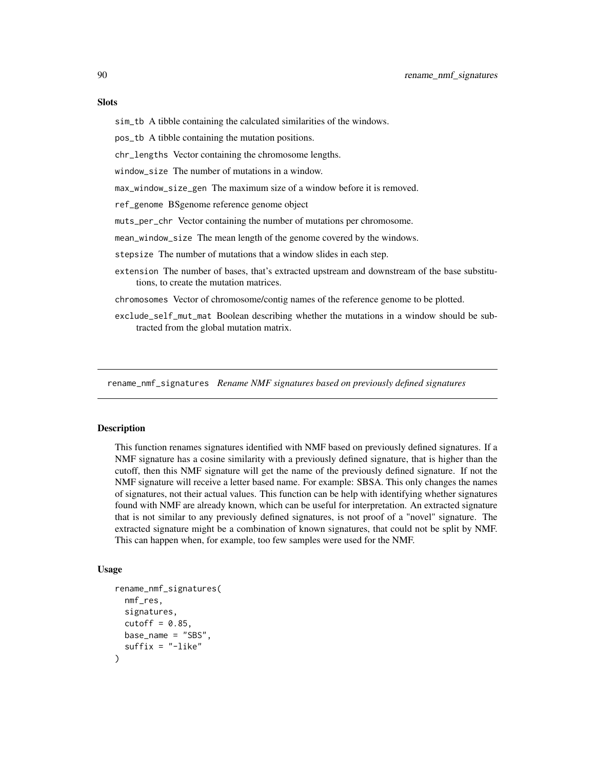#### <span id="page-89-0"></span>**Slots**

sim\_tb A tibble containing the calculated similarities of the windows.

pos\_tb A tibble containing the mutation positions.

chr\_lengths Vector containing the chromosome lengths.

window\_size The number of mutations in a window.

max\_window\_size\_gen The maximum size of a window before it is removed.

ref\_genome BSgenome reference genome object

muts\_per\_chr Vector containing the number of mutations per chromosome.

mean\_window\_size The mean length of the genome covered by the windows.

stepsize The number of mutations that a window slides in each step.

extension The number of bases, that's extracted upstream and downstream of the base substitutions, to create the mutation matrices.

chromosomes Vector of chromosome/contig names of the reference genome to be plotted.

exclude\_self\_mut\_mat Boolean describing whether the mutations in a window should be subtracted from the global mutation matrix.

rename\_nmf\_signatures *Rename NMF signatures based on previously defined signatures*

#### Description

This function renames signatures identified with NMF based on previously defined signatures. If a NMF signature has a cosine similarity with a previously defined signature, that is higher than the cutoff, then this NMF signature will get the name of the previously defined signature. If not the NMF signature will receive a letter based name. For example: SBSA. This only changes the names of signatures, not their actual values. This function can be help with identifying whether signatures found with NMF are already known, which can be useful for interpretation. An extracted signature that is not similar to any previously defined signatures, is not proof of a "novel" signature. The extracted signature might be a combination of known signatures, that could not be split by NMF. This can happen when, for example, too few samples were used for the NMF.

#### Usage

```
rename_nmf_signatures(
  nmf_res,
  signatures,
  cutoff = 0.85,
 base_name = "SBS",
  suffix = "-like")
```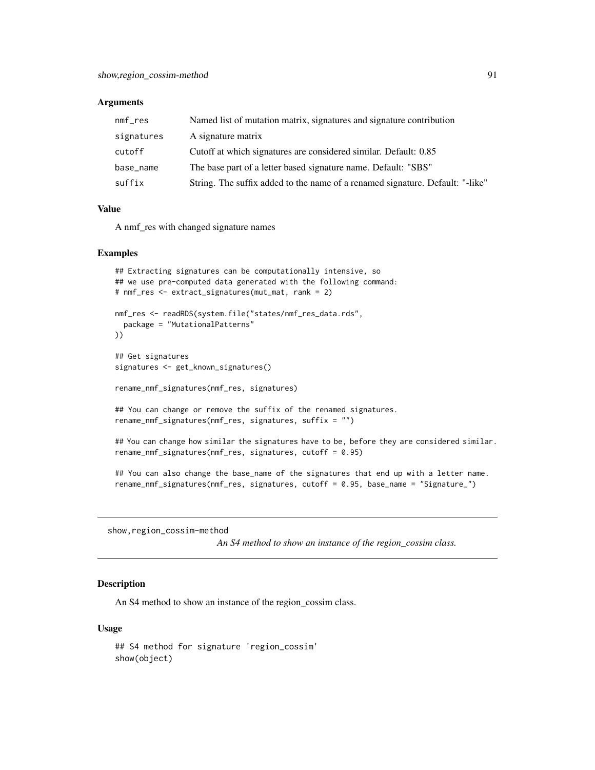#### <span id="page-90-0"></span>Arguments

| $nmf_{res}$ | Named list of mutation matrix, signatures and signature contribution          |
|-------------|-------------------------------------------------------------------------------|
| signatures  | A signature matrix                                                            |
| cutoff      | Cutoff at which signatures are considered similar. Default: 0.85              |
| base_name   | The base part of a letter based signature name. Default: "SBS"                |
| suffix      | String. The suffix added to the name of a renamed signature. Default: "-like" |

# Value

A nmf\_res with changed signature names

#### Examples

```
## Extracting signatures can be computationally intensive, so
## we use pre-computed data generated with the following command:
# nmf_res <- extract_signatures(mut_mat, rank = 2)
nmf_res <- readRDS(system.file("states/nmf_res_data.rds",
 package = "MutationalPatterns"
))
## Get signatures
signatures <- get_known_signatures()
rename_nmf_signatures(nmf_res, signatures)
## You can change or remove the suffix of the renamed signatures.
rename_nmf_signatures(nmf_res, signatures, suffix = "")
## You can change how similar the signatures have to be, before they are considered similar.
rename_nmf_signatures(nmf_res, signatures, cutoff = 0.95)
## You can also change the base_name of the signatures that end up with a letter name.
```

```
rename_nmf_signatures(nmf_res, signatures, cutoff = 0.95, base_name = "Signature_")
```
show,region\_cossim-method

*An S4 method to show an instance of the region\_cossim class.*

# Description

An S4 method to show an instance of the region\_cossim class.

#### Usage

```
## S4 method for signature 'region_cossim'
show(object)
```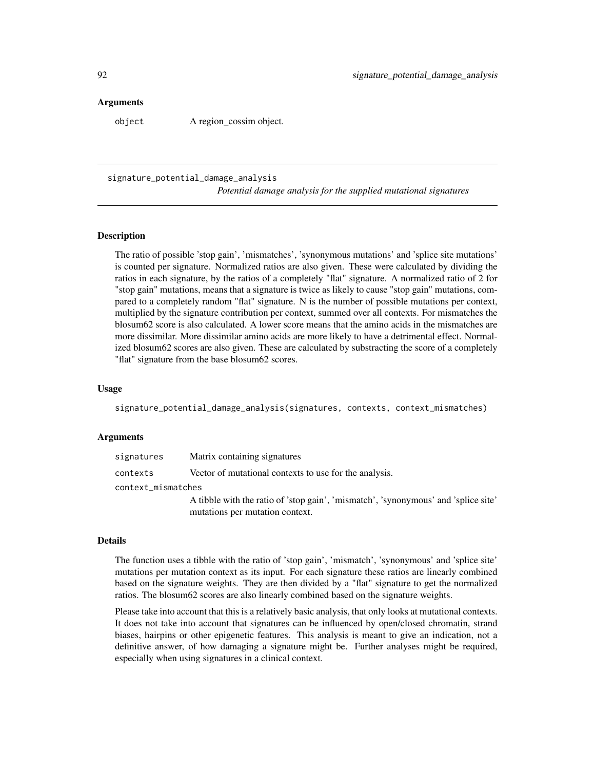## <span id="page-91-0"></span>Arguments

object A region\_cossim object.

signature\_potential\_damage\_analysis

*Potential damage analysis for the supplied mutational signatures*

# Description

The ratio of possible 'stop gain', 'mismatches', 'synonymous mutations' and 'splice site mutations' is counted per signature. Normalized ratios are also given. These were calculated by dividing the ratios in each signature, by the ratios of a completely "flat" signature. A normalized ratio of 2 for "stop gain" mutations, means that a signature is twice as likely to cause "stop gain" mutations, compared to a completely random "flat" signature. N is the number of possible mutations per context, multiplied by the signature contribution per context, summed over all contexts. For mismatches the blosum62 score is also calculated. A lower score means that the amino acids in the mismatches are more dissimilar. More dissimilar amino acids are more likely to have a detrimental effect. Normalized blosum62 scores are also given. These are calculated by substracting the score of a completely "flat" signature from the base blosum62 scores.

#### Usage

signature\_potential\_damage\_analysis(signatures, contexts, context\_mismatches)

#### Arguments

| signatures         | Matrix containing signatures                                                       |  |
|--------------------|------------------------------------------------------------------------------------|--|
| contexts           | Vector of mutational contexts to use for the analysis.                             |  |
| context_mismatches |                                                                                    |  |
|                    | A tibble with the ratio of 'stop gain', 'mismatch', 'synonymous' and 'splice site' |  |
|                    | mutations per mutation context.                                                    |  |

## Details

The function uses a tibble with the ratio of 'stop gain', 'mismatch', 'synonymous' and 'splice site' mutations per mutation context as its input. For each signature these ratios are linearly combined based on the signature weights. They are then divided by a "flat" signature to get the normalized ratios. The blosum62 scores are also linearly combined based on the signature weights.

Please take into account that this is a relatively basic analysis, that only looks at mutational contexts. It does not take into account that signatures can be influenced by open/closed chromatin, strand biases, hairpins or other epigenetic features. This analysis is meant to give an indication, not a definitive answer, of how damaging a signature might be. Further analyses might be required, especially when using signatures in a clinical context.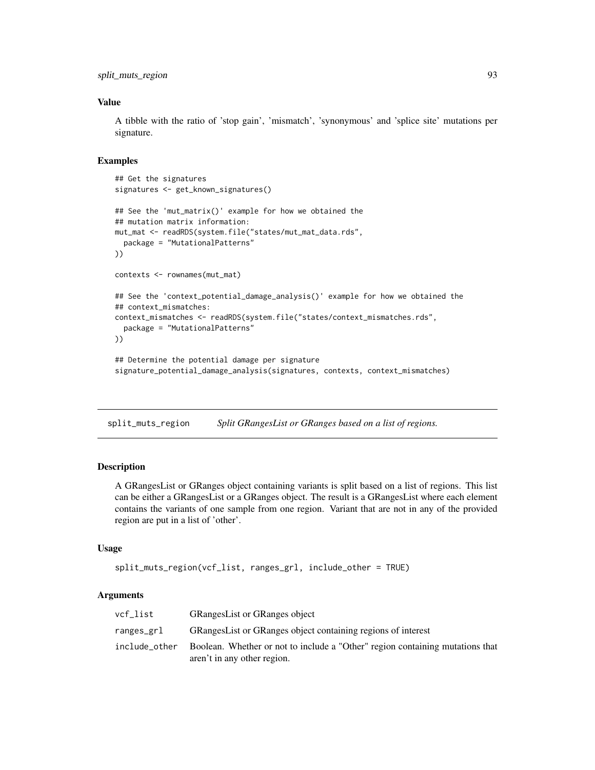<span id="page-92-1"></span>split\_muts\_region 93

## Value

A tibble with the ratio of 'stop gain', 'mismatch', 'synonymous' and 'splice site' mutations per signature.

# Examples

```
## Get the signatures
signatures <- get_known_signatures()
## See the 'mut_matrix()' example for how we obtained the
## mutation matrix information:
mut_mat <- readRDS(system.file("states/mut_mat_data.rds",
  package = "MutationalPatterns"
))
contexts <- rownames(mut_mat)
## See the 'context_potential_damage_analysis()' example for how we obtained the
## context_mismatches:
context_mismatches <- readRDS(system.file("states/context_mismatches.rds",
  package = "MutationalPatterns"
))
## Determine the potential damage per signature
signature_potential_damage_analysis(signatures, contexts, context_mismatches)
```
<span id="page-92-0"></span>split\_muts\_region *Split GRangesList or GRanges based on a list of regions.*

## Description

A GRangesList or GRanges object containing variants is split based on a list of regions. This list can be either a GRangesList or a GRanges object. The result is a GRangesList where each element contains the variants of one sample from one region. Variant that are not in any of the provided region are put in a list of 'other'.

#### Usage

```
split_muts_region(vcf_list, ranges_grl, include_other = TRUE)
```
## Arguments

| vcf list      | <b>GRangesList or GRanges object</b>                                          |
|---------------|-------------------------------------------------------------------------------|
| ranges_grl    | GRanges List or GRanges object containing regions of interest                 |
| include other | Boolean. Whether or not to include a "Other" region containing mutations that |
|               | aren't in any other region.                                                   |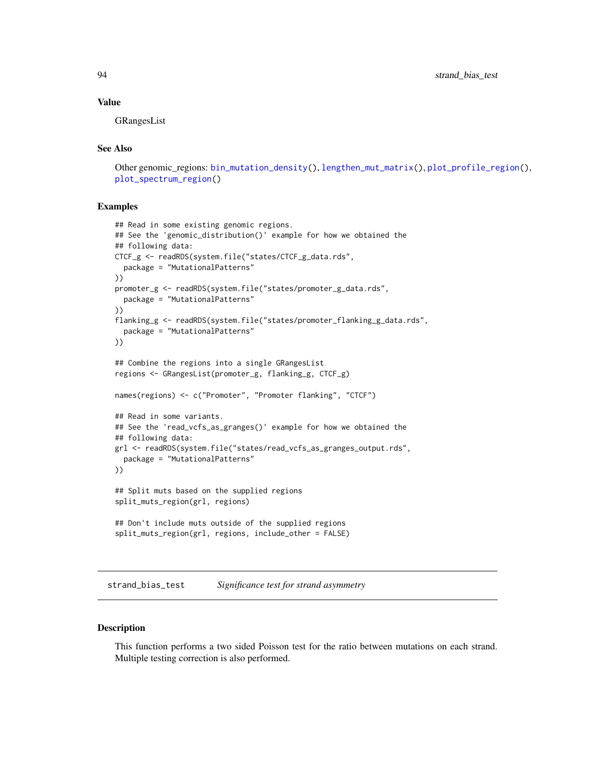#### <span id="page-93-1"></span>Value

GRangesList

# See Also

```
Other genomic_regions: bin_mutation_density(), lengthen_mut_matrix(), plot_profile_region(),
plot_spectrum_region()
```
## Examples

```
## Read in some existing genomic regions.
## See the 'genomic_distribution()' example for how we obtained the
## following data:
CTCF_g <- readRDS(system.file("states/CTCF_g_data.rds",
  package = "MutationalPatterns"
))
promoter_g <- readRDS(system.file("states/promoter_g_data.rds",
  package = "MutationalPatterns"
))
flanking_g <- readRDS(system.file("states/promoter_flanking_g_data.rds",
  package = "MutationalPatterns"
))
## Combine the regions into a single GRangesList
regions <- GRangesList(promoter_g, flanking_g, CTCF_g)
names(regions) <- c("Promoter", "Promoter flanking", "CTCF")
## Read in some variants.
## See the 'read_vcfs_as_granges()' example for how we obtained the
## following data:
grl <- readRDS(system.file("states/read_vcfs_as_granges_output.rds",
  package = "MutationalPatterns"
))
## Split muts based on the supplied regions
split_muts_region(grl, regions)
## Don't include muts outside of the supplied regions
split_muts_region(grl, regions, include_other = FALSE)
```
<span id="page-93-0"></span>strand\_bias\_test *Significance test for strand asymmetry*

## Description

This function performs a two sided Poisson test for the ratio between mutations on each strand. Multiple testing correction is also performed.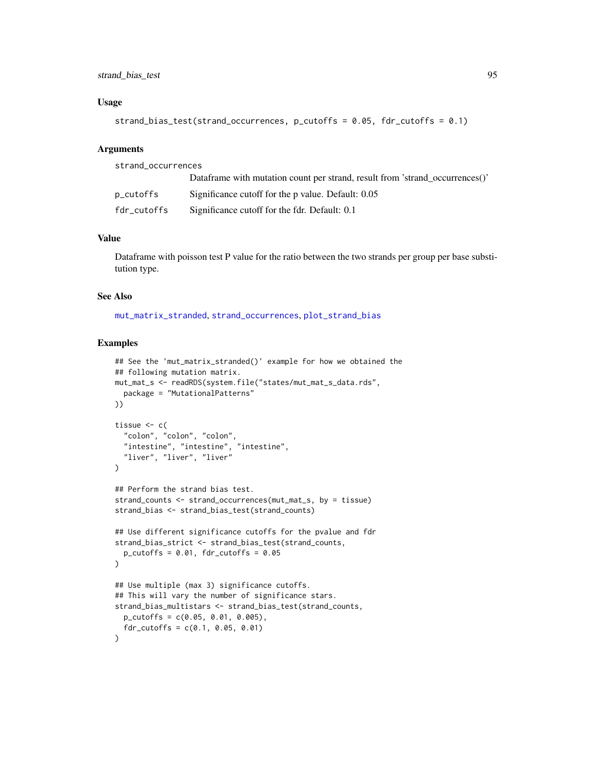# <span id="page-94-0"></span>strand\_bias\_test 95

## Usage

```
strand_bias_test(strand_occurrences, p_cutoffs = 0.05, fdr_cutoffs = 0.1)
```
#### Arguments

| strand_occurrences |                                                                              |
|--------------------|------------------------------------------------------------------------------|
|                    | Dataframe with mutation count per strand, result from 'strand occurrences()' |
| p_cutoffs          | Significance cutoff for the p value. Default: 0.05                           |
| fdr_cutoffs        | Significance cutoff for the fdr. Default: 0.1                                |

## Value

Dataframe with poisson test P value for the ratio between the two strands per group per base substitution type.

## See Also

[mut\\_matrix\\_stranded](#page-40-0), [strand\\_occurrences](#page-95-0), [plot\\_strand\\_bias](#page-84-0)

```
## See the 'mut_matrix_stranded()' example for how we obtained the
## following mutation matrix.
mut_mat_s <- readRDS(system.file("states/mut_mat_s_data.rds",
  package = "MutationalPatterns"
))
tissue <- c(
  "colon", "colon", "colon",
  "intestine", "intestine", "intestine",
  "liver", "liver", "liver"
\lambda## Perform the strand bias test.
strand_counts <- strand_occurrences(mut_mat_s, by = tissue)
strand_bias <- strand_bias_test(strand_counts)
## Use different significance cutoffs for the pvalue and fdr
strand_bias_strict <- strand_bias_test(strand_counts,
  p_{\text{cutoff}} = 0.01, fdr_{\text{cutoff}} = 0.05)
## Use multiple (max 3) significance cutoffs.
## This will vary the number of significance stars.
strand_bias_multistars <- strand_bias_test(strand_counts,
  p_cutoffs = c(0.05, 0.01, 0.005),
  fdr_cutoffs = c(0.1, 0.05, 0.01)\lambda
```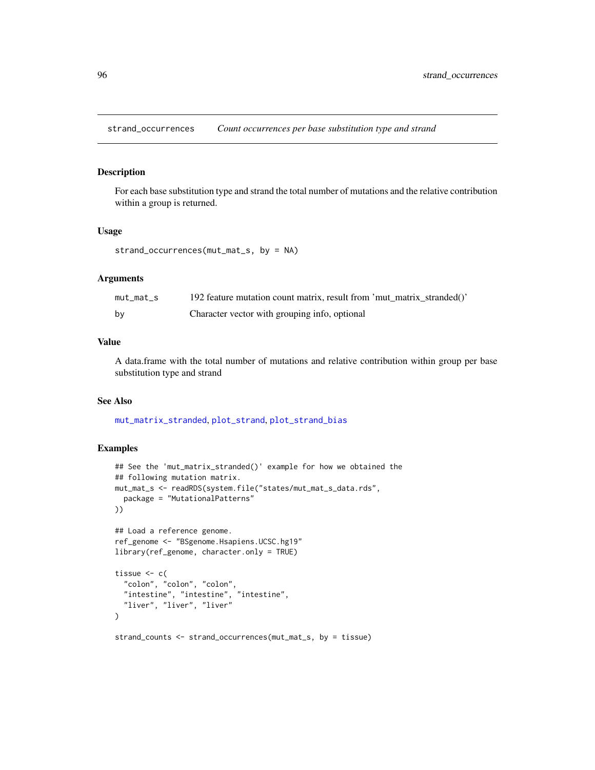<span id="page-95-1"></span><span id="page-95-0"></span>strand\_occurrences *Count occurrences per base substitution type and strand*

# Description

For each base substitution type and strand the total number of mutations and the relative contribution within a group is returned.

## Usage

```
strand_occurrences(mut_mat_s, by = NA)
```
# Arguments

| mut mat s | 192 feature mutation count matrix, result from 'mut matrix stranded()' |
|-----------|------------------------------------------------------------------------|
| bv        | Character vector with grouping info, optional                          |

# Value

A data.frame with the total number of mutations and relative contribution within group per base substitution type and strand

## See Also

[mut\\_matrix\\_stranded](#page-40-0), [plot\\_strand](#page-83-0), [plot\\_strand\\_bias](#page-84-0)

```
## See the 'mut_matrix_stranded()' example for how we obtained the
## following mutation matrix.
mut_mat_s <- readRDS(system.file("states/mut_mat_s_data.rds",
  package = "MutationalPatterns"
))
## Load a reference genome.
ref_genome <- "BSgenome.Hsapiens.UCSC.hg19"
library(ref_genome, character.only = TRUE)
tissue <-c("colon", "colon", "colon",
  "intestine", "intestine", "intestine",
  "liver", "liver", "liver"
)
strand_counts <- strand_occurrences(mut_mat_s, by = tissue)
```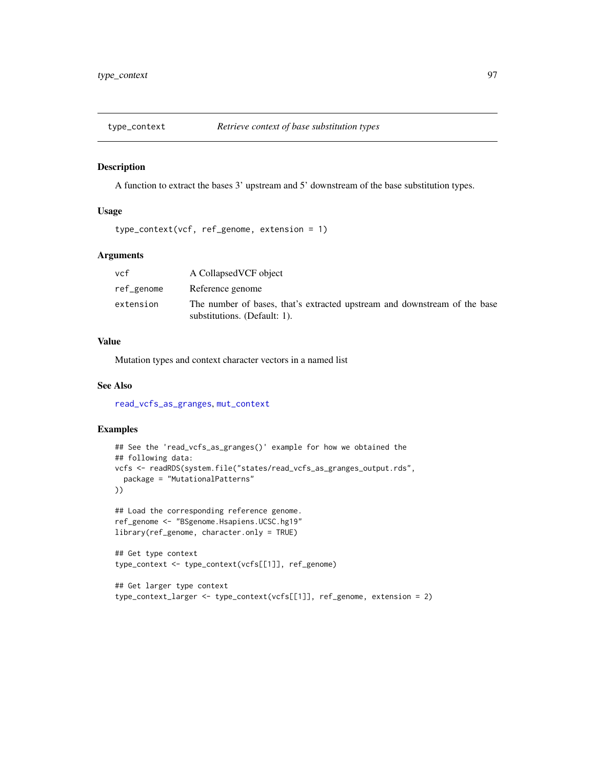<span id="page-96-0"></span>

## Description

A function to extract the bases 3' upstream and 5' downstream of the base substitution types.

## Usage

type\_context(vcf, ref\_genome, extension = 1)

## Arguments

| vcf        | A CollapsedVCF object                                                                                     |
|------------|-----------------------------------------------------------------------------------------------------------|
| ref_genome | Reference genome                                                                                          |
| extension  | The number of bases, that's extracted upstream and downstream of the base<br>substitutions. (Default: 1). |

## Value

Mutation types and context character vectors in a named list

## See Also

[read\\_vcfs\\_as\\_granges](#page-86-0), [mut\\_context](#page-38-0)

```
## See the 'read_vcfs_as_granges()' example for how we obtained the
## following data:
vcfs <- readRDS(system.file("states/read_vcfs_as_granges_output.rds",
  package = "MutationalPatterns"
))
## Load the corresponding reference genome.
ref_genome <- "BSgenome.Hsapiens.UCSC.hg19"
library(ref_genome, character.only = TRUE)
## Get type context
type_context <- type_context(vcfs[[1]], ref_genome)
## Get larger type context
type_context_larger <- type_context(vcfs[[1]], ref_genome, extension = 2)
```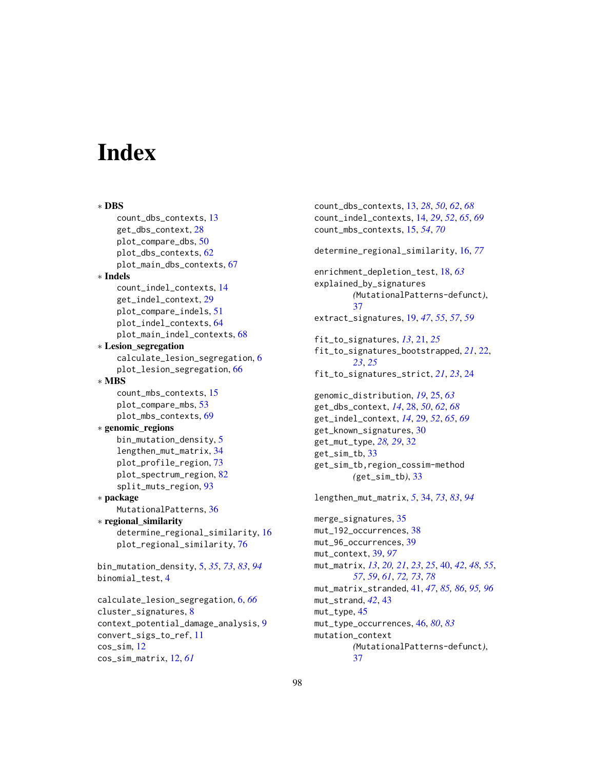# **Index**

∗ DBS count\_dbs\_contexts, [13](#page-12-0) get\_dbs\_context, [28](#page-27-0) plot\_compare\_dbs, [50](#page-49-0) plot\_dbs\_contexts, [62](#page-61-0) plot\_main\_dbs\_contexts, [67](#page-66-0) ∗ Indels count\_indel\_contexts, [14](#page-13-0) get\_indel\_context, [29](#page-28-0) plot\_compare\_indels, [51](#page-50-0) plot\_indel\_contexts, [64](#page-63-0) plot\_main\_indel\_contexts, [68](#page-67-0) ∗ Lesion\_segregation calculate\_lesion\_segregation, [6](#page-5-0) plot\_lesion\_segregation, [66](#page-65-0) ∗ MBS count\_mbs\_contexts, [15](#page-14-0) plot\_compare\_mbs, [53](#page-52-0) plot\_mbs\_contexts, [69](#page-68-0) ∗ genomic\_regions bin\_mutation\_density, [5](#page-4-1) lengthen\_mut\_matrix, [34](#page-33-1) plot\_profile\_region, [73](#page-72-1) plot\_spectrum\_region, [82](#page-81-1) split\_muts\_region, [93](#page-92-1) ∗ package MutationalPatterns, [36](#page-35-0) ∗ regional\_similarity determine\_regional\_similarity, [16](#page-15-1) plot\_regional\_similarity, [76](#page-75-0) bin\_mutation\_density, [5,](#page-4-1) *[35](#page-34-0)*, *[73](#page-72-1)*, *[83](#page-82-0)*, *[94](#page-93-1)* binomial\_test, [4](#page-3-0) calculate\_lesion\_segregation, [6,](#page-5-0) *[66](#page-65-0)* cluster\_signatures, [8](#page-7-0) context\_potential\_damage\_analysis, [9](#page-8-0) convert\_sigs\_to\_ref, [11](#page-10-0) cos\_sim, [12](#page-11-0) cos\_sim\_matrix, [12,](#page-11-0) *[61](#page-60-0)*

count\_dbs\_contexts, [13,](#page-12-0) *[28](#page-27-0)*, *[50](#page-49-0)*, *[62](#page-61-0)*, *[68](#page-67-0)* count\_indel\_contexts, [14,](#page-13-0) *[29](#page-28-0)*, *[52](#page-51-0)*, *[65](#page-64-0)*, *[69](#page-68-0)* count\_mbs\_contexts, [15,](#page-14-0) *[54](#page-53-0)*, *[70](#page-69-0)* determine\_regional\_similarity, [16,](#page-15-1) *[77](#page-76-0)* enrichment\_depletion\_test, [18,](#page-17-0) *[63](#page-62-0)* explained\_by\_signatures *(*MutationalPatterns-defunct*)*, [37](#page-36-0) extract\_signatures, [19,](#page-18-0) *[47](#page-46-0)*, *[55](#page-54-0)*, *[57](#page-56-0)*, *[59](#page-58-0)* fit\_to\_signatures, *[13](#page-12-0)*, [21,](#page-20-0) *[25](#page-24-0)* fit\_to\_signatures\_bootstrapped, *[21](#page-20-0)*, [22,](#page-21-0) *[23](#page-22-0)*, *[25](#page-24-0)* fit\_to\_signatures\_strict, *[21](#page-20-0)*, *[23](#page-22-0)*, [24](#page-23-0) genomic\_distribution, *[19](#page-18-0)*, [25,](#page-24-0) *[63](#page-62-0)* get\_dbs\_context, *[14](#page-13-0)*, [28,](#page-27-0) *[50](#page-49-0)*, *[62](#page-61-0)*, *[68](#page-67-0)* get\_indel\_context, *[14](#page-13-0)*, [29,](#page-28-0) *[52](#page-51-0)*, *[65](#page-64-0)*, *[69](#page-68-0)* get\_known\_signatures, [30](#page-29-0) get\_mut\_type, *[28,](#page-27-0) [29](#page-28-0)*, [32](#page-31-0) get\_sim\_tb, [33](#page-32-0) get\_sim\_tb,region\_cossim-method *(*get\_sim\_tb*)*, [33](#page-32-0) lengthen\_mut\_matrix, *[5](#page-4-1)*, [34,](#page-33-1) *[73](#page-72-1)*, *[83](#page-82-0)*, *[94](#page-93-1)* merge\_signatures, [35](#page-34-0) mut\_192\_occurrences, [38](#page-37-0) mut\_96\_occurrences, [39](#page-38-1) mut\_context, [39,](#page-38-1) *[97](#page-96-0)* mut\_matrix, *[13](#page-12-0)*, *[20,](#page-19-0) [21](#page-20-0)*, *[23](#page-22-0)*, *[25](#page-24-0)*, [40,](#page-39-1) *[42](#page-41-0)*, *[48](#page-47-1)*, *[55](#page-54-0)*, *[57](#page-56-0)*, *[59](#page-58-0)*, *[61](#page-60-0)*, *[72,](#page-71-0) [73](#page-72-1)*, *[78](#page-77-0)* mut\_matrix\_stranded, [41,](#page-40-1) *[47](#page-46-0)*, *[85,](#page-84-1) [86](#page-85-0)*, *[95,](#page-94-0) [96](#page-95-1)* mut\_strand, *[42](#page-41-0)*, [43](#page-42-0) mut\_type, [45](#page-44-0) mut\_type\_occurrences, [46,](#page-45-1) *[80](#page-79-1)*, *[83](#page-82-0)* mutation\_context *(*MutationalPatterns-defunct*)*, [37](#page-36-0)